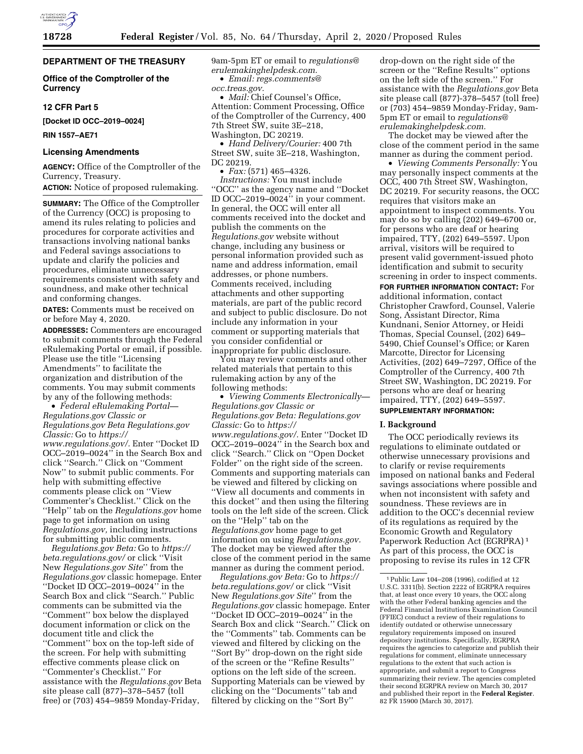# **DEPARTMENT OF THE TREASURY**

### **Office of the Comptroller of the Currency**

### **12 CFR Part 5**

**[Docket ID OCC–2019–0024]** 

**RIN 1557–AE71** 

#### **Licensing Amendments**

**AGENCY:** Office of the Comptroller of the Currency, Treasury.

**ACTION:** Notice of proposed rulemaking.

**SUMMARY:** The Office of the Comptroller of the Currency (OCC) is proposing to amend its rules relating to policies and procedures for corporate activities and transactions involving national banks and Federal savings associations to update and clarify the policies and procedures, eliminate unnecessary requirements consistent with safety and soundness, and make other technical and conforming changes.

**DATES:** Comments must be received on or before May 4, 2020.

**ADDRESSES:** Commenters are encouraged to submit comments through the Federal eRulemaking Portal or email, if possible. Please use the title ''Licensing Amendments'' to facilitate the organization and distribution of the comments. You may submit comments by any of the following methods:

• *Federal eRulemaking Portal— Regulations.gov Classic or Regulations.gov Beta Regulations.gov Classic:* Go to *[https://](https://www.regulations.gov/)*

*[www.regulations.gov/.](https://www.regulations.gov/)* Enter ''Docket ID OCC–2019–0024'' in the Search Box and click ''Search.'' Click on ''Comment Now'' to submit public comments. For help with submitting effective comments please click on ''View Commenter's Checklist.'' Click on the ''Help'' tab on the *Regulations.gov* home page to get information on using *Regulations.gov,* including instructions for submitting public comments.

*Regulations.gov Beta:* Go to *[https://](https://beta.regulations.gov/) [beta.regulations.gov/](https://beta.regulations.gov/)* or click ''Visit New *Regulations.gov Site*'' from the *Regulations.gov* classic homepage. Enter ''Docket ID OCC–2019–0024'' in the Search Box and click ''Search.'' Public comments can be submitted via the ''Comment'' box below the displayed document information or click on the document title and click the ''Comment'' box on the top-left side of the screen. For help with submitting effective comments please click on ''Commenter's Checklist.'' For assistance with the *Regulations.gov* Beta site please call (877)–378–5457 (toll free) or (703) 454–9859 Monday-Friday,

9am-5pm ET or email to *[regulations@](mailto:regulations@erulemakinghelpdesk.com) [erulemakinghelpdesk.com.](mailto:regulations@erulemakinghelpdesk.com)* 

• *Email: [regs.comments@](mailto:regs.comments@occ.treas.gov) [occ.treas.gov.](mailto:regs.comments@occ.treas.gov)* 

• *Mail:* Chief Counsel's Office, Attention: Comment Processing, Office of the Comptroller of the Currency, 400 7th Street SW, suite 3E–218, Washington, DC 20219.

• *Hand Delivery/Courier:* 400 7th Street SW, suite 3E–218, Washington, DC 20219.

• *Fax:* (571) 465–4326.

*Instructions:* You must include ''OCC'' as the agency name and ''Docket ID OCC–2019–0024'' in your comment. In general, the OCC will enter all comments received into the docket and publish the comments on the *Regulations.gov* website without change, including any business or personal information provided such as name and address information, email addresses, or phone numbers. Comments received, including attachments and other supporting materials, are part of the public record and subject to public disclosure. Do not include any information in your comment or supporting materials that you consider confidential or inappropriate for public disclosure.

You may review comments and other related materials that pertain to this rulemaking action by any of the following methods:

• *Viewing Comments Electronically— Regulations.gov Classic or Regulations.gov Beta: Regulations.gov Classic:* Go to *[https://](https://www.regulations.gov/) [www.regulations.gov/.](https://www.regulations.gov/)* Enter ''Docket ID OCC–2019–0024'' in the Search box and click ''Search.'' Click on ''Open Docket Folder'' on the right side of the screen. Comments and supporting materials can be viewed and filtered by clicking on ''View all documents and comments in this docket'' and then using the filtering tools on the left side of the screen. Click on the ''Help'' tab on the *Regulations.gov* home page to get information on using *Regulations.gov.*  The docket may be viewed after the close of the comment period in the same manner as during the comment period.

*Regulations.gov Beta:* Go to *[https://](https://beta.regulations.gov/) [beta.regulations.gov/](https://beta.regulations.gov/)* or click ''Visit New *Regulations.gov Site*'' from the *Regulations.gov* classic homepage. Enter ''Docket ID OCC–2019–0024'' in the Search Box and click ''Search.'' Click on the ''Comments'' tab. Comments can be viewed and filtered by clicking on the ''Sort By'' drop-down on the right side of the screen or the ''Refine Results'' options on the left side of the screen. Supporting Materials can be viewed by clicking on the ''Documents'' tab and filtered by clicking on the ''Sort By''

drop-down on the right side of the screen or the ''Refine Results'' options on the left side of the screen.'' For assistance with the *Regulations.gov* Beta site please call  $(877)$ -378–5457 (toll free) or (703) 454–9859 Monday-Friday, 9am-5pm ET or email to *[regulations@](mailto:regulations@erulemakinghelpdesk.com) [erulemakinghelpdesk.com.](mailto:regulations@erulemakinghelpdesk.com)* 

The docket may be viewed after the close of the comment period in the same manner as during the comment period.

• *Viewing Comments Personally:* You may personally inspect comments at the OCC, 400 7th Street SW, Washington, DC 20219. For security reasons, the OCC requires that visitors make an appointment to inspect comments. You may do so by calling (202) 649–6700 or, for persons who are deaf or hearing impaired, TTY, (202) 649–5597. Upon arrival, visitors will be required to present valid government-issued photo identification and submit to security screening in order to inspect comments.

**FOR FURTHER INFORMATION CONTACT:** For additional information, contact Christopher Crawford, Counsel, Valerie Song, Assistant Director, Rima Kundnani, Senior Attorney, or Heidi Thomas, Special Counsel, (202) 649– 5490, Chief Counsel's Office; or Karen Marcotte, Director for Licensing Activities, (202) 649–7297, Office of the Comptroller of the Currency, 400 7th Street SW, Washington, DC 20219. For persons who are deaf or hearing impaired, TTY, (202) 649–5597.

# **SUPPLEMENTARY INFORMATION:**

### **I. Background**

The OCC periodically reviews its regulations to eliminate outdated or otherwise unnecessary provisions and to clarify or revise requirements imposed on national banks and Federal savings associations where possible and when not inconsistent with safety and soundness. These reviews are in addition to the OCC's decennial review of its regulations as required by the Economic Growth and Regulatory Paperwork Reduction Act (EGRPRA) 1 As part of this process, the OCC is proposing to revise its rules in 12 CFR

<sup>1</sup>Public Law 104–208 (1996), codified at 12 U.S.C. 3311(b). Section 2222 of EGRPRA requires that, at least once every 10 years, the OCC along with the other Federal banking agencies and the Federal Financial Institutions Examination Council (FFIEC) conduct a review of their regulations to identify outdated or otherwise unnecessary regulatory requirements imposed on insured depository institutions. Specifically, EGRPRA requires the agencies to categorize and publish their regulations for comment, eliminate unnecessary regulations to the extent that such action is appropriate, and submit a report to Congress summarizing their review. The agencies completed their second EGRPRA review on March 30, 2017 and published their report in the **Federal Register**. 82 FR 15900 (March 30, 2017).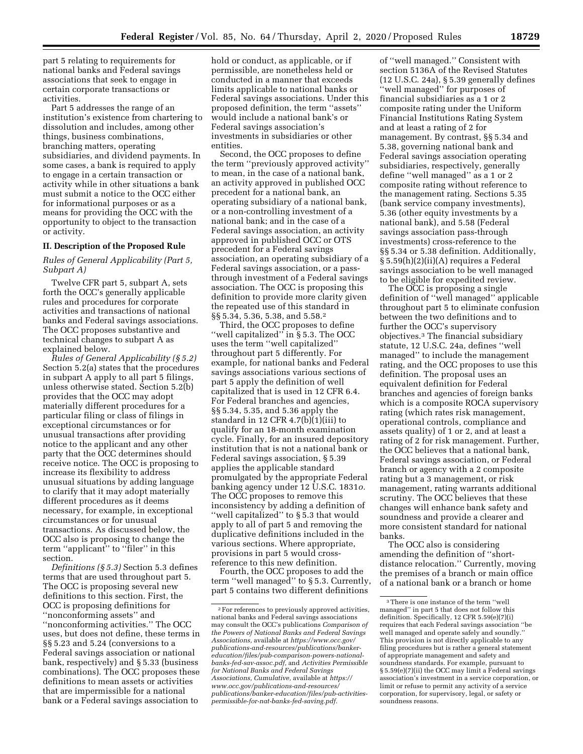part 5 relating to requirements for national banks and Federal savings associations that seek to engage in

certain corporate transactions or activities. Part 5 addresses the range of an institution's existence from chartering to dissolution and includes, among other things, business combinations, branching matters, operating subsidiaries, and dividend payments. In some cases, a bank is required to apply to engage in a certain transaction or activity while in other situations a bank must submit a notice to the OCC either for informational purposes or as a means for providing the OCC with the opportunity to object to the transaction or activity.

#### **II. Description of the Proposed Rule**

*Rules of General Applicability (Part 5, Subpart A)* 

Twelve CFR part 5, subpart A, sets forth the OCC's generally applicable rules and procedures for corporate activities and transactions of national banks and Federal savings associations. The OCC proposes substantive and technical changes to subpart A as explained below.

*Rules of General Applicability (§ 5.2)*  Section 5.2(a) states that the procedures in subpart A apply to all part 5 filings, unless otherwise stated. Section 5.2(b) provides that the OCC may adopt materially different procedures for a particular filing or class of filings in exceptional circumstances or for unusual transactions after providing notice to the applicant and any other party that the OCC determines should receive notice. The OCC is proposing to increase its flexibility to address unusual situations by adding language to clarify that it may adopt materially different procedures as it deems necessary, for example, in exceptional circumstances or for unusual transactions. As discussed below, the OCC also is proposing to change the term ''applicant'' to ''filer'' in this section.

*Definitions (§ 5.3)* Section 5.3 defines terms that are used throughout part 5. The OCC is proposing several new definitions to this section. First, the OCC is proposing definitions for ''nonconforming assets'' and ''nonconforming activities.'' The OCC uses, but does not define, these terms in §§ 5.23 and 5.24 (conversions to a Federal savings association or national bank, respectively) and § 5.33 (business combinations). The OCC proposes these definitions to mean assets or activities that are impermissible for a national bank or a Federal savings association to

hold or conduct, as applicable, or if permissible, are nonetheless held or conducted in a manner that exceeds limits applicable to national banks or Federal savings associations. Under this proposed definition, the term ''assets'' would include a national bank's or Federal savings association's investments in subsidiaries or other entities.

Second, the OCC proposes to define the term ''previously approved activity'' to mean, in the case of a national bank, an activity approved in published OCC precedent for a national bank, an operating subsidiary of a national bank, or a non-controlling investment of a national bank; and in the case of a Federal savings association, an activity approved in published OCC or OTS precedent for a Federal savings association, an operating subsidiary of a Federal savings association, or a passthrough investment of a Federal savings association. The OCC is proposing this definition to provide more clarity given the repeated use of this standard in §§ 5.34, 5.36, 5.38, and 5.58.2

Third, the OCC proposes to define ''well capitalized'' in § 5.3. The OCC uses the term ''well capitalized'' throughout part 5 differently. For example, for national banks and Federal savings associations various sections of part 5 apply the definition of well capitalized that is used in 12 CFR 6.4. For Federal branches and agencies, §§ 5.34, 5.35, and 5.36 apply the standard in 12 CFR 4.7(b)(1)(iii) to qualify for an 18-month examination cycle. Finally, for an insured depository institution that is not a national bank or Federal savings association, § 5.39 applies the applicable standard promulgated by the appropriate Federal banking agency under 12 U.S.C. 1831*o.*  The OCC proposes to remove this inconsistency by adding a definition of ''well capitalized'' to § 5.3 that would apply to all of part 5 and removing the duplicative definitions included in the various sections. Where appropriate, provisions in part 5 would crossreference to this new definition.

Fourth, the OCC proposes to add the term ''well managed'' to § 5.3. Currently, part 5 contains two different definitions

of ''well managed.'' Consistent with section 5136A of the Revised Statutes (12 U.S.C. 24a), § 5.39 generally defines ''well managed'' for purposes of financial subsidiaries as a 1 or 2 composite rating under the Uniform Financial Institutions Rating System and at least a rating of 2 for management. By contrast, §§ 5.34 and 5.38, governing national bank and Federal savings association operating subsidiaries, respectively, generally define ''well managed'' as a 1 or 2 composite rating without reference to the management rating. Sections 5.35 (bank service company investments), 5.36 (other equity investments by a national bank), and 5.58 (Federal savings association pass-through investments) cross-reference to the §§ 5.34 or 5.38 definition. Additionally, § 5.59(h)(2)(ii)(A) requires a Federal savings association to be well managed to be eligible for expedited review.

The OCC is proposing a single definition of ''well managed'' applicable throughout part 5 to eliminate confusion between the two definitions and to further the OCC's supervisory objectives.3 The financial subsidiary statute, 12 U.S.C. 24a, defines ''well managed'' to include the management rating, and the OCC proposes to use this definition. The proposal uses an equivalent definition for Federal branches and agencies of foreign banks which is a composite ROCA supervisory rating (which rates risk management, operational controls, compliance and assets quality) of 1 or 2, and at least a rating of 2 for risk management. Further, the OCC believes that a national bank, Federal savings association, or Federal branch or agency with a 2 composite rating but a 3 management, or risk management, rating warrants additional scrutiny. The OCC believes that these changes will enhance bank safety and soundness and provide a clearer and more consistent standard for national banks.

The OCC also is considering amending the definition of ''shortdistance relocation.'' Currently, moving the premises of a branch or main office of a national bank or a branch or home

<sup>2</sup>For references to previously approved activities, national banks and Federal savings associations may consult the OCC's publications *Comparison of the Powers of National Banks and Federal Savings Associations,* available at *[https://www.occ.gov/](https://www.occ.gov/publications-and-resources/publications/banker-education/files/pub-comparison-powers-national-banks-fed-sav-assoc.pdf)  publications-and-resources/publications/banker[education/files/pub-comparison-powers-national](https://www.occ.gov/publications-and-resources/publications/banker-education/files/pub-comparison-powers-national-banks-fed-sav-assoc.pdf)[banks-fed-sav-assoc.pdf,](https://www.occ.gov/publications-and-resources/publications/banker-education/files/pub-comparison-powers-national-banks-fed-sav-assoc.pdf)* and *Activities Permissible for National Banks and Federal Savings Associations, Cumulative,* available at *[https://](https://www.occ.gov/publications-and-resources/publications/banker-education/files/pub-activities-permissible-for-nat-banks-fed-saving.pdf) [www.occ.gov/publications-and-resources/](https://www.occ.gov/publications-and-resources/publications/banker-education/files/pub-activities-permissible-for-nat-banks-fed-saving.pdf)  [publications/banker-education/files/pub-activities](https://www.occ.gov/publications-and-resources/publications/banker-education/files/pub-activities-permissible-for-nat-banks-fed-saving.pdf)[permissible-for-nat-banks-fed-saving.pdf.](https://www.occ.gov/publications-and-resources/publications/banker-education/files/pub-activities-permissible-for-nat-banks-fed-saving.pdf)* 

 $^{\rm 3}$  There is one instance of the term ''well managed'' in part 5 that does not follow this definition. Specifically, 12 CFR 5.59(e)(7)(i) requires that each Federal savings association ''be well managed and operate safely and soundly. This provision is not directly applicable to any filing procedures but is rather a general statement of appropriate management and safety and soundness standards. For example, pursuant to § 5.59(e)(7)(ii) the OCC may limit a Federal savings association's investment in a service corporation, or limit or refuse to permit any activity of a service corporation, for supervisory, legal, or safety or soundness reasons.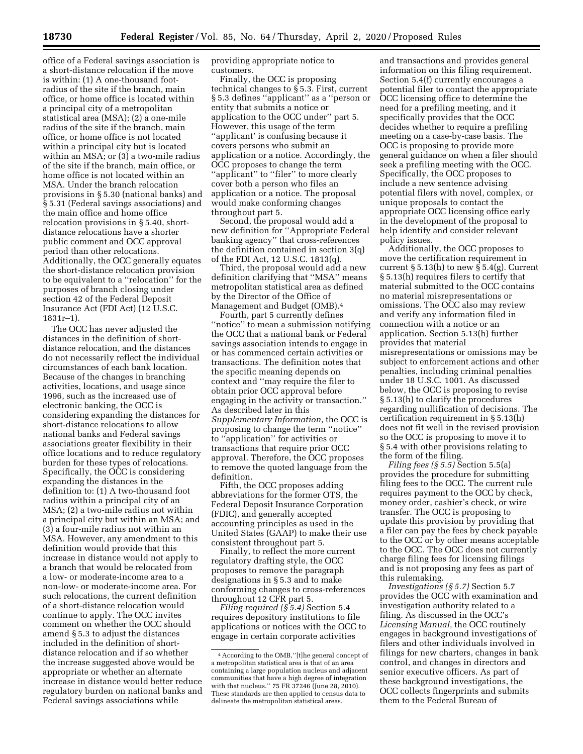office of a Federal savings association is a short-distance relocation if the move is within: (1) A one-thousand footradius of the site if the branch, main office, or home office is located within a principal city of a metropolitan statistical area (MSA); (2) a one-mile radius of the site if the branch, main office, or home office is not located within a principal city but is located within an MSA; or (3) a two-mile radius of the site if the branch, main office, or home office is not located within an MSA. Under the branch relocation provisions in § 5.30 (national banks) and § 5.31 (Federal savings associations) and the main office and home office relocation provisions in § 5.40, shortdistance relocations have a shorter public comment and OCC approval period than other relocations. Additionally, the OCC generally equates the short-distance relocation provision to be equivalent to a ''relocation'' for the purposes of branch closing under section 42 of the Federal Deposit Insurance Act (FDI Act) (12 U.S.C. 1831r–1).

The OCC has never adjusted the distances in the definition of shortdistance relocation, and the distances do not necessarily reflect the individual circumstances of each bank location. Because of the changes in branching activities, locations, and usage since 1996, such as the increased use of electronic banking, the OCC is considering expanding the distances for short-distance relocations to allow national banks and Federal savings associations greater flexibility in their office locations and to reduce regulatory burden for these types of relocations. Specifically, the OCC is considering expanding the distances in the definition to: (1) A two-thousand foot radius within a principal city of an MSA; (2) a two-mile radius not within a principal city but within an MSA; and (3) a four-mile radius not within an MSA. However, any amendment to this definition would provide that this increase in distance would not apply to a branch that would be relocated from a low- or moderate-income area to a non-low- or moderate-income area. For such relocations, the current definition of a short-distance relocation would continue to apply. The OCC invites comment on whether the OCC should amend § 5.3 to adjust the distances included in the definition of shortdistance relocation and if so whether the increase suggested above would be appropriate or whether an alternate increase in distance would better reduce regulatory burden on national banks and Federal savings associations while

providing appropriate notice to customers.

Finally, the OCC is proposing technical changes to § 5.3. First, current § 5.3 defines ''applicant'' as a ''person or entity that submits a notice or application to the OCC under'' part 5. However, this usage of the term ''applicant' is confusing because it covers persons who submit an application or a notice. Accordingly, the OCC proposes to change the term "applicant" to "filer" to more clearly cover both a person who files an application or a notice. The proposal would make conforming changes throughout part 5.

Second, the proposal would add a new definition for ''Appropriate Federal banking agency'' that cross-references the definition contained in section 3(q) of the FDI Act, 12 U.S.C. 1813(q).

Third, the proposal would add a new definition clarifying that ''MSA'' means metropolitan statistical area as defined by the Director of the Office of Management and Budget (OMB).4

Fourth, part 5 currently defines ''notice'' to mean a submission notifying the OCC that a national bank or Federal savings association intends to engage in or has commenced certain activities or transactions. The definition notes that the specific meaning depends on context and ''may require the filer to obtain prior OCC approval before engaging in the activity or transaction.'' As described later in this *Supplementary Information,* the OCC is proposing to change the term ''notice'' to ''application'' for activities or transactions that require prior OCC approval. Therefore, the OCC proposes to remove the quoted language from the definition.

Fifth, the OCC proposes adding abbreviations for the former OTS, the Federal Deposit Insurance Corporation (FDIC), and generally accepted accounting principles as used in the United States (GAAP) to make their use consistent throughout part 5.

Finally, to reflect the more current regulatory drafting style, the OCC proposes to remove the paragraph designations in § 5.3 and to make conforming changes to cross-references throughout 12 CFR part 5.

*Filing required (§ 5.4)* Section 5.4 requires depository institutions to file applications or notices with the OCC to engage in certain corporate activities

and transactions and provides general information on this filing requirement. Section 5.4(f) currently encourages a potential filer to contact the appropriate OCC licensing office to determine the need for a prefiling meeting, and it specifically provides that the OCC decides whether to require a prefiling meeting on a case-by-case basis. The OCC is proposing to provide more general guidance on when a filer should seek a prefiling meeting with the OCC. Specifically, the OCC proposes to include a new sentence advising potential filers with novel, complex, or unique proposals to contact the appropriate OCC licensing office early in the development of the proposal to help identify and consider relevant policy issues.

Additionally, the OCC proposes to move the certification requirement in current § 5.13(h) to new § 5.4(g). Current § 5.13(h) requires filers to certify that material submitted to the OCC contains no material misrepresentations or omissions. The OCC also may review and verify any information filed in connection with a notice or an application. Section 5.13(h) further provides that material misrepresentations or omissions may be subject to enforcement actions and other penalties, including criminal penalties under 18 U.S.C. 1001. As discussed below, the OCC is proposing to revise § 5.13(h) to clarify the procedures regarding nullification of decisions. The certification requirement in § 5.13(h) does not fit well in the revised provision so the OCC is proposing to move it to § 5.4 with other provisions relating to the form of the filing.

*Filing fees (§ 5.5)* Section 5.5(a) provides the procedure for submitting filing fees to the OCC. The current rule requires payment to the OCC by check, money order, cashier's check, or wire transfer. The OCC is proposing to update this provision by providing that a filer can pay the fees by check payable to the OCC or by other means acceptable to the OCC. The OCC does not currently charge filing fees for licensing filings and is not proposing any fees as part of this rulemaking.

*Investigations (§ 5.7)* Section 5.7 provides the OCC with examination and investigation authority related to a filing. As discussed in the OCC's *Licensing Manual,* the OCC routinely engages in background investigations of filers and other individuals involved in filings for new charters, changes in bank control, and changes in directors and senior executive officers. As part of these background investigations, the OCC collects fingerprints and submits them to the Federal Bureau of

<sup>4</sup>According to the OMB,''[t]he general concept of a metropolitan statistical area is that of an area containing a large population nucleus and adjacent communities that have a high degree of integration with that nucleus.'' 75 FR 37246 (June 28, 2010). These standards are then applied to census data to delineate the metropolitan statistical areas.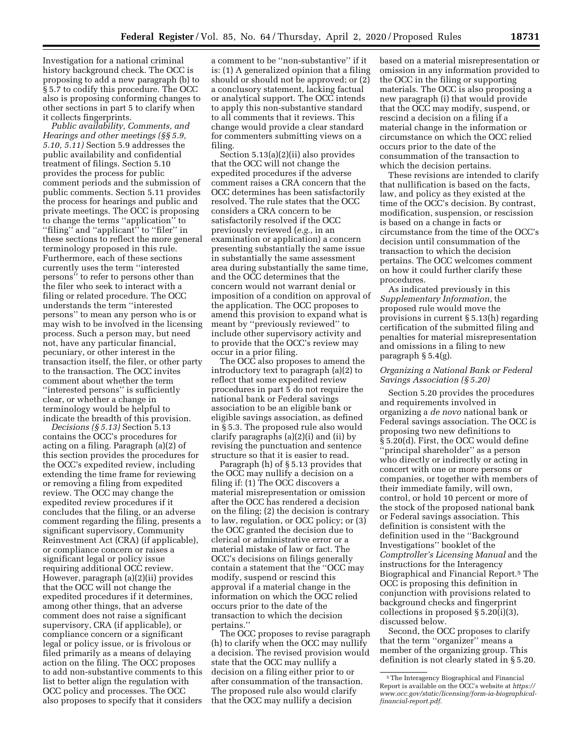Investigation for a national criminal history background check. The OCC is proposing to add a new paragraph (b) to § 5.7 to codify this procedure. The OCC also is proposing conforming changes to other sections in part 5 to clarify when it collects fingerprints.

*Public availability, Comments, and Hearings and other meetings (§§ 5.9, 5.10, 5.11)* Section 5.9 addresses the public availability and confidential treatment of filings. Section 5.10 provides the process for public comment periods and the submission of public comments. Section 5.11 provides the process for hearings and public and private meetings. The OCC is proposing to change the terms ''application'' to ''filing'' and ''applicant'' to ''filer'' in these sections to reflect the more general terminology proposed in this rule. Furthermore, each of these sections currently uses the term ''interested persons'' to refer to persons other than the filer who seek to interact with a filing or related procedure. The OCC understands the term ''interested persons'' to mean any person who is or may wish to be involved in the licensing process. Such a person may, but need not, have any particular financial, pecuniary, or other interest in the transaction itself, the filer, or other party to the transaction. The OCC invites comment about whether the term ''interested persons'' is sufficiently clear, or whether a change in terminology would be helpful to indicate the breadth of this provision.

*Decisions (§ 5.13)* Section 5.13 contains the OCC's procedures for acting on a filing. Paragraph (a)(2) of this section provides the procedures for the OCC's expedited review, including extending the time frame for reviewing or removing a filing from expedited review. The OCC may change the expedited review procedures if it concludes that the filing, or an adverse comment regarding the filing, presents a significant supervisory, Community Reinvestment Act (CRA) (if applicable), or compliance concern or raises a significant legal or policy issue requiring additional OCC review. However, paragraph (a)(2)(ii) provides that the OCC will not change the expedited procedures if it determines, among other things, that an adverse comment does not raise a significant supervisory, CRA (if applicable), or compliance concern or a significant legal or policy issue, or is frivolous or filed primarily as a means of delaying action on the filing. The OCC proposes to add non-substantive comments to this list to better align the regulation with OCC policy and processes. The OCC also proposes to specify that it considers

a comment to be ''non-substantive'' if it is: (1) A generalized opinion that a filing should or should not be approved; or (2) a conclusory statement, lacking factual or analytical support. The OCC intends to apply this non-substantive standard to all comments that it reviews. This change would provide a clear standard for commenters submitting views on a filing.

Section 5.13(a)(2)(ii) also provides that the OCC will not change the expedited procedures if the adverse comment raises a CRA concern that the OCC determines has been satisfactorily resolved. The rule states that the OCC considers a CRA concern to be satisfactorily resolved if the OCC previously reviewed (*e.g.,* in an examination or application) a concern presenting substantially the same issue in substantially the same assessment area during substantially the same time, and the OCC determines that the concern would not warrant denial or imposition of a condition on approval of the application. The OCC proposes to amend this provision to expand what is meant by ''previously reviewed'' to include other supervisory activity and to provide that the OCC's review may occur in a prior filing.

The OCC also proposes to amend the introductory text to paragraph (a)(2) to reflect that some expedited review procedures in part 5 do not require the national bank or Federal savings association to be an eligible bank or eligible savings association, as defined in § 5.3. The proposed rule also would clarify paragraphs (a)(2)(i) and (ii) by revising the punctuation and sentence structure so that it is easier to read.

Paragraph (h) of § 5.13 provides that the OCC may nullify a decision on a filing if: (1) The OCC discovers a material misrepresentation or omission after the OCC has rendered a decision on the filing; (2) the decision is contrary to law, regulation, or OCC policy; or (3) the OCC granted the decision due to clerical or administrative error or a material mistake of law or fact. The OCC's decisions on filings generally contain a statement that the ''OCC may modify, suspend or rescind this approval if a material change in the information on which the OCC relied occurs prior to the date of the transaction to which the decision pertains.''

The OCC proposes to revise paragraph (h) to clarify when the OCC may nullify a decision. The revised provision would state that the OCC may nullify a decision on a filing either prior to or after consummation of the transaction. The proposed rule also would clarify that the OCC may nullify a decision

based on a material misrepresentation or omission in any information provided to the OCC in the filing or supporting materials. The OCC is also proposing a new paragraph (i) that would provide that the OCC may modify, suspend, or rescind a decision on a filing if a material change in the information or circumstance on which the OCC relied occurs prior to the date of the consummation of the transaction to which the decision pertains.

These revisions are intended to clarify that nullification is based on the facts, law, and policy as they existed at the time of the OCC's decision. By contrast, modification, suspension, or rescission is based on a change in facts or circumstance from the time of the OCC's decision until consummation of the transaction to which the decision pertains. The OCC welcomes comment on how it could further clarify these procedures.

As indicated previously in this *Supplementary Information,* the proposed rule would move the provisions in current § 5.13(h) regarding certification of the submitted filing and penalties for material misrepresentation and omissions in a filing to new paragraph § 5.4(g).

### *Organizing a National Bank or Federal Savings Association (§ 5.20)*

Section 5.20 provides the procedures and requirements involved in organizing a *de novo* national bank or Federal savings association. The OCC is proposing two new definitions to § 5.20(d). First, the OCC would define ''principal shareholder'' as a person who directly or indirectly or acting in concert with one or more persons or companies, or together with members of their immediate family, will own, control, or hold 10 percent or more of the stock of the proposed national bank or Federal savings association. This definition is consistent with the definition used in the ''Background Investigations'' booklet of the *Comptroller's Licensing Manual* and the instructions for the Interagency Biographical and Financial Report.5 The OCC is proposing this definition in conjunction with provisions related to background checks and fingerprint collections in proposed § 5.20(i)(3), discussed below.

Second, the OCC proposes to clarify that the term ''organizer'' means a member of the organizing group. This definition is not clearly stated in § 5.20.

<sup>5</sup>The Interagency Biographical and Financial Report is available on the OCC's website at *[https://](https://www.occ.gov/static/licensing/form-ia-biographical-financial-report.pdf) [www.occ.gov/static/licensing/form-ia-biographical](https://www.occ.gov/static/licensing/form-ia-biographical-financial-report.pdf)[financial-report.pdf.](https://www.occ.gov/static/licensing/form-ia-biographical-financial-report.pdf)*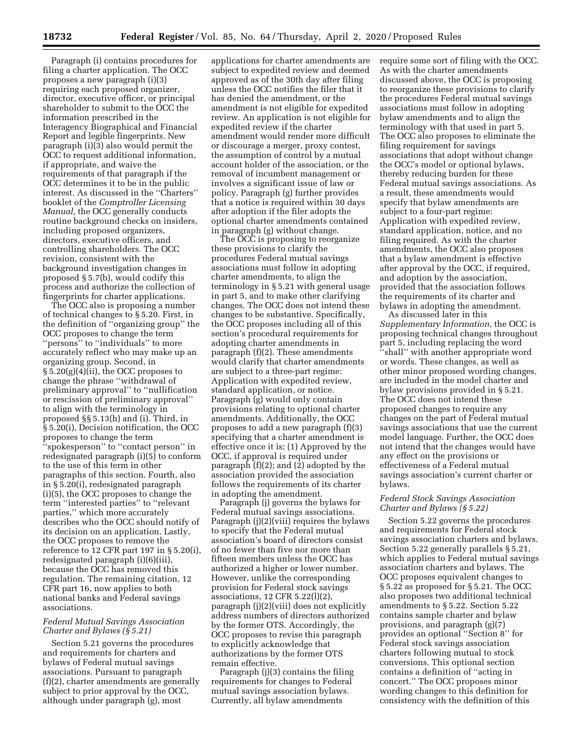Paragraph (i) contains procedures for filing a charter application. The OCC proposes a new paragraph (i)(3) requiring each proposed organizer, director, executive officer, or principal shareholder to submit to the OCC the information prescribed in the Interagency Biographical and Financial Report and legible fingerprints. New paragraph (i)(3) also would permit the OCC to request additional information, if appropriate, and waive the requirements of that paragraph if the OCC determines it to be in the public interest. As discussed in the ''Charters'' booklet of the *Comptroller Licensing Manual,* the OCC generally conducts routine background checks on insiders, including proposed organizers, directors, executive officers, and controlling shareholders. The OCC revision, consistent with the background investigation changes in proposed § 5.7(b), would codify this process and authorize the collection of fingerprints for charter applications.

The OCC also is proposing a number of technical changes to § 5.20. First, in the definition of ''organizing group'' the OCC proposes to change the term ''persons'' to ''individuals'' to more accurately reflect who may make up an organizing group. Second, in § 5.20(g)(4)(ii), the OCC proposes to change the phrase ''withdrawal of preliminary approval'' to ''nullification or rescission of preliminary approval'' to align with the terminology in proposed §§ 5.13(h) and (i). Third, in § 5.20(i), Decision notification, the OCC proposes to change the term ''spokesperson'' to ''contact person'' in redesignated paragraph (i)(5) to conform to the use of this term in other paragraphs of this section. Fourth, also in § 5.20(i), redesignated paragraph (i)(5), the OCC proposes to change the term ''interested parties'' to ''relevant parties,'' which more accurately describes who the OCC should notify of its decision on an application. Lastly, the OCC proposes to remove the reference to 12 CFR part 197 in  $\S 5.20(i)$ , redesignated paragraph (i)(6)(iii), because the OCC has removed this regulation. The remaining citation, 12 CFR part 16, now applies to both national banks and Federal savings associations.

### *Federal Mutual Savings Association Charter and Bylaws (§ 5.21)*

Section 5.21 governs the procedures and requirements for charters and bylaws of Federal mutual savings associations. Pursuant to paragraph (f)(2), charter amendments are generally subject to prior approval by the OCC, although under paragraph (g), most

applications for charter amendments are subject to expedited review and deemed approved as of the 30th day after filing unless the OCC notifies the filer that it has denied the amendment, or the amendment is not eligible for expedited review. An application is not eligible for expedited review if the charter amendment would render more difficult or discourage a merger, proxy contest, the assumption of control by a mutual account holder of the association, or the removal of incumbent management or involves a significant issue of law or policy. Paragraph (g) further provides that a notice is required within 30 days after adoption if the filer adopts the optional charter amendments contained in paragraph (g) without change.

The OCC is proposing to reorganize these provisions to clarify the procedures Federal mutual savings associations must follow in adopting charter amendments, to align the terminology in § 5.21 with general usage in part 5, and to make other clarifying changes. The OCC does not intend these changes to be substantive. Specifically, the OCC proposes including all of this section's procedural requirements for adopting charter amendments in paragraph (f)(2). These amendments would clarify that charter amendments are subject to a three-part regime: Application with expedited review, standard application, or notice. Paragraph (g) would only contain provisions relating to optional charter amendments. Additionally, the OCC proposes to add a new paragraph (f)(3) specifying that a charter amendment is effective once it is: (1) Approved by the OCC, if approval is required under paragraph (f)(2); and (2) adopted by the association provided the association follows the requirements of its charter in adopting the amendment.

Paragraph (j) governs the bylaws for Federal mutual savings associations. Paragraph (j)(2)(viii) requires the bylaws to specify that the Federal mutual association's board of directors consist of no fewer than five nor more than fifteen members unless the OCC has authorized a higher or lower number. However, unlike the corresponding provision for Federal stock savings associations, 12 CFR 5.22(l)(2), paragraph (j)(2)(viii) does not explicitly address numbers of directors authorized by the former OTS. Accordingly, the OCC proposes to revise this paragraph to explicitly acknowledge that authorizations by the former OTS remain effective.

Paragraph (j)(3) contains the filing requirements for changes to Federal mutual savings association bylaws. Currently, all bylaw amendments

require some sort of filing with the OCC. As with the charter amendments discussed above, the OCC is proposing to reorganize these provisions to clarify the procedures Federal mutual savings associations must follow in adopting bylaw amendments and to align the terminology with that used in part 5. The OCC also proposes to eliminate the filing requirement for savings associations that adopt without change the OCC's model or optional bylaws, thereby reducing burden for these Federal mutual savings associations. As a result, these amendments would specify that bylaw amendments are subject to a four-part regime: Application with expedited review, standard application, notice, and no filing required. As with the charter amendments, the OCC also proposes that a bylaw amendment is effective after approval by the OCC, if required, and adoption by the association, provided that the association follows the requirements of its charter and bylaws in adopting the amendment.

As discussed later in this *Supplementary Information,* the OCC is proposing technical changes throughout part 5, including replacing the word ''shall'' with another appropriate word or words. These changes, as well as other minor proposed wording changes, are included in the model charter and bylaw provisions provided in § 5.21. The OCC does not intend these proposed changes to require any changes on the part of Federal mutual savings associations that use the current model language. Further, the OCC does not intend that the changes would have any effect on the provisions or effectiveness of a Federal mutual savings association's current charter or bylaws.

### *Federal Stock Savings Association Charter and Bylaws (§ 5.22)*

Section 5.22 governs the procedures and requirements for Federal stock savings association charters and bylaws. Section 5.22 generally parallels § 5.21, which applies to Federal mutual savings association charters and bylaws. The OCC proposes equivalent changes to § 5.22 as proposed for § 5.21. The OCC also proposes two additional technical amendments to § 5.22. Section 5.22 contains sample charter and bylaw provisions, and paragraph (g)(7) provides an optional ''Section 8'' for Federal stock savings association charters following mutual to stock conversions. This optional section contains a definition of ''acting in concert.'' The OCC proposes minor wording changes to this definition for consistency with the definition of this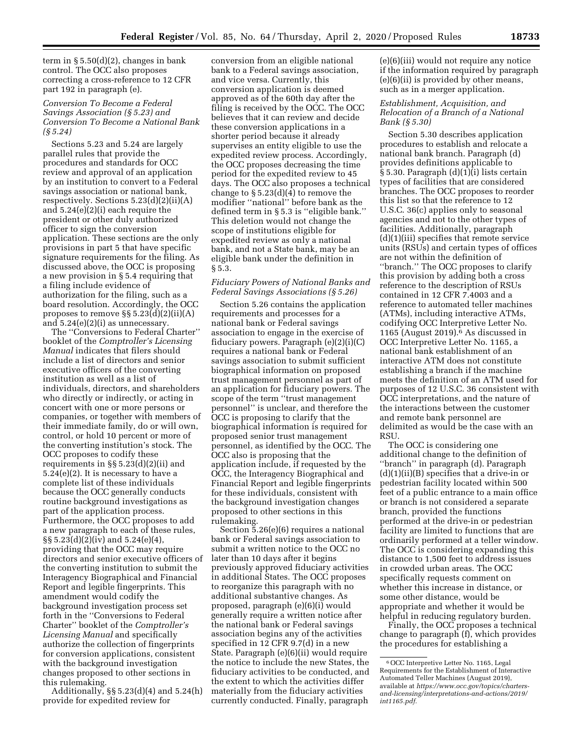term in  $\S 5.50(d)(2)$ , changes in bank control. The OCC also proposes correcting a cross-reference to 12 CFR part 192 in paragraph (e).

### *Conversion To Become a Federal Savings Association (§ 5.23) and Conversion To Become a National Bank (§ 5.24)*

Sections 5.23 and 5.24 are largely parallel rules that provide the procedures and standards for OCC review and approval of an application by an institution to convert to a Federal savings association or national bank, respectively. Sections 5.23(d)(2)(ii)(A) and 5.24(e)(2)(i) each require the president or other duly authorized officer to sign the conversion application. These sections are the only provisions in part 5 that have specific signature requirements for the filing. As discussed above, the OCC is proposing a new provision in § 5.4 requiring that a filing include evidence of authorization for the filing, such as a board resolution. Accordingly, the OCC proposes to remove  $\S$ § 5.23(d)(2)(ii)(A) and 5.24(e)(2)(i) as unnecessary.

The ''Conversions to Federal Charter'' booklet of the *Comptroller's Licensing Manual* indicates that filers should include a list of directors and senior executive officers of the converting institution as well as a list of individuals, directors, and shareholders who directly or indirectly, or acting in concert with one or more persons or companies, or together with members of their immediate family, do or will own, control, or hold 10 percent or more of the converting institution's stock. The OCC proposes to codify these requirements in §§ 5.23(d)(2)(ii) and 5.24(e)(2). It is necessary to have a complete list of these individuals because the OCC generally conducts routine background investigations as part of the application process. Furthermore, the OCC proposes to add a new paragraph to each of these rules, §§ 5.23(d)(2)(iv) and 5.24(e)(4), providing that the OCC may require directors and senior executive officers of the converting institution to submit the Interagency Biographical and Financial Report and legible fingerprints. This amendment would codify the background investigation process set forth in the ''Conversions to Federal Charter'' booklet of the *Comptroller's Licensing Manual* and specifically authorize the collection of fingerprints for conversion applications, consistent with the background investigation changes proposed to other sections in this rulemaking.

Additionally, §§ 5.23(d)(4) and 5.24(h) provide for expedited review for

conversion from an eligible national bank to a Federal savings association, and vice versa. Currently, this conversion application is deemed approved as of the 60th day after the filing is received by the OCC. The OCC believes that it can review and decide these conversion applications in a shorter period because it already supervises an entity eligible to use the expedited review process. Accordingly, the OCC proposes decreasing the time period for the expedited review to 45 days. The OCC also proposes a technical change to  $\S 5.23(d)(4)$  to remove the modifier ''national'' before bank as the defined term in § 5.3 is ''eligible bank.'' This deletion would not change the scope of institutions eligible for expedited review as only a national bank, and not a State bank, may be an eligible bank under the definition in § 5.3.

## *Fiduciary Powers of National Banks and Federal Savings Associations (§ 5.26)*

Section 5.26 contains the application requirements and processes for a national bank or Federal savings association to engage in the exercise of fiduciary powers. Paragraph (e)(2)(i)(C) requires a national bank or Federal savings association to submit sufficient biographical information on proposed trust management personnel as part of an application for fiduciary powers. The scope of the term ''trust management personnel'' is unclear, and therefore the OCC is proposing to clarify that the biographical information is required for proposed senior trust management personnel, as identified by the OCC. The OCC also is proposing that the application include, if requested by the OCC, the Interagency Biographical and Financial Report and legible fingerprints for these individuals, consistent with the background investigation changes proposed to other sections in this rulemaking.

Section  $\frac{5.26(e)}{6}$  requires a national bank or Federal savings association to submit a written notice to the OCC no later than 10 days after it begins previously approved fiduciary activities in additional States. The OCC proposes to reorganize this paragraph with no additional substantive changes. As proposed, paragraph (e)(6)(i) would generally require a written notice after the national bank or Federal savings association begins any of the activities specified in 12 CFR 9.7(d) in a new State. Paragraph (e)(6)(ii) would require the notice to include the new States, the fiduciary activities to be conducted, and the extent to which the activities differ materially from the fiduciary activities currently conducted. Finally, paragraph

(e)(6)(iii) would not require any notice if the information required by paragraph (e)(6)(ii) is provided by other means, such as in a merger application.

### *Establishment, Acquisition, and Relocation of a Branch of a National Bank (§ 5.30)*

Section 5.30 describes application procedures to establish and relocate a national bank branch. Paragraph (d) provides definitions applicable to § 5.30. Paragraph (d)(1)(i) lists certain types of facilities that are considered branches. The OCC proposes to reorder this list so that the reference to 12 U.S.C. 36(c) applies only to seasonal agencies and not to the other types of facilities. Additionally, paragraph (d)(1)(iii) specifies that remote service units (RSUs) and certain types of offices are not within the definition of ''branch.'' The OCC proposes to clarify this provision by adding both a cross reference to the description of RSUs contained in 12 CFR 7.4003 and a reference to automated teller machines (ATMs), including interactive ATMs, codifying OCC Interpretive Letter No. 1165 (August 2019).6 As discussed in OCC Interpretive Letter No. 1165, a national bank establishment of an interactive ATM does not constitute establishing a branch if the machine meets the definition of an ATM used for purposes of 12 U.S.C. 36 consistent with OCC interpretations, and the nature of the interactions between the customer and remote bank personnel are delimited as would be the case with an RSU.

The OCC is considering one additional change to the definition of ''branch'' in paragraph (d). Paragraph (d)(1)(ii)(B) specifies that a drive-in or pedestrian facility located within 500 feet of a public entrance to a main office or branch is not considered a separate branch, provided the functions performed at the drive-in or pedestrian facility are limited to functions that are ordinarily performed at a teller window. The OCC is considering expanding this distance to 1,500 feet to address issues in crowded urban areas. The OCC specifically requests comment on whether this increase in distance, or some other distance, would be appropriate and whether it would be helpful in reducing regulatory burden.

Finally, the OCC proposes a technical change to paragraph (f), which provides the procedures for establishing a

<sup>6</sup>OCC Interpretive Letter No. 1165, Legal Requirements for the Establishment of Interactive Automated Teller Machines (August 2019), available at *[https://www.occ.gov/topics/charters](https://www.occ.gov/topics/charters-and-licensing/interpretations-and-actions/2019/int1165.pdf)[and-licensing/interpretations-and-actions/2019/](https://www.occ.gov/topics/charters-and-licensing/interpretations-and-actions/2019/int1165.pdf) [int1165.pdf.](https://www.occ.gov/topics/charters-and-licensing/interpretations-and-actions/2019/int1165.pdf)*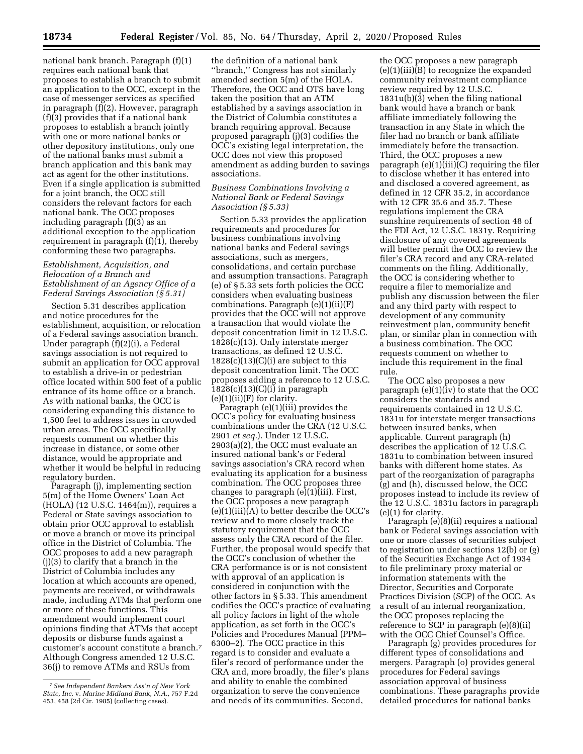national bank branch. Paragraph (f)(1) requires each national bank that proposes to establish a branch to submit an application to the OCC, except in the case of messenger services as specified in paragraph (f)(2). However, paragraph (f)(3) provides that if a national bank proposes to establish a branch jointly with one or more national banks or other depository institutions, only one of the national banks must submit a branch application and this bank may act as agent for the other institutions. Even if a single application is submitted for a joint branch, the OCC still considers the relevant factors for each national bank. The OCC proposes including paragraph (f)(3) as an additional exception to the application requirement in paragraph (f)(1), thereby conforming these two paragraphs.

### *Establishment, Acquisition, and Relocation of a Branch and Establishment of an Agency Office of a Federal Savings Association (§ 5.31)*

Section 5.31 describes application and notice procedures for the establishment, acquisition, or relocation of a Federal savings association branch. Under paragraph (f)(2)(i), a Federal savings association is not required to submit an application for OCC approval to establish a drive-in or pedestrian office located within 500 feet of a public entrance of its home office or a branch. As with national banks, the OCC is considering expanding this distance to 1,500 feet to address issues in crowded urban areas. The OCC specifically requests comment on whether this increase in distance, or some other distance, would be appropriate and whether it would be helpful in reducing regulatory burden.

Paragraph (j), implementing section 5(m) of the Home Owners' Loan Act (HOLA) (12 U.S.C. 1464(m)), requires a Federal or State savings association to obtain prior OCC approval to establish or move a branch or move its principal office in the District of Columbia. The OCC proposes to add a new paragraph (j)(3) to clarify that a branch in the District of Columbia includes any location at which accounts are opened, payments are received, or withdrawals made, including ATMs that perform one or more of these functions. This amendment would implement court opinions finding that ATMs that accept deposits or disburse funds against a customer's account constitute a branch.7 Although Congress amended 12 U.S.C. 36(j) to remove ATMs and RSUs from

the definition of a national bank ''branch,'' Congress has not similarly amended section 5(m) of the HOLA. Therefore, the OCC and OTS have long taken the position that an ATM established by a savings association in the District of Columbia constitutes a branch requiring approval. Because proposed paragraph (j)(3) codifies the OCC's existing legal interpretation, the OCC does not view this proposed amendment as adding burden to savings associations.

### *Business Combinations Involving a National Bank or Federal Savings Association (§ 5.33)*

Section 5.33 provides the application requirements and procedures for business combinations involving national banks and Federal savings associations, such as mergers, consolidations, and certain purchase and assumption transactions. Paragraph (e) of § 5.33 sets forth policies the OCC considers when evaluating business combinations. Paragraph (e)(1)(ii)(F) provides that the OCC will not approve a transaction that would violate the deposit concentration limit in 12 U.S.C. 1828(c)(13). Only interstate merger transactions, as defined 12 U.S.C.  $1828(c)(13)(C)(i)$  are subject to this deposit concentration limit. The OCC proposes adding a reference to 12 U.S.C.  $1828(c)(13)(C)(i)$  in paragraph  $(e)(1)(ii)(F)$  for clarity.

Paragraph (e)(1)(iii) provides the OCC's policy for evaluating business combinations under the CRA (12 U.S.C. 2901 *et seq.*). Under 12 U.S.C. 2903(a)(2), the OCC must evaluate an insured national bank's or Federal savings association's CRA record when evaluating its application for a business combination. The OCC proposes three changes to paragraph (e)(1)(iii). First, the OCC proposes a new paragraph  $(e)(1)(iii)(A)$  to better describe the OCC's review and to more closely track the statutory requirement that the OCC assess only the CRA record of the filer. Further, the proposal would specify that the OCC's conclusion of whether the CRA performance is or is not consistent with approval of an application is considered in conjunction with the other factors in § 5.33. This amendment codifies the OCC's practice of evaluating all policy factors in light of the whole application, as set forth in the OCC's Policies and Procedures Manual (PPM– 6300–2). The OCC practice in this regard is to consider and evaluate a filer's record of performance under the CRA and, more broadly, the filer's plans and ability to enable the combined organization to serve the convenience and needs of its communities. Second,

the OCC proposes a new paragraph (e)(1)(iii)(B) to recognize the expanded community reinvestment compliance review required by 12 U.S.C. 1831u(b)(3) when the filing national bank would have a branch or bank affiliate immediately following the transaction in any State in which the filer had no branch or bank affiliate immediately before the transaction. Third, the OCC proposes a new paragraph (e)(1)(iii)(C) requiring the filer to disclose whether it has entered into and disclosed a covered agreement, as defined in 12 CFR 35.2, in accordance with 12 CFR 35.6 and 35.7. These regulations implement the CRA sunshine requirements of section 48 of the FDI Act, 12 U.S.C. 1831y. Requiring disclosure of any covered agreements will better permit the OCC to review the filer's CRA record and any CRA-related comments on the filing. Additionally, the OCC is considering whether to require a filer to memorialize and publish any discussion between the filer and any third party with respect to development of any community reinvestment plan, community benefit plan, or similar plan in connection with a business combination. The OCC requests comment on whether to include this requirement in the final rule.

The OCC also proposes a new paragraph (e)(1)(iv) to state that the OCC considers the standards and requirements contained in 12 U.S.C. 1831u for interstate merger transactions between insured banks, when applicable. Current paragraph (h) describes the application of 12 U.S.C. 1831u to combination between insured banks with different home states. As part of the reorganization of paragraphs (g) and (h), discussed below, the OCC proposes instead to include its review of the 12 U.S.C. 1831u factors in paragraph (e)(1) for clarity.

Paragraph (e)(8)(ii) requires a national bank or Federal savings association with one or more classes of securities subject to registration under sections 12(b) or (g) of the Securities Exchange Act of 1934 to file preliminary proxy material or information statements with the Director, Securities and Corporate Practices Division (SCP) of the OCC. As a result of an internal reorganization, the OCC proposes replacing the reference to SCP in paragraph (e)(8)(ii) with the OCC Chief Counsel's Office.

Paragraph (g) provides procedures for different types of consolidations and mergers. Paragraph (o) provides general procedures for Federal savings association approval of business combinations. These paragraphs provide detailed procedures for national banks

<sup>7</sup>*See Independent Bankers Ass'n of New York State, Inc.* v. *Marine Midland Bank, N.A.,* 757 F.2d 453, 458 (2d Cir. 1985) (collecting cases).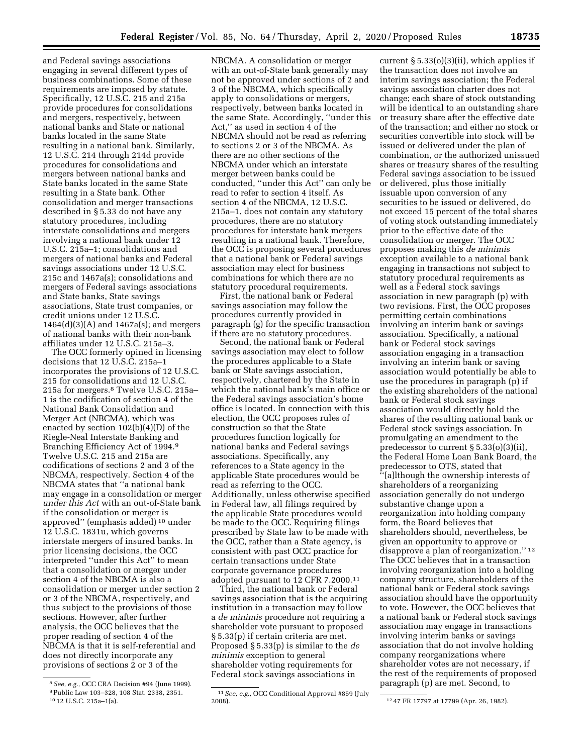and Federal savings associations engaging in several different types of business combinations. Some of these requirements are imposed by statute. Specifically, 12 U.S.C. 215 and 215a provide procedures for consolidations and mergers, respectively, between national banks and State or national banks located in the same State resulting in a national bank. Similarly, 12 U.S.C. 214 through 214d provide procedures for consolidations and mergers between national banks and State banks located in the same State resulting in a State bank. Other consolidation and merger transactions described in § 5.33 do not have any statutory procedures, including interstate consolidations and mergers involving a national bank under 12 U.S.C. 215a–1; consolidations and mergers of national banks and Federal savings associations under 12 U.S.C. 215c and 1467a(s); consolidations and mergers of Federal savings associations and State banks, State savings associations, State trust companies, or credit unions under 12 U.S.C. 1464(d)(3)(A) and 1467a(s); and mergers of national banks with their non-bank affiliates under 12 U.S.C. 215a–3.

The OCC formerly opined in licensing decisions that 12 U.S.C. 215a–1 incorporates the provisions of 12 U.S.C. 215 for consolidations and 12 U.S.C. 215a for mergers.8 Twelve U.S.C. 215a– 1 is the codification of section 4 of the National Bank Consolidation and Merger Act (NBCMA), which was enacted by section 102(b)(4)(D) of the Riegle-Neal Interstate Banking and Branching Efficiency Act of 1994.9 Twelve U.S.C. 215 and 215a are codifications of sections 2 and 3 of the NBCMA, respectively. Section 4 of the NBCMA states that ''a national bank may engage in a consolidation or merger *under this Act* with an out-of-State bank if the consolidation or merger is approved'' (emphasis added) 10 under 12 U.S.C. 1831u, which governs interstate mergers of insured banks. In prior licensing decisions, the OCC interpreted ''under this Act'' to mean that a consolidation or merger under section 4 of the NBCMA is also a consolidation or merger under section 2 or 3 of the NBCMA, respectively, and thus subject to the provisions of those sections. However, after further analysis, the OCC believes that the proper reading of section 4 of the NBCMA is that it is self-referential and does not directly incorporate any provisions of sections 2 or 3 of the

NBCMA. A consolidation or merger with an out-of-State bank generally may not be approved under sections of 2 and 3 of the NBCMA, which specifically apply to consolidations or mergers, respectively, between banks located in the same State. Accordingly, ''under this Act,'' as used in section 4 of the NBCMA should not be read as referring to sections 2 or 3 of the NBCMA. As there are no other sections of the NBCMA under which an interstate merger between banks could be conducted, ''under this Act'' can only be read to refer to section 4 itself. As section 4 of the NBCMA, 12 U.S.C. 215a–1, does not contain any statutory procedures, there are no statutory procedures for interstate bank mergers resulting in a national bank. Therefore, the OCC is proposing several procedures that a national bank or Federal savings association may elect for business combinations for which there are no statutory procedural requirements.

First, the national bank or Federal savings association may follow the procedures currently provided in paragraph (g) for the specific transaction if there are no statutory procedures.

Second, the national bank or Federal savings association may elect to follow the procedures applicable to a State bank or State savings association, respectively, chartered by the State in which the national bank's main office or the Federal savings association's home office is located. In connection with this election, the OCC proposes rules of construction so that the State procedures function logically for national banks and Federal savings associations. Specifically, any references to a State agency in the applicable State procedures would be read as referring to the OCC. Additionally, unless otherwise specified in Federal law, all filings required by the applicable State procedures would be made to the OCC. Requiring filings prescribed by State law to be made with the OCC, rather than a State agency, is consistent with past OCC practice for certain transactions under State corporate governance procedures adopted pursuant to 12 CFR 7.2000.11

Third, the national bank or Federal savings association that is the acquiring institution in a transaction may follow a *de minimis* procedure not requiring a shareholder vote pursuant to proposed § 5.33(p) if certain criteria are met. Proposed § 5.33(p) is similar to the *de minimis* exception to general shareholder voting requirements for Federal stock savings associations in

current § 5.33(o)(3)(ii), which applies if the transaction does not involve an interim savings association; the Federal savings association charter does not change; each share of stock outstanding will be identical to an outstanding share or treasury share after the effective date of the transaction; and either no stock or securities convertible into stock will be issued or delivered under the plan of combination, or the authorized unissued shares or treasury shares of the resulting Federal savings association to be issued or delivered, plus those initially issuable upon conversion of any securities to be issued or delivered, do not exceed 15 percent of the total shares of voting stock outstanding immediately prior to the effective date of the consolidation or merger. The OCC proposes making this *de minimis*  exception available to a national bank engaging in transactions not subject to statutory procedural requirements as well as a Federal stock savings association in new paragraph (p) with two revisions. First, the OCC proposes permitting certain combinations involving an interim bank or savings association. Specifically, a national bank or Federal stock savings association engaging in a transaction involving an interim bank or saving association would potentially be able to use the procedures in paragraph (p) if the existing shareholders of the national bank or Federal stock savings association would directly hold the shares of the resulting national bank or Federal stock savings association. In promulgating an amendment to the predecessor to current § 5.33(o)(3)(ii), the Federal Home Loan Bank Board, the predecessor to OTS, stated that ''[a]lthough the ownership interests of shareholders of a reorganizing association generally do not undergo substantive change upon a reorganization into holding company form, the Board believes that shareholders should, nevertheless, be given an opportunity to approve or disapprove a plan of reorganization.'' 12 The OCC believes that in a transaction involving reorganization into a holding company structure, shareholders of the national bank or Federal stock savings association should have the opportunity to vote. However, the OCC believes that a national bank or Federal stock savings association may engage in transactions involving interim banks or savings association that do not involve holding company reorganizations where shareholder votes are not necessary, if the rest of the requirements of proposed paragraph (p) are met. Second, to

<sup>8</sup>*See, e.g.,* OCC CRA Decision #94 (June 1999). 9Public Law 103–328, 108 Stat. 2338, 2351. 10 12 U.S.C. 215a–1(a).

<sup>11</sup>*See, e.g.,* OCC Conditional Approval #859 (July

<sup>12 47</sup> FR 17797 at 17799 (Apr. 26, 1982).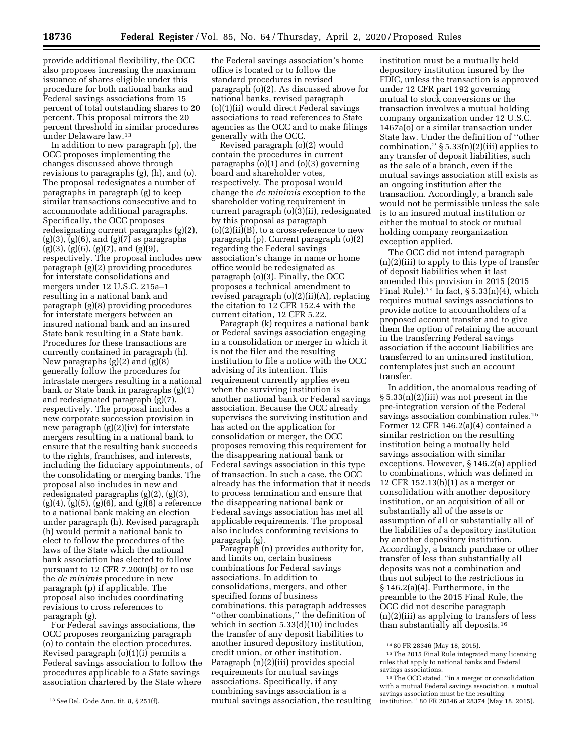provide additional flexibility, the OCC also proposes increasing the maximum issuance of shares eligible under this procedure for both national banks and Federal savings associations from 15 percent of total outstanding shares to 20 percent. This proposal mirrors the 20 percent threshold in similar procedures under Delaware law.13

In addition to new paragraph (p), the OCC proposes implementing the changes discussed above through revisions to paragraphs (g), (h), and (o). The proposal redesignates a number of paragraphs in paragraph (g) to keep similar transactions consecutive and to accommodate additional paragraphs. Specifically, the OCC proposes redesignating current paragraphs (g)(2),  $(g)(3)$ ,  $(g)(6)$ , and  $(g)(7)$  as paragraphs  $(g)(3)$ ,  $(g)(6)$ ,  $(g)(7)$ , and  $(g)(9)$ , respectively. The proposal includes new paragraph (g)(2) providing procedures for interstate consolidations and mergers under 12 U.S.C. 215a–1 resulting in a national bank and paragraph (g)(8) providing procedures for interstate mergers between an insured national bank and an insured State bank resulting in a State bank. Procedures for these transactions are currently contained in paragraph (h). New paragraphs (g)(2) and (g)(8) generally follow the procedures for intrastate mergers resulting in a national bank or State bank in paragraphs (g)(1) and redesignated paragraph (g)(7), respectively. The proposal includes a new corporate succession provision in new paragraph (g)(2)(iv) for interstate mergers resulting in a national bank to ensure that the resulting bank succeeds to the rights, franchises, and interests, including the fiduciary appointments, of the consolidating or merging banks. The proposal also includes in new and redesignated paragraphs (g)(2), (g)(3),  $(g)(4)$ ,  $(g)(5)$ ,  $(g)(6)$ , and  $(g)(8)$  a reference to a national bank making an election under paragraph (h). Revised paragraph (h) would permit a national bank to elect to follow the procedures of the laws of the State which the national bank association has elected to follow pursuant to 12 CFR 7.2000(b) or to use the *de minimis* procedure in new paragraph (p) if applicable. The proposal also includes coordinating revisions to cross references to paragraph (g).

For Federal savings associations, the OCC proposes reorganizing paragraph (o) to contain the election procedures. Revised paragraph (o)(1)(i) permits a Federal savings association to follow the procedures applicable to a State savings association chartered by the State where

the Federal savings association's home office is located or to follow the standard procedures in revised paragraph (o)(2). As discussed above for national banks, revised paragraph (o)(1)(ii) would direct Federal savings associations to read references to State agencies as the OCC and to make filings generally with the OCC.

Revised paragraph (o)(2) would contain the procedures in current paragraphs (o)(1) and (o)(3) governing board and shareholder votes, respectively. The proposal would change the *de minimis* exception to the shareholder voting requirement in current paragraph (o)(3)(ii), redesignated by this proposal as paragraph  $(o)(2)(ii)(B)$ , to a cross-reference to new paragraph (p). Current paragraph (o)(2) regarding the Federal savings association's change in name or home office would be redesignated as paragraph (o)(3). Finally, the OCC proposes a technical amendment to revised paragraph (o)(2)(ii)(A), replacing the citation to 12 CFR 152.4 with the current citation, 12 CFR 5.22.

Paragraph (k) requires a national bank or Federal savings association engaging in a consolidation or merger in which it is not the filer and the resulting institution to file a notice with the OCC advising of its intention. This requirement currently applies even when the surviving institution is another national bank or Federal savings association. Because the OCC already supervises the surviving institution and has acted on the application for consolidation or merger, the OCC proposes removing this requirement for the disappearing national bank or Federal savings association in this type of transaction. In such a case, the OCC already has the information that it needs to process termination and ensure that the disappearing national bank or Federal savings association has met all applicable requirements. The proposal also includes conforming revisions to paragraph (g).

Paragraph (n) provides authority for, and limits on, certain business combinations for Federal savings associations. In addition to consolidations, mergers, and other specified forms of business combinations, this paragraph addresses ''other combinations,'' the definition of which in section 5.33(d)(10) includes the transfer of any deposit liabilities to another insured depository institution, credit union, or other institution. Paragraph (n)(2)(iii) provides special requirements for mutual savings associations. Specifically, if any combining savings association is a mutual savings association, the resulting

institution must be a mutually held depository institution insured by the FDIC, unless the transaction is approved under 12 CFR part 192 governing mutual to stock conversions or the transaction involves a mutual holding company organization under 12 U.S.C. 1467a(o) or a similar transaction under State law. Under the definition of ''other combination,"  $\S 5.33(n)(2)(iii)$  applies to any transfer of deposit liabilities, such as the sale of a branch, even if the mutual savings association still exists as an ongoing institution after the transaction. Accordingly, a branch sale would not be permissible unless the sale is to an insured mutual institution or either the mutual to stock or mutual holding company reorganization exception applied.

The OCC did not intend paragraph (n)(2)(iii) to apply to this type of transfer of deposit liabilities when it last amended this provision in 2015 (2015 Final Rule).<sup>14</sup> In fact, §  $5.33(n)(4)$ , which requires mutual savings associations to provide notice to accountholders of a proposed account transfer and to give them the option of retaining the account in the transferring Federal savings association if the account liabilities are transferred to an uninsured institution, contemplates just such an account transfer.

In addition, the anomalous reading of § 5.33(n)(2)(iii) was not present in the pre-integration version of the Federal savings association combination rules.15 Former 12 CFR 146.2(a)(4) contained a similar restriction on the resulting institution being a mutually held savings association with similar exceptions. However, § 146.2(a) applied to combinations, which was defined in 12 CFR 152.13(b)(1) as a merger or consolidation with another depository institution, or an acquisition of all or substantially all of the assets or assumption of all or substantially all of the liabilities of a depository institution by another depository institution. Accordingly, a branch purchase or other transfer of less than substantially all deposits was not a combination and thus not subject to the restrictions in § 146.2(a)(4). Furthermore, in the preamble to the 2015 Final Rule, the OCC did not describe paragraph (n)(2)(iii) as applying to transfers of less than substantially all deposits.16

<sup>13</sup>*See* Del. Code Ann. tit. 8, § 251(f).

<sup>14</sup> 80 FR 28346 (May 18, 2015).

<sup>15</sup>The 2015 Final Rule integrated many licensing rules that apply to national banks and Federal savings associations.

<sup>16</sup>The OCC stated, ''in a merger or consolidation with a mutual Federal savings association, a mutual savings association must be the resulting institution.'' 80 FR 28346 at 28374 (May 18, 2015).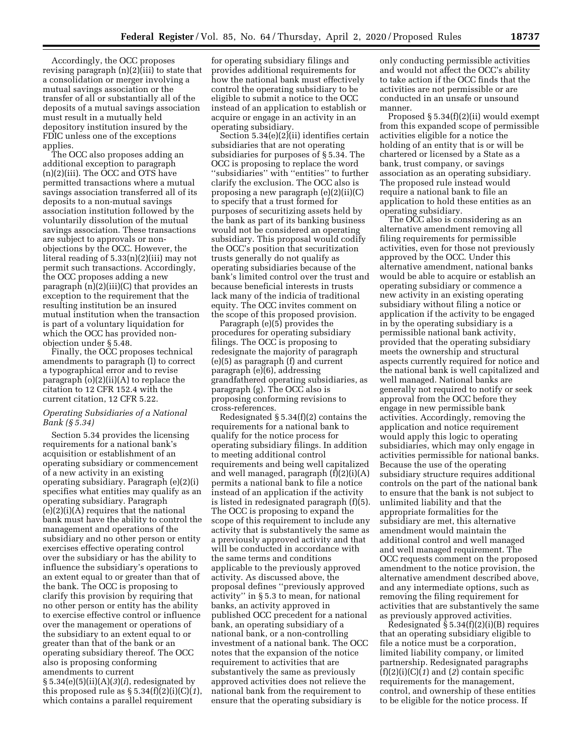Accordingly, the OCC proposes revising paragraph (n)(2)(iii) to state that a consolidation or merger involving a mutual savings association or the transfer of all or substantially all of the deposits of a mutual savings association must result in a mutually held depository institution insured by the FDIC unless one of the exceptions applies.

The OCC also proposes adding an additional exception to paragraph (n)(2)(iii). The OCC and OTS have permitted transactions where a mutual savings association transferred all of its deposits to a non-mutual savings association institution followed by the voluntarily dissolution of the mutual savings association. These transactions are subject to approvals or nonobjections by the OCC. However, the literal reading of 5.33(n)(2)(iii) may not permit such transactions. Accordingly, the OCC proposes adding a new paragraph (n)(2)(iii)(C) that provides an exception to the requirement that the resulting institution be an insured mutual institution when the transaction is part of a voluntary liquidation for which the OCC has provided nonobjection under § 5.48.

Finally, the OCC proposes technical amendments to paragraph (l) to correct a typographical error and to revise paragraph  $(o)(2)(ii)(A)$  to replace the citation to 12 CFR 152.4 with the current citation, 12 CFR 5.22.

### *Operating Subsidiaries of a National Bank (§ 5.34)*

Section 5.34 provides the licensing requirements for a national bank's acquisition or establishment of an operating subsidiary or commencement of a new activity in an existing operating subsidiary. Paragraph (e)(2)(i) specifies what entities may qualify as an operating subsidiary. Paragraph  $(e)(2)(i)(A)$  requires that the national bank must have the ability to control the management and operations of the subsidiary and no other person or entity exercises effective operating control over the subsidiary or has the ability to influence the subsidiary's operations to an extent equal to or greater than that of the bank. The OCC is proposing to clarify this provision by requiring that no other person or entity has the ability to exercise effective control or influence over the management or operations of the subsidiary to an extent equal to or greater than that of the bank or an operating subsidiary thereof. The OCC also is proposing conforming amendments to current

§ 5.34(e)(5)(ii)(A)(*3*)(*i*), redesignated by this proposed rule as  $\S 5.34(f)(2)(i)(C)(1)$ , which contains a parallel requirement

for operating subsidiary filings and provides additional requirements for how the national bank must effectively control the operating subsidiary to be eligible to submit a notice to the OCC instead of an application to establish or acquire or engage in an activity in an operating subsidiary.

Section 5.34(e)(2)(ii) identifies certain subsidiaries that are not operating subsidiaries for purposes of § 5.34. The OCC is proposing to replace the word ''subsidiaries'' with ''entities'' to further clarify the exclusion. The OCC also is proposing a new paragraph (e)(2)(ii)(C) to specify that a trust formed for purposes of securitizing assets held by the bank as part of its banking business would not be considered an operating subsidiary. This proposal would codify the OCC's position that securitization trusts generally do not qualify as operating subsidiaries because of the bank's limited control over the trust and because beneficial interests in trusts lack many of the indicia of traditional equity. The OCC invites comment on the scope of this proposed provision.

Paragraph (e)(5) provides the procedures for operating subsidiary filings. The OCC is proposing to redesignate the majority of paragraph (e)(5) as paragraph (f) and current paragraph (e)(6), addressing grandfathered operating subsidiaries, as paragraph (g). The OCC also is proposing conforming revisions to cross-references.

Redesignated § 5.34(f)(2) contains the requirements for a national bank to qualify for the notice process for operating subsidiary filings. In addition to meeting additional control requirements and being well capitalized and well managed, paragraph (f)(2)(i)(A) permits a national bank to file a notice instead of an application if the activity is listed in redesignated paragraph (f)(5). The OCC is proposing to expand the scope of this requirement to include any activity that is substantively the same as a previously approved activity and that will be conducted in accordance with the same terms and conditions applicable to the previously approved activity. As discussed above, the proposal defines ''previously approved activity'' in § 5.3 to mean, for national banks, an activity approved in published OCC precedent for a national bank, an operating subsidiary of a national bank, or a non-controlling investment of a national bank. The OCC notes that the expansion of the notice requirement to activities that are substantively the same as previously approved activities does not relieve the national bank from the requirement to ensure that the operating subsidiary is

only conducting permissible activities and would not affect the OCC's ability to take action if the OCC finds that the activities are not permissible or are conducted in an unsafe or unsound manner.

Proposed § 5.34(f)(2)(ii) would exempt from this expanded scope of permissible activities eligible for a notice the holding of an entity that is or will be chartered or licensed by a State as a bank, trust company, or savings association as an operating subsidiary. The proposed rule instead would require a national bank to file an application to hold these entities as an operating subsidiary.

The OCC also is considering as an alternative amendment removing all filing requirements for permissible activities, even for those not previously approved by the OCC. Under this alternative amendment, national banks would be able to acquire or establish an operating subsidiary or commence a new activity in an existing operating subsidiary without filing a notice or application if the activity to be engaged in by the operating subsidiary is a permissible national bank activity, provided that the operating subsidiary meets the ownership and structural aspects currently required for notice and the national bank is well capitalized and well managed. National banks are generally not required to notify or seek approval from the OCC before they engage in new permissible bank activities. Accordingly, removing the application and notice requirement would apply this logic to operating subsidiaries, which may only engage in activities permissible for national banks. Because the use of the operating subsidiary structure requires additional controls on the part of the national bank to ensure that the bank is not subject to unlimited liability and that the appropriate formalities for the subsidiary are met, this alternative amendment would maintain the additional control and well managed and well managed requirement. The OCC requests comment on the proposed amendment to the notice provision, the alternative amendment described above, and any intermediate options, such as removing the filing requirement for activities that are substantively the same as previously approved activities.

Redesignated § 5.34(f)(2)(i)(B) requires that an operating subsidiary eligible to file a notice must be a corporation, limited liability company, or limited partnership. Redesignated paragraphs (f)(2)(i)(C)(*1*) and (*2*) contain specific requirements for the management, control, and ownership of these entities to be eligible for the notice process. If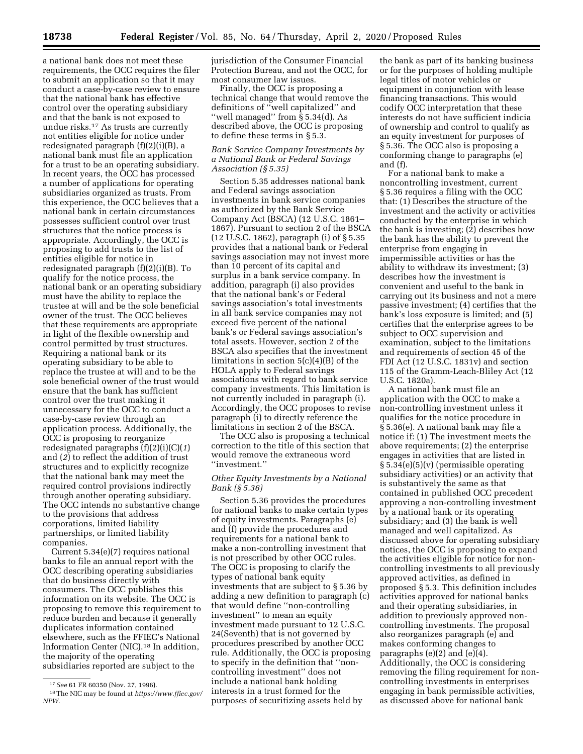a national bank does not meet these requirements, the OCC requires the filer to submit an application so that it may conduct a case-by-case review to ensure that the national bank has effective control over the operating subsidiary and that the bank is not exposed to undue risks.17 As trusts are currently not entities eligible for notice under redesignated paragraph (f)(2)(i)(B), a national bank must file an application for a trust to be an operating subsidiary. In recent years, the OCC has processed a number of applications for operating subsidiaries organized as trusts. From this experience, the OCC believes that a national bank in certain circumstances possesses sufficient control over trust structures that the notice process is appropriate. Accordingly, the OCC is proposing to add trusts to the list of entities eligible for notice in redesignated paragraph (f)(2)(i)(B). To qualify for the notice process, the national bank or an operating subsidiary must have the ability to replace the trustee at will and be the sole beneficial owner of the trust. The OCC believes that these requirements are appropriate in light of the flexible ownership and control permitted by trust structures. Requiring a national bank or its operating subsidiary to be able to replace the trustee at will and to be the sole beneficial owner of the trust would ensure that the bank has sufficient control over the trust making it unnecessary for the OCC to conduct a case-by-case review through an application process. Additionally, the OCC is proposing to reorganize redesignated paragraphs (f)(2)(i)(C)(*1*) and (*2*) to reflect the addition of trust structures and to explicitly recognize that the national bank may meet the required control provisions indirectly through another operating subsidiary. The OCC intends no substantive change to the provisions that address corporations, limited liability partnerships, or limited liability companies.

Current 5.34(e)(7) requires national banks to file an annual report with the OCC describing operating subsidiaries that do business directly with consumers. The OCC publishes this information on its website. The OCC is proposing to remove this requirement to reduce burden and because it generally duplicates information contained elsewhere, such as the FFIEC's National Information Center (NIC).18 In addition, the majority of the operating subsidiaries reported are subject to the

jurisdiction of the Consumer Financial Protection Bureau, and not the OCC, for most consumer law issues.

Finally, the OCC is proposing a technical change that would remove the definitions of ''well capitalized'' and ''well managed'' from § 5.34(d). As described above, the OCC is proposing to define these terms in § 5.3.

### *Bank Service Company Investments by a National Bank or Federal Savings Association (§ 5.35)*

Section 5.35 addresses national bank and Federal savings association investments in bank service companies as authorized by the Bank Service Company Act (BSCA) (12 U.S.C. 1861– 1867). Pursuant to section 2 of the BSCA (12 U.S.C. 1862), paragraph (i) of § 5.35 provides that a national bank or Federal savings association may not invest more than 10 percent of its capital and surplus in a bank service company. In addition, paragraph (i) also provides that the national bank's or Federal savings association's total investments in all bank service companies may not exceed five percent of the national bank's or Federal savings association's total assets. However, section 2 of the BSCA also specifies that the investment limitations in section 5(c)(4)(B) of the HOLA apply to Federal savings associations with regard to bank service company investments. This limitation is not currently included in paragraph (i). Accordingly, the OCC proposes to revise paragraph (i) to directly reference the limitations in section 2 of the BSCA.

The OCC also is proposing a technical correction to the title of this section that would remove the extraneous word ''investment.''

### *Other Equity Investments by a National Bank (§ 5.36)*

Section 5.36 provides the procedures for national banks to make certain types of equity investments. Paragraphs (e) and (f) provide the procedures and requirements for a national bank to make a non-controlling investment that is not prescribed by other OCC rules. The OCC is proposing to clarify the types of national bank equity investments that are subject to § 5.36 by adding a new definition to paragraph (c) that would define ''non-controlling investment'' to mean an equity investment made pursuant to 12 U.S.C. 24(Seventh) that is not governed by procedures prescribed by another OCC rule. Additionally, the OCC is proposing to specify in the definition that ''noncontrolling investment'' does not include a national bank holding interests in a trust formed for the purposes of securitizing assets held by

the bank as part of its banking business or for the purposes of holding multiple legal titles of motor vehicles or equipment in conjunction with lease financing transactions. This would codify OCC interpretation that these interests do not have sufficient indicia of ownership and control to qualify as an equity investment for purposes of § 5.36. The OCC also is proposing a conforming change to paragraphs (e) and (f).

For a national bank to make a noncontrolling investment, current § 5.36 requires a filing with the OCC that: (1) Describes the structure of the investment and the activity or activities conducted by the enterprise in which the bank is investing; (2) describes how the bank has the ability to prevent the enterprise from engaging in impermissible activities or has the ability to withdraw its investment; (3) describes how the investment is convenient and useful to the bank in carrying out its business and not a mere passive investment; (4) certifies that the bank's loss exposure is limited; and (5) certifies that the enterprise agrees to be subject to OCC supervision and examination, subject to the limitations and requirements of section 45 of the FDI Act (12 U.S.C. 1831v) and section 115 of the Gramm-Leach-Bliley Act (12 U.S.C. 1820a).

A national bank must file an application with the OCC to make a non-controlling investment unless it qualifies for the notice procedure in § 5.36(e). A national bank may file a notice if: (1) The investment meets the above requirements; (2) the enterprise engages in activities that are listed in § 5.34(e)(5)(v) (permissible operating subsidiary activities) or an activity that is substantively the same as that contained in published OCC precedent approving a non-controlling investment by a national bank or its operating subsidiary; and (3) the bank is well managed and well capitalized. As discussed above for operating subsidiary notices, the OCC is proposing to expand the activities eligible for notice for noncontrolling investments to all previously approved activities, as defined in proposed § 5.3. This definition includes activities approved for national banks and their operating subsidiaries, in addition to previously approved noncontrolling investments. The proposal also reorganizes paragraph (e) and makes conforming changes to paragraphs (e)(2) and (e)(4). Additionally, the OCC is considering removing the filing requirement for noncontrolling investments in enterprises engaging in bank permissible activities, as discussed above for national bank

<sup>17</sup>*See* 61 FR 60350 (Nov. 27, 1996).

<sup>18</sup>The NIC may be found at *[https://www.ffiec.gov/](https://www.ffiec.gov/NPW)  [NPW.](https://www.ffiec.gov/NPW)*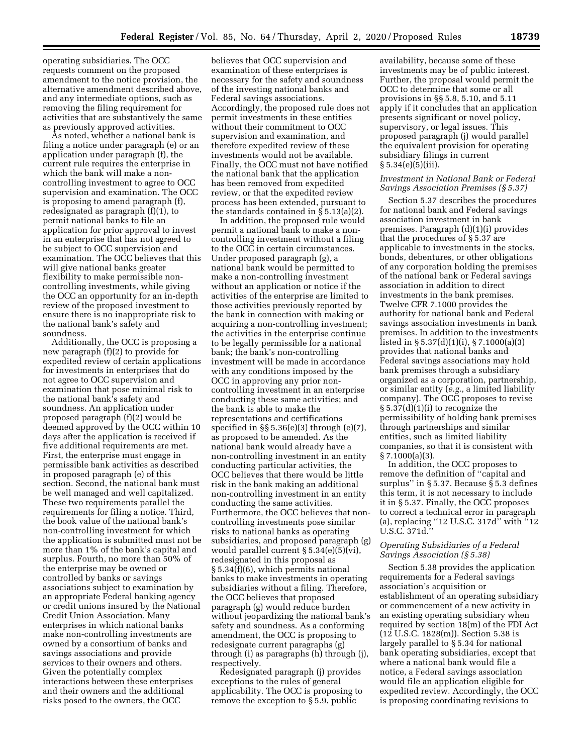operating subsidiaries. The OCC requests comment on the proposed amendment to the notice provision, the alternative amendment described above, and any intermediate options, such as removing the filing requirement for activities that are substantively the same as previously approved activities.

As noted, whether a national bank is filing a notice under paragraph (e) or an application under paragraph (f), the current rule requires the enterprise in which the bank will make a noncontrolling investment to agree to OCC supervision and examination. The OCC is proposing to amend paragraph (f), redesignated as paragraph (f)(1), to permit national banks to file an application for prior approval to invest in an enterprise that has not agreed to be subject to OCC supervision and examination. The OCC believes that this will give national banks greater flexibility to make permissible noncontrolling investments, while giving the OCC an opportunity for an in-depth review of the proposed investment to ensure there is no inappropriate risk to the national bank's safety and soundness.

Additionally, the OCC is proposing a new paragraph (f)(2) to provide for expedited review of certain applications for investments in enterprises that do not agree to OCC supervision and examination that pose minimal risk to the national bank's safety and soundness. An application under proposed paragraph (f)(2) would be deemed approved by the OCC within 10 days after the application is received if five additional requirements are met. First, the enterprise must engage in permissible bank activities as described in proposed paragraph (e) of this section. Second, the national bank must be well managed and well capitalized. These two requirements parallel the requirements for filing a notice. Third, the book value of the national bank's non-controlling investment for which the application is submitted must not be more than 1% of the bank's capital and surplus. Fourth, no more than 50% of the enterprise may be owned or controlled by banks or savings associations subject to examination by an appropriate Federal banking agency or credit unions insured by the National Credit Union Association. Many enterprises in which national banks make non-controlling investments are owned by a consortium of banks and savings associations and provide services to their owners and others. Given the potentially complex interactions between these enterprises and their owners and the additional risks posed to the owners, the OCC

believes that OCC supervision and examination of these enterprises is necessary for the safety and soundness of the investing national banks and Federal savings associations. Accordingly, the proposed rule does not permit investments in these entities without their commitment to OCC supervision and examination, and therefore expedited review of these investments would not be available. Finally, the OCC must not have notified the national bank that the application has been removed from expedited review, or that the expedited review process has been extended, pursuant to the standards contained in § 5.13(a)(2).

In addition, the proposed rule would permit a national bank to make a noncontrolling investment without a filing to the OCC in certain circumstances. Under proposed paragraph (g), a national bank would be permitted to make a non-controlling investment without an application or notice if the activities of the enterprise are limited to those activities previously reported by the bank in connection with making or acquiring a non-controlling investment; the activities in the enterprise continue to be legally permissible for a national bank; the bank's non-controlling investment will be made in accordance with any conditions imposed by the OCC in approving any prior noncontrolling investment in an enterprise conducting these same activities; and the bank is able to make the representations and certifications specified in  $\S$  5.36(e)(3) through (e)(7), as proposed to be amended. As the national bank would already have a non-controlling investment in an entity conducting particular activities, the OCC believes that there would be little risk in the bank making an additional non-controlling investment in an entity conducting the same activities. Furthermore, the OCC believes that noncontrolling investments pose similar risks to national banks as operating subsidiaries, and proposed paragraph (g) would parallel current § 5.34(e)(5)(vi), redesignated in this proposal as § 5.34(f)(6), which permits national banks to make investments in operating subsidiaries without a filing. Therefore, the OCC believes that proposed paragraph (g) would reduce burden without jeopardizing the national bank's safety and soundness. As a conforming amendment, the OCC is proposing to redesignate current paragraphs (g) through (i) as paragraphs (h) through (j), respectively.

Redesignated paragraph (j) provides exceptions to the rules of general applicability. The OCC is proposing to remove the exception to § 5.9, public

availability, because some of these investments may be of public interest. Further, the proposal would permit the OCC to determine that some or all provisions in §§ 5.8, 5.10, and 5.11 apply if it concludes that an application presents significant or novel policy, supervisory, or legal issues. This proposed paragraph (j) would parallel the equivalent provision for operating subsidiary filings in current  $§ 5.34(e)(5)(iii)$ .

#### *Investment in National Bank or Federal Savings Association Premises (§ 5.37)*

Section 5.37 describes the procedures for national bank and Federal savings association investment in bank premises. Paragraph (d)(1)(i) provides that the procedures of § 5.37 are applicable to investments in the stocks, bonds, debentures, or other obligations of any corporation holding the premises of the national bank or Federal savings association in addition to direct investments in the bank premises. Twelve CFR 7.1000 provides the authority for national bank and Federal savings association investments in bank premises. In addition to the investments listed in § 5.37(d)(1)(i), § 7.1000(a)(3) provides that national banks and Federal savings associations may hold bank premises through a subsidiary organized as a corporation, partnership, or similar entity (*e.g.,* a limited liability company). The OCC proposes to revise § 5.37(d)(1)(i) to recognize the permissibility of holding bank premises through partnerships and similar entities, such as limited liability companies, so that it is consistent with § 7.1000(a)(3).

In addition, the OCC proposes to remove the definition of ''capital and surplus'' in § 5.37. Because § 5.3 defines this term, it is not necessary to include it in § 5.37. Finally, the OCC proposes to correct a technical error in paragraph (a), replacing ''12 U.S.C. 317d'' with ''12 U.S.C. 371d.''

### *Operating Subsidiaries of a Federal Savings Association (§ 5.38)*

Section 5.38 provides the application requirements for a Federal savings association's acquisition or establishment of an operating subsidiary or commencement of a new activity in an existing operating subsidiary when required by section 18(m) of the FDI Act (12 U.S.C. 1828(m)). Section 5.38 is largely parallel to § 5.34 for national bank operating subsidiaries, except that where a national bank would file a notice, a Federal savings association would file an application eligible for expedited review. Accordingly, the OCC is proposing coordinating revisions to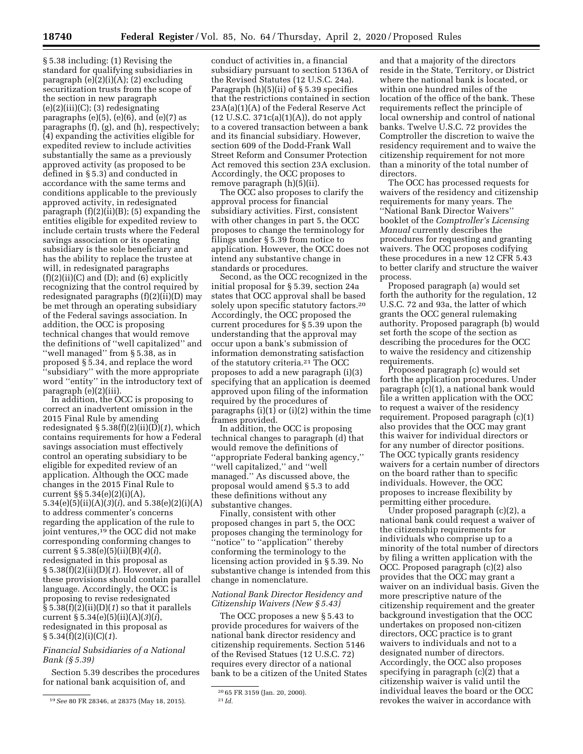§ 5.38 including: (1) Revising the standard for qualifying subsidiaries in paragraph (e)(2)(i)(A); (2) excluding securitization trusts from the scope of the section in new paragraph  $(e)(2)(iii)(C);$  (3) redesignating paragraphs  $(e)(5)$ ,  $(e)(6)$ , and  $(e)(7)$  as paragraphs (f), (g), and (h), respectively; (4) expanding the activities eligible for expedited review to include activities substantially the same as a previously approved activity (as proposed to be defined in § 5.3) and conducted in accordance with the same terms and conditions applicable to the previously approved activity, in redesignated paragraph (f)(2)(ii)(B); (5) expanding the entities eligible for expedited review to include certain trusts where the Federal savings association or its operating subsidiary is the sole beneficiary and has the ability to replace the trustee at will, in redesignated paragraphs  $(f)(2)(ii)(C)$  and  $(D)$ ; and  $(6)$  explicitly recognizing that the control required by redesignated paragraphs (f)(2)(ii)(D) may be met through an operating subsidiary of the Federal savings association. In addition, the OCC is proposing technical changes that would remove the definitions of ''well capitalized'' and ''well managed'' from § 5.38, as in proposed § 5.34, and replace the word ''subsidiary'' with the more appropriate word ''entity'' in the introductory text of paragraph (e)(2)(iii).

In addition, the OCC is proposing to correct an inadvertent omission in the 2015 Final Rule by amending redesignated § 5.38(f)(2)(ii)(D)(*1*), which contains requirements for how a Federal savings association must effectively control an operating subsidiary to be eligible for expedited review of an application. Although the OCC made changes in the 2015 Final Rule to current §§ 5.34(e)(2)(i)(A), 5.34(e)(5)(ii)(A)(*3*)(*i*), and 5.38(e)(2)(i)(A) to address commenter's concerns regarding the application of the rule to joint ventures,19 the OCC did not make corresponding conforming changes to current § 5.38(e)(5)(ii)(B)(*4*)(*i*), redesignated in this proposal as § 5.38(f)(2)(ii)(D)(*1*). However, all of these provisions should contain parallel language. Accordingly, the OCC is proposing to revise redesignated § 5.38(f)(2)(ii)(D)(*1*) so that it parallels current § 5.34(e)(5)(ii)(A)(*3*)(*i*), redesignated in this proposal as § 5.34(f)(2)(i)(C)(*1*).

### *Financial Subsidiaries of a National Bank (§ 5.39)*

Section 5.39 describes the procedures for national bank acquisition of, and

conduct of activities in, a financial subsidiary pursuant to section 5136A of the Revised Statutes (12 U.S.C. 24a). Paragraph (h)(5)(ii) of § 5.39 specifies that the restrictions contained in section 23A(a)(1)(A) of the Federal Reserve Act  $(12 \text{ U.S.C. } 371c(a)(1)(A)),$  do not apply to a covered transaction between a bank and its financial subsidiary. However, section 609 of the Dodd-Frank Wall Street Reform and Consumer Protection Act removed this section 23A exclusion. Accordingly, the OCC proposes to remove paragraph (h)(5)(ii).

The OCC also proposes to clarify the approval process for financial subsidiary activities. First, consistent with other changes in part 5, the OCC proposes to change the terminology for filings under § 5.39 from notice to application. However, the OCC does not intend any substantive change in standards or procedures.

Second, as the OCC recognized in the initial proposal for § 5.39, section 24a states that OCC approval shall be based solely upon specific statutory factors.20 Accordingly, the OCC proposed the current procedures for § 5.39 upon the understanding that the approval may occur upon a bank's submission of information demonstrating satisfaction of the statutory criteria.21 The OCC proposes to add a new paragraph (i)(3) specifying that an application is deemed approved upon filing of the information required by the procedures of paragraphs  $(i)(1)$  or  $(i)(2)$  within the time frames provided.

In addition, the OCC is proposing technical changes to paragraph (d) that would remove the definitions of ''appropriate Federal banking agency,'' ''well capitalized,'' and ''well managed.'' As discussed above, the proposal would amend § 5.3 to add these definitions without any substantive changes.

Finally, consistent with other proposed changes in part 5, the OCC proposes changing the terminology for "notice" to "application" thereby conforming the terminology to the licensing action provided in § 5.39. No substantive change is intended from this change in nomenclature.

### *National Bank Director Residency and Citizenship Waivers (New § 5.43)*

The OCC proposes a new § 5.43 to provide procedures for waivers of the national bank director residency and citizenship requirements. Section 5146 of the Revised Statues (12 U.S.C. 72) requires every director of a national bank to be a citizen of the United States

and that a majority of the directors reside in the State, Territory, or District where the national bank is located, or within one hundred miles of the location of the office of the bank. These requirements reflect the principle of local ownership and control of national banks. Twelve U.S.C. 72 provides the Comptroller the discretion to waive the residency requirement and to waive the citizenship requirement for not more than a minority of the total number of directors.

The OCC has processed requests for waivers of the residency and citizenship requirements for many years. The ''National Bank Director Waivers'' booklet of the *Comptroller's Licensing Manual* currently describes the procedures for requesting and granting waivers. The OCC proposes codifying these procedures in a new 12 CFR 5.43 to better clarify and structure the waiver process.

Proposed paragraph (a) would set forth the authority for the regulation, 12 U.S.C. 72 and 93a, the latter of which grants the OCC general rulemaking authority. Proposed paragraph (b) would set forth the scope of the section as describing the procedures for the OCC to waive the residency and citizenship requirements.

Proposed paragraph (c) would set forth the application procedures. Under paragraph (c)(1), a national bank would file a written application with the OCC to request a waiver of the residency requirement. Proposed paragraph (c)(1) also provides that the OCC may grant this waiver for individual directors or for any number of director positions. The OCC typically grants residency waivers for a certain number of directors on the board rather than to specific individuals. However, the OCC proposes to increase flexibility by permitting either procedure.

Under proposed paragraph (c)(2), a national bank could request a waiver of the citizenship requirements for individuals who comprise up to a minority of the total number of directors by filing a written application with the OCC. Proposed paragraph (c)(2) also provides that the OCC may grant a waiver on an individual basis. Given the more prescriptive nature of the citizenship requirement and the greater background investigation that the OCC undertakes on proposed non-citizen directors, OCC practice is to grant waivers to individuals and not to a designated number of directors. Accordingly, the OCC also proposes specifying in paragraph (c)(2) that a citizenship waiver is valid until the individual leaves the board or the OCC revokes the waiver in accordance with

<sup>19</sup>*See* 80 FR 28346, at 28375 (May 18, 2015).

<sup>20</sup> 65 FR 3159 (Jan. 20, 2000). 21 *Id.*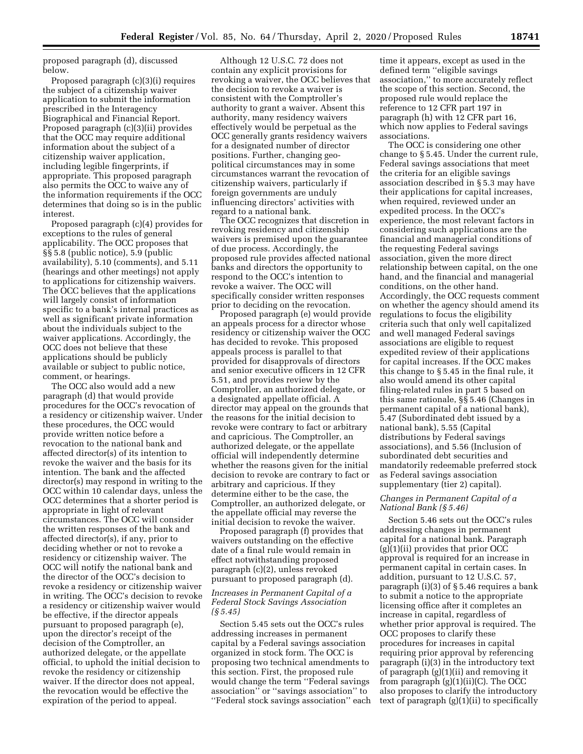proposed paragraph (d), discussed below.

Proposed paragraph (c)(3)(i) requires the subject of a citizenship waiver application to submit the information prescribed in the Interagency Biographical and Financial Report. Proposed paragraph (c)(3)(ii) provides that the OCC may require additional information about the subject of a citizenship waiver application, including legible fingerprints, if appropriate. This proposed paragraph also permits the OCC to waive any of the information requirements if the OCC determines that doing so is in the public interest.

Proposed paragraph (c)(4) provides for exceptions to the rules of general applicability. The OCC proposes that §§ 5.8 (public notice), 5.9 (public availability), 5.10 (comments), and 5.11 (hearings and other meetings) not apply to applications for citizenship waivers. The OCC believes that the applications will largely consist of information specific to a bank's internal practices as well as significant private information about the individuals subject to the waiver applications. Accordingly, the OCC does not believe that these applications should be publicly available or subject to public notice, comment, or hearings.

The OCC also would add a new paragraph (d) that would provide procedures for the OCC's revocation of a residency or citizenship waiver. Under these procedures, the OCC would provide written notice before a revocation to the national bank and affected director(s) of its intention to revoke the waiver and the basis for its intention. The bank and the affected director(s) may respond in writing to the OCC within 10 calendar days, unless the OCC determines that a shorter period is appropriate in light of relevant circumstances. The OCC will consider the written responses of the bank and affected director(s), if any, prior to deciding whether or not to revoke a residency or citizenship waiver. The OCC will notify the national bank and the director of the OCC's decision to revoke a residency or citizenship waiver in writing. The OCC's decision to revoke a residency or citizenship waiver would be effective, if the director appeals pursuant to proposed paragraph (e), upon the director's receipt of the decision of the Comptroller, an authorized delegate, or the appellate official, to uphold the initial decision to revoke the residency or citizenship waiver. If the director does not appeal, the revocation would be effective the expiration of the period to appeal.

Although 12 U.S.C. 72 does not contain any explicit provisions for revoking a waiver, the OCC believes that the decision to revoke a waiver is consistent with the Comptroller's authority to grant a waiver. Absent this authority, many residency waivers effectively would be perpetual as the OCC generally grants residency waivers for a designated number of director positions. Further, changing geopolitical circumstances may in some circumstances warrant the revocation of citizenship waivers, particularly if foreign governments are unduly influencing directors' activities with regard to a national bank.

The OCC recognizes that discretion in revoking residency and citizenship waivers is premised upon the guarantee of due process. Accordingly, the proposed rule provides affected national banks and directors the opportunity to respond to the OCC's intention to revoke a waiver. The OCC will specifically consider written responses prior to deciding on the revocation.

Proposed paragraph (e) would provide an appeals process for a director whose residency or citizenship waiver the OCC has decided to revoke. This proposed appeals process is parallel to that provided for disapprovals of directors and senior executive officers in 12 CFR 5.51, and provides review by the Comptroller, an authorized delegate, or a designated appellate official. A director may appeal on the grounds that the reasons for the initial decision to revoke were contrary to fact or arbitrary and capricious. The Comptroller, an authorized delegate, or the appellate official will independently determine whether the reasons given for the initial decision to revoke are contrary to fact or arbitrary and capricious. If they determine either to be the case, the Comptroller, an authorized delegate, or the appellate official may reverse the initial decision to revoke the waiver.

Proposed paragraph (f) provides that waivers outstanding on the effective date of a final rule would remain in effect notwithstanding proposed paragraph (c)(2), unless revoked pursuant to proposed paragraph (d).

### *Increases in Permanent Capital of a Federal Stock Savings Association (§ 5.45)*

Section 5.45 sets out the OCC's rules addressing increases in permanent capital by a Federal savings association organized in stock form. The OCC is proposing two technical amendments to this section. First, the proposed rule would change the term ''Federal savings association'' or ''savings association'' to ''Federal stock savings association'' each

time it appears, except as used in the defined term ''eligible savings association,'' to more accurately reflect the scope of this section. Second, the proposed rule would replace the reference to 12 CFR part 197 in paragraph (h) with 12 CFR part 16, which now applies to Federal savings associations.

The OCC is considering one other change to § 5.45. Under the current rule, Federal savings associations that meet the criteria for an eligible savings association described in § 5.3 may have their applications for capital increases, when required, reviewed under an expedited process. In the OCC's experience, the most relevant factors in considering such applications are the financial and managerial conditions of the requesting Federal savings association, given the more direct relationship between capital, on the one hand, and the financial and managerial conditions, on the other hand. Accordingly, the OCC requests comment on whether the agency should amend its regulations to focus the eligibility criteria such that only well capitalized and well managed Federal savings associations are eligible to request expedited review of their applications for capital increases. If the OCC makes this change to § 5.45 in the final rule, it also would amend its other capital filing-related rules in part 5 based on this same rationale, §§ 5.46 (Changes in permanent capital of a national bank), 5.47 (Subordinated debt issued by a national bank), 5.55 (Capital distributions by Federal savings associations), and 5.56 (Inclusion of subordinated debt securities and mandatorily redeemable preferred stock as Federal savings association supplementary (tier 2) capital).

### *Changes in Permanent Capital of a National Bank (§ 5.46)*

Section 5.46 sets out the OCC's rules addressing changes in permanent capital for a national bank. Paragraph  $(g)(1)(ii)$  provides that prior OCC approval is required for an increase in permanent capital in certain cases. In addition, pursuant to 12 U.S.C. 57, paragraph (i)(3) of § 5.46 requires a bank to submit a notice to the appropriate licensing office after it completes an increase in capital, regardless of whether prior approval is required. The OCC proposes to clarify these procedures for increases in capital requiring prior approval by referencing paragraph (i)(3) in the introductory text of paragraph (g)(1)(ii) and removing it from paragraph (g)(1)(ii)(C). The OCC also proposes to clarify the introductory text of paragraph (g)(1)(ii) to specifically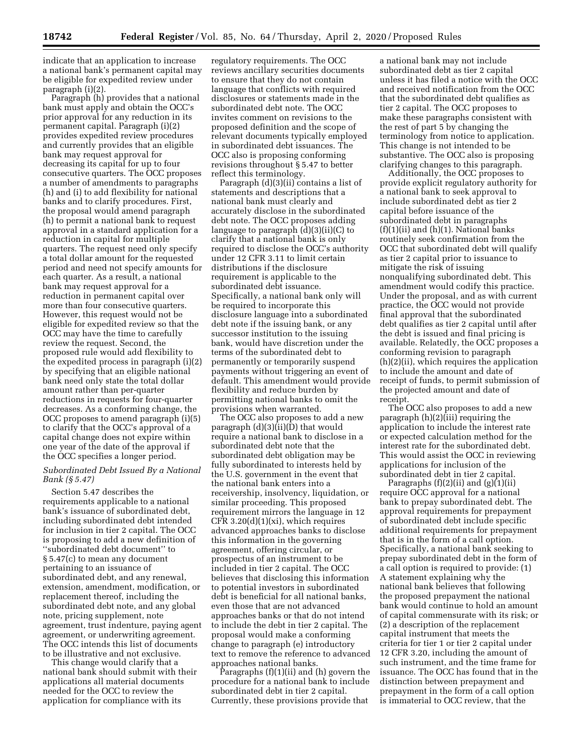indicate that an application to increase a national bank's permanent capital may be eligible for expedited review under paragraph (i)(2).

Paragraph (h) provides that a national bank must apply and obtain the OCC's prior approval for any reduction in its permanent capital. Paragraph (i)(2) provides expedited review procedures and currently provides that an eligible bank may request approval for decreasing its capital for up to four consecutive quarters. The OCC proposes a number of amendments to paragraphs (h) and (i) to add flexibility for national banks and to clarify procedures. First, the proposal would amend paragraph (h) to permit a national bank to request approval in a standard application for a reduction in capital for multiple quarters. The request need only specify a total dollar amount for the requested period and need not specify amounts for each quarter. As a result, a national bank may request approval for a reduction in permanent capital over more than four consecutive quarters. However, this request would not be eligible for expedited review so that the OCC may have the time to carefully review the request. Second, the proposed rule would add flexibility to the expedited process in paragraph (i)(2) by specifying that an eligible national bank need only state the total dollar amount rather than per-quarter reductions in requests for four-quarter decreases. As a conforming change, the OCC proposes to amend paragraph (i)(5) to clarify that the OCC's approval of a capital change does not expire within one year of the date of the approval if the OCC specifies a longer period.

### *Subordinated Debt Issued By a National Bank (§ 5.47)*

Section 5.47 describes the requirements applicable to a national bank's issuance of subordinated debt, including subordinated debt intended for inclusion in tier 2 capital. The OCC is proposing to add a new definition of ''subordinated debt document'' to § 5.47(c) to mean any document pertaining to an issuance of subordinated debt, and any renewal, extension, amendment, modification, or replacement thereof, including the subordinated debt note, and any global note, pricing supplement, note agreement, trust indenture, paying agent agreement, or underwriting agreement. The OCC intends this list of documents to be illustrative and not exclusive.

This change would clarify that a national bank should submit with their applications all material documents needed for the OCC to review the application for compliance with its

regulatory requirements. The OCC reviews ancillary securities documents to ensure that they do not contain language that conflicts with required disclosures or statements made in the subordinated debt note. The OCC invites comment on revisions to the proposed definition and the scope of relevant documents typically employed in subordinated debt issuances. The OCC also is proposing conforming revisions throughout § 5.47 to better reflect this terminology.

Paragraph (d)(3)(ii) contains a list of statements and descriptions that a national bank must clearly and accurately disclose in the subordinated debt note. The OCC proposes adding language to paragraph (d)(3)(ii)(C) to clarify that a national bank is only required to disclose the OCC's authority under 12 CFR 3.11 to limit certain distributions if the disclosure requirement is applicable to the subordinated debt issuance. Specifically, a national bank only will be required to incorporate this disclosure language into a subordinated debt note if the issuing bank, or any successor institution to the issuing bank, would have discretion under the terms of the subordinated debt to permanently or temporarily suspend payments without triggering an event of default. This amendment would provide flexibility and reduce burden by permitting national banks to omit the provisions when warranted.

The OCC also proposes to add a new paragraph  $(d)(3)(\overline{ii})(\overline{D})$  that would require a national bank to disclose in a subordinated debt note that the subordinated debt obligation may be fully subordinated to interests held by the U.S. government in the event that the national bank enters into a receivership, insolvency, liquidation, or similar proceeding. This proposed requirement mirrors the language in 12 CFR 3.20(d)(1)(xi), which requires advanced approaches banks to disclose this information in the governing agreement, offering circular, or prospectus of an instrument to be included in tier 2 capital. The OCC believes that disclosing this information to potential investors in subordinated debt is beneficial for all national banks, even those that are not advanced approaches banks or that do not intend to include the debt in tier 2 capital. The proposal would make a conforming change to paragraph (e) introductory text to remove the reference to advanced approaches national banks.

Paragraphs (f)(1)(ii) and (h) govern the procedure for a national bank to include subordinated debt in tier 2 capital. Currently, these provisions provide that

a national bank may not include subordinated debt as tier 2 capital unless it has filed a notice with the OCC and received notification from the OCC that the subordinated debt qualifies as tier 2 capital. The OCC proposes to make these paragraphs consistent with the rest of part 5 by changing the terminology from notice to application. This change is not intended to be substantive. The OCC also is proposing clarifying changes to this paragraph.

Additionally, the OCC proposes to provide explicit regulatory authority for a national bank to seek approval to include subordinated debt as tier 2 capital before issuance of the subordinated debt in paragraphs  $(f)(1)(ii)$  and  $(h)(1)$ . National banks routinely seek confirmation from the OCC that subordinated debt will qualify as tier 2 capital prior to issuance to mitigate the risk of issuing nonqualifying subordinated debt. This amendment would codify this practice. Under the proposal, and as with current practice, the OCC would not provide final approval that the subordinated debt qualifies as tier 2 capital until after the debt is issued and final pricing is available. Relatedly, the OCC proposes a conforming revision to paragraph (h)(2)(ii), which requires the application to include the amount and date of receipt of funds, to permit submission of the projected amount and date of receipt.

The OCC also proposes to add a new paragraph  $(h)(2)$ (iii) requiring the application to include the interest rate or expected calculation method for the interest rate for the subordinated debt. This would assist the OCC in reviewing applications for inclusion of the subordinated debt in tier 2 capital.

Paragraphs  $(f)(2)(ii)$  and  $(g)(1)(ii)$ require OCC approval for a national bank to prepay subordinated debt. The approval requirements for prepayment of subordinated debt include specific additional requirements for prepayment that is in the form of a call option. Specifically, a national bank seeking to prepay subordinated debt in the form of a call option is required to provide: (1) A statement explaining why the national bank believes that following the proposed prepayment the national bank would continue to hold an amount of capital commensurate with its risk; or (2) a description of the replacement capital instrument that meets the criteria for tier 1 or tier 2 capital under 12 CFR 3.20, including the amount of such instrument, and the time frame for issuance. The OCC has found that in the distinction between prepayment and prepayment in the form of a call option is immaterial to OCC review, that the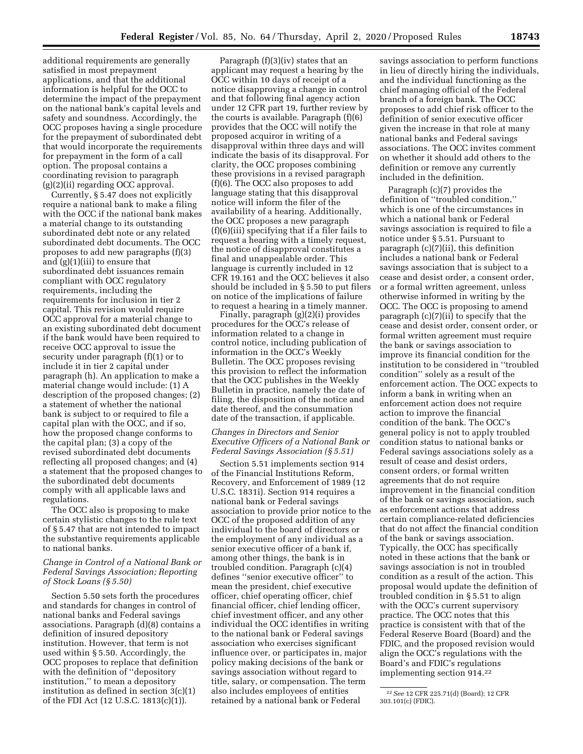additional requirements are generally satisfied in most prepayment applications, and that the additional information is helpful for the OCC to determine the impact of the prepayment on the national bank's capital levels and safety and soundness. Accordingly, the OCC proposes having a single procedure for the prepayment of subordinated debt that would incorporate the requirements for prepayment in the form of a call option. The proposal contains a coordinating revision to paragraph (g)(2)(ii) regarding OCC approval.

Currently, § 5.47 does not explicitly require a national bank to make a filing with the OCC if the national bank makes a material change to its outstanding subordinated debt note or any related subordinated debt documents. The OCC proposes to add new paragraphs (f)(3) and (g)(1)(iii) to ensure that subordinated debt issuances remain compliant with OCC regulatory requirements, including the requirements for inclusion in tier 2 capital. This revision would require OCC approval for a material change to an existing subordinated debt document if the bank would have been required to receive OCC approval to issue the security under paragraph (f)(1) or to include it in tier 2 capital under paragraph (h). An application to make a material change would include: (1) A description of the proposed changes; (2) a statement of whether the national bank is subject to or required to file a capital plan with the OCC, and if so, how the proposed change conforms to the capital plan; (3) a copy of the revised subordinated debt documents reflecting all proposed changes; and (4) a statement that the proposed changes to the subordinated debt documents comply with all applicable laws and regulations.

The OCC also is proposing to make certain stylistic changes to the rule text of § 5.47 that are not intended to impact the substantive requirements applicable to national banks.

### *Change in Control of a National Bank or Federal Savings Association; Reporting of Stock Loans (§ 5.50)*

Section 5.50 sets forth the procedures and standards for changes in control of national banks and Federal savings associations. Paragraph (d)(8) contains a definition of insured depository institution. However, that term is not used within § 5.50. Accordingly, the OCC proposes to replace that definition with the definition of ''depository institution,'' to mean a depository institution as defined in section 3(c)(1) of the FDI Act (12 U.S.C. 1813(c)(1)).

Paragraph (f)(3)(iv) states that an applicant may request a hearing by the OCC within 10 days of receipt of a notice disapproving a change in control and that following final agency action under 12 CFR part 19, further review by the courts is available. Paragraph (f)(6) provides that the OCC will notify the proposed acquiror in writing of a disapproval within three days and will indicate the basis of its disapproval. For clarity, the OCC proposes combining these provisions in a revised paragraph (f)(6). The OCC also proposes to add language stating that this disapproval notice will inform the filer of the availability of a hearing. Additionally, the OCC proposes a new paragraph (f)(6)(iii) specifying that if a filer fails to request a hearing with a timely request, the notice of disapproval constitutes a final and unappealable order. This language is currently included in 12 CFR 19.161 and the OCC believes it also should be included in § 5.50 to put filers on notice of the implications of failure to request a hearing in a timely manner.

Finally, paragraph (g)(2)(i) provides procedures for the OCC's release of information related to a change in control notice, including publication of information in the OCC's Weekly Bulletin. The OCC proposes revising this provision to reflect the information that the OCC publishes in the Weekly Bulletin in practice, namely the date of filing, the disposition of the notice and date thereof, and the consummation date of the transaction, if applicable.

### *Changes in Directors and Senior Executive Officers of a National Bank or Federal Savings Association (§ 5.51)*

Section 5.51 implements section 914 of the Financial Institutions Reform, Recovery, and Enforcement of 1989 (12 U.S.C. 1831i). Section 914 requires a national bank or Federal savings association to provide prior notice to the OCC of the proposed addition of any individual to the board of directors or the employment of any individual as a senior executive officer of a bank if, among other things, the bank is in troubled condition. Paragraph (c)(4) defines ''senior executive officer'' to mean the president, chief executive officer, chief operating officer, chief financial officer, chief lending officer, chief investment officer, and any other individual the OCC identifies in writing to the national bank or Federal savings association who exercises significant influence over, or participates in, major policy making decisions of the bank or savings association without regard to title, salary, or compensation. The term also includes employees of entities retained by a national bank or Federal

savings association to perform functions in lieu of directly hiring the individuals, and the individual functioning as the chief managing official of the Federal branch of a foreign bank. The OCC proposes to add chief risk officer to the definition of senior executive officer given the increase in that role at many national banks and Federal savings associations. The OCC invites comment on whether it should add others to the definition or remove any currently included in the definition.

Paragraph (c)(7) provides the definition of ''troubled condition,'' which is one of the circumstances in which a national bank or Federal savings association is required to file a notice under § 5.51. Pursuant to paragraph (c)(7)(ii), this definition includes a national bank or Federal savings association that is subject to a cease and desist order, a consent order, or a formal written agreement, unless otherwise informed in writing by the OCC. The OCC is proposing to amend paragraph (c)(7)(ii) to specify that the cease and desist order, consent order, or formal written agreement must require the bank or savings association to improve its financial condition for the institution to be considered in ''troubled condition'' solely as a result of the enforcement action. The OCC expects to inform a bank in writing when an enforcement action does not require action to improve the financial condition of the bank. The OCC's general policy is not to apply troubled condition status to national banks or Federal savings associations solely as a result of cease and desist orders, consent orders, or formal written agreements that do not require improvement in the financial condition of the bank or savings association, such as enforcement actions that address certain compliance-related deficiencies that do not affect the financial condition of the bank or savings association. Typically, the OCC has specifically noted in these actions that the bank or savings association is not in troubled condition as a result of the action. This proposal would update the definition of troubled condition in § 5.51 to align with the OCC's current supervisory practice. The OCC notes that this practice is consistent with that of the Federal Reserve Board (Board) and the FDIC, and the proposed revision would align the OCC's regulations with the Board's and FDIC's regulations implementing section 914.22

<sup>22</sup>*See* 12 CFR 225.71(d) (Board); 12 CFR 303.101(c) (FDIC).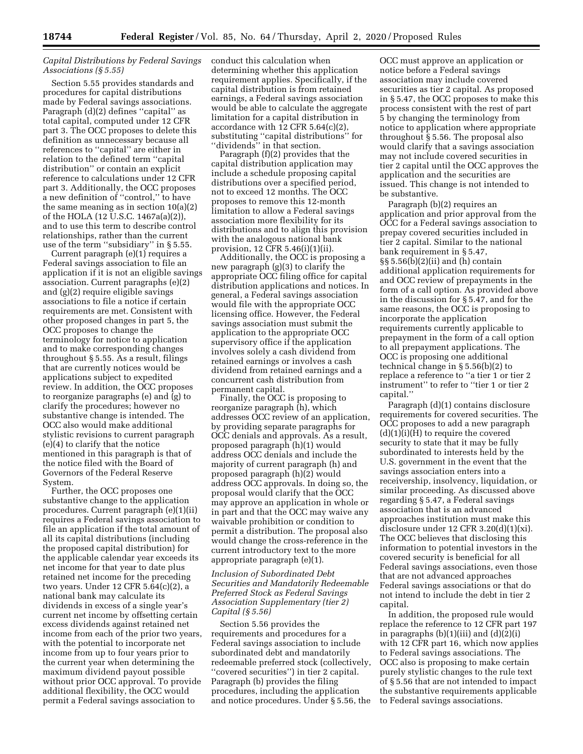### *Capital Distributions by Federal Savings Associations (§ 5.55)*

Section 5.55 provides standards and procedures for capital distributions made by Federal savings associations. Paragraph (d)(2) defines ''capital'' as total capital, computed under 12 CFR part 3. The OCC proposes to delete this definition as unnecessary because all references to ''capital'' are either in relation to the defined term ''capital distribution'' or contain an explicit reference to calculations under 12 CFR part 3. Additionally, the OCC proposes a new definition of ''control,'' to have the same meaning as in section 10(a)(2) of the HOLA (12 U.S.C. 1467a(a)(2)), and to use this term to describe control relationships, rather than the current use of the term ''subsidiary'' in § 5.55.

Current paragraph (e)(1) requires a Federal savings association to file an application if it is not an eligible savings association. Current paragraphs (e)(2) and (g)(2) require eligible savings associations to file a notice if certain requirements are met. Consistent with other proposed changes in part 5, the OCC proposes to change the terminology for notice to application and to make corresponding changes throughout § 5.55. As a result, filings that are currently notices would be applications subject to expedited review. In addition, the OCC proposes to reorganize paragraphs (e) and (g) to clarify the procedures; however no substantive change is intended. The OCC also would make additional stylistic revisions to current paragraph (e)(4) to clarify that the notice mentioned in this paragraph is that of the notice filed with the Board of Governors of the Federal Reserve System.

Further, the OCC proposes one substantive change to the application procedures. Current paragraph (e)(1)(ii) requires a Federal savings association to file an application if the total amount of all its capital distributions (including the proposed capital distribution) for the applicable calendar year exceeds its net income for that year to date plus retained net income for the preceding two years. Under 12 CFR 5.64(c)(2), a national bank may calculate its dividends in excess of a single year's current net income by offsetting certain excess dividends against retained net income from each of the prior two years, with the potential to incorporate net income from up to four years prior to the current year when determining the maximum dividend payout possible without prior OCC approval. To provide additional flexibility, the OCC would permit a Federal savings association to

conduct this calculation when determining whether this application requirement applies. Specifically, if the capital distribution is from retained earnings, a Federal savings association would be able to calculate the aggregate limitation for a capital distribution in accordance with 12 CFR 5.64(c)(2), substituting ''capital distributions'' for ''dividends'' in that section.

Paragraph (f)(2) provides that the capital distribution application may include a schedule proposing capital distributions over a specified period, not to exceed 12 months. The OCC proposes to remove this 12-month limitation to allow a Federal savings association more flexibility for its distributions and to align this provision with the analogous national bank provision, 12 CFR 5.46(i)(1)(ii).

Additionally, the OCC is proposing a new paragraph (g)(3) to clarify the appropriate OCC filing office for capital distribution applications and notices. In general, a Federal savings association would file with the appropriate OCC licensing office. However, the Federal savings association must submit the application to the appropriate OCC supervisory office if the application involves solely a cash dividend from retained earnings or involves a cash dividend from retained earnings and a concurrent cash distribution from permanent capital.

Finally, the OCC is proposing to reorganize paragraph (h), which addresses OCC review of an application, by providing separate paragraphs for OCC denials and approvals. As a result, proposed paragraph (h)(1) would address OCC denials and include the majority of current paragraph (h) and proposed paragraph (h)(2) would address OCC approvals. In doing so, the proposal would clarify that the OCC may approve an application in whole or in part and that the OCC may waive any waivable prohibition or condition to permit a distribution. The proposal also would change the cross-reference in the current introductory text to the more appropriate paragraph (e)(1).

### *Inclusion of Subordinated Debt Securities and Mandatorily Redeemable Preferred Stock as Federal Savings Association Supplementary (tier 2) Capital (§ 5.56)*

Section 5.56 provides the requirements and procedures for a Federal savings association to include subordinated debt and mandatorily redeemable preferred stock (collectively, ''covered securities'') in tier 2 capital. Paragraph (b) provides the filing procedures, including the application and notice procedures. Under § 5.56, the

OCC must approve an application or notice before a Federal savings association may include covered securities as tier 2 capital. As proposed in § 5.47, the OCC proposes to make this process consistent with the rest of part 5 by changing the terminology from notice to application where appropriate throughout § 5.56. The proposal also would clarify that a savings association may not include covered securities in tier 2 capital until the OCC approves the application and the securities are issued. This change is not intended to be substantive.

Paragraph (b)(2) requires an application and prior approval from the OCC for a Federal savings association to prepay covered securities included in tier 2 capital. Similar to the national bank requirement in § 5.47, §§ 5.56(b)(2)(ii) and (h) contain additional application requirements for and OCC review of prepayments in the form of a call option. As provided above in the discussion for § 5.47, and for the same reasons, the OCC is proposing to incorporate the application requirements currently applicable to prepayment in the form of a call option to all prepayment applications. The OCC is proposing one additional technical change in § 5.56(b)(2) to replace a reference to ''a tier 1 or tier 2 instrument'' to refer to ''tier 1 or tier 2 capital.''

Paragraph (d)(1) contains disclosure requirements for covered securities. The OCC proposes to add a new paragraph  $(d)(1)(i)(H)$  to require the covered security to state that it may be fully subordinated to interests held by the U.S. government in the event that the savings association enters into a receivership, insolvency, liquidation, or similar proceeding. As discussed above regarding § 5.47, a Federal savings association that is an advanced approaches institution must make this disclosure under 12 CFR 3.20(d)(1)(xi). The OCC believes that disclosing this information to potential investors in the covered security is beneficial for all Federal savings associations, even those that are not advanced approaches Federal savings associations or that do not intend to include the debt in tier 2 capital.

In addition, the proposed rule would replace the reference to 12 CFR part 197 in paragraphs  $(b)(1)(iii)$  and  $(d)(2)(i)$ with 12 CFR part 16, which now applies to Federal savings associations. The OCC also is proposing to make certain purely stylistic changes to the rule text of § 5.56 that are not intended to impact the substantive requirements applicable to Federal savings associations.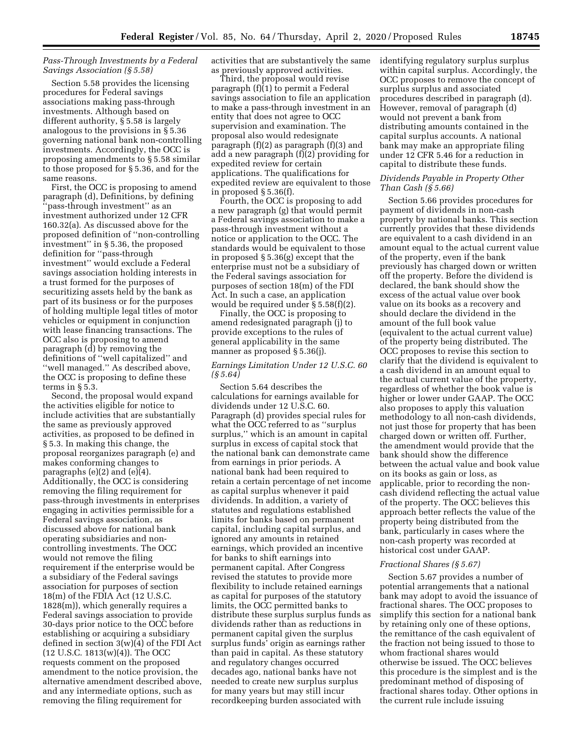### *Pass-Through Investments by a Federal Savings Association (§ 5.58)*

Section 5.58 provides the licensing procedures for Federal savings associations making pass-through investments. Although based on different authority, § 5.58 is largely analogous to the provisions in § 5.36 governing national bank non-controlling investments. Accordingly, the OCC is proposing amendments to § 5.58 similar to those proposed for § 5.36, and for the same reasons.

First, the OCC is proposing to amend paragraph (d), Definitions, by defining 'pass-through investment'' as an investment authorized under 12 CFR 160.32(a). As discussed above for the proposed definition of ''non-controlling investment'' in § 5.36, the proposed definition for ''pass-through investment'' would exclude a Federal savings association holding interests in a trust formed for the purposes of securitizing assets held by the bank as part of its business or for the purposes of holding multiple legal titles of motor vehicles or equipment in conjunction with lease financing transactions. The OCC also is proposing to amend paragraph (d) by removing the definitions of ''well capitalized'' and ''well managed.'' As described above, the OCC is proposing to define these terms in § 5.3.

Second, the proposal would expand the activities eligible for notice to include activities that are substantially the same as previously approved activities, as proposed to be defined in § 5.3. In making this change, the proposal reorganizes paragraph (e) and makes conforming changes to paragraphs (e)(2) and (e)(4). Additionally, the OCC is considering removing the filing requirement for pass-through investments in enterprises engaging in activities permissible for a Federal savings association, as discussed above for national bank operating subsidiaries and noncontrolling investments. The OCC would not remove the filing requirement if the enterprise would be a subsidiary of the Federal savings association for purposes of section 18(m) of the FDIA Act (12 U.S.C. 1828(m)), which generally requires a Federal savings association to provide 30-days prior notice to the OCC before establishing or acquiring a subsidiary defined in section 3(w)(4) of the FDI Act (12 U.S.C. 1813(w)(4)). The OCC requests comment on the proposed amendment to the notice provision, the alternative amendment described above, and any intermediate options, such as removing the filing requirement for

activities that are substantively the same as previously approved activities.

Third, the proposal would revise paragraph (f)(1) to permit a Federal savings association to file an application to make a pass-through investment in an entity that does not agree to OCC supervision and examination. The proposal also would redesignate paragraph (f)(2) as paragraph (f)(3) and add a new paragraph (f)(2) providing for expedited review for certain applications. The qualifications for expedited review are equivalent to those in proposed § 5.36(f).

Fourth, the OCC is proposing to add a new paragraph (g) that would permit a Federal savings association to make a pass-through investment without a notice or application to the OCC. The standards would be equivalent to those in proposed § 5.36(g) except that the enterprise must not be a subsidiary of the Federal savings association for purposes of section 18(m) of the FDI Act. In such a case, an application would be required under § 5.58(f)(2).

Finally, the OCC is proposing to amend redesignated paragraph (j) to provide exceptions to the rules of general applicability in the same manner as proposed § 5.36(j).

### *Earnings Limitation Under 12 U.S.C. 60 (§ 5.64)*

Section 5.64 describes the calculations for earnings available for dividends under 12 U.S.C. 60. Paragraph (d) provides special rules for what the OCC referred to as ''surplus surplus,'' which is an amount in capital surplus in excess of capital stock that the national bank can demonstrate came from earnings in prior periods. A national bank had been required to retain a certain percentage of net income as capital surplus whenever it paid dividends. In addition, a variety of statutes and regulations established limits for banks based on permanent capital, including capital surplus, and ignored any amounts in retained earnings, which provided an incentive for banks to shift earnings into permanent capital. After Congress revised the statutes to provide more flexibility to include retained earnings as capital for purposes of the statutory limits, the OCC permitted banks to distribute these surplus surplus funds as dividends rather than as reductions in permanent capital given the surplus surplus funds' origin as earnings rather than paid in capital. As these statutory and regulatory changes occurred decades ago, national banks have not needed to create new surplus surplus for many years but may still incur recordkeeping burden associated with

identifying regulatory surplus surplus within capital surplus. Accordingly, the OCC proposes to remove the concept of surplus surplus and associated procedures described in paragraph (d). However, removal of paragraph (d) would not prevent a bank from distributing amounts contained in the capital surplus accounts. A national bank may make an appropriate filing under 12 CFR 5.46 for a reduction in capital to distribute these funds.

### *Dividends Payable in Property Other Than Cash (§ 5.66)*

Section 5.66 provides procedures for payment of dividends in non-cash property by national banks. This section currently provides that these dividends are equivalent to a cash dividend in an amount equal to the actual current value of the property, even if the bank previously has charged down or written off the property. Before the dividend is declared, the bank should show the excess of the actual value over book value on its books as a recovery and should declare the dividend in the amount of the full book value (equivalent to the actual current value) of the property being distributed. The OCC proposes to revise this section to clarify that the dividend is equivalent to a cash dividend in an amount equal to the actual current value of the property, regardless of whether the book value is higher or lower under GAAP. The OCC also proposes to apply this valuation methodology to all non-cash dividends, not just those for property that has been charged down or written off. Further, the amendment would provide that the bank should show the difference between the actual value and book value on its books as gain or loss, as applicable, prior to recording the noncash dividend reflecting the actual value of the property. The OCC believes this approach better reflects the value of the property being distributed from the bank, particularly in cases where the non-cash property was recorded at historical cost under GAAP.

#### *Fractional Shares (§ 5.67)*

Section 5.67 provides a number of potential arrangements that a national bank may adopt to avoid the issuance of fractional shares. The OCC proposes to simplify this section for a national bank by retaining only one of these options, the remittance of the cash equivalent of the fraction not being issued to those to whom fractional shares would otherwise be issued. The OCC believes this procedure is the simplest and is the predominant method of disposing of fractional shares today. Other options in the current rule include issuing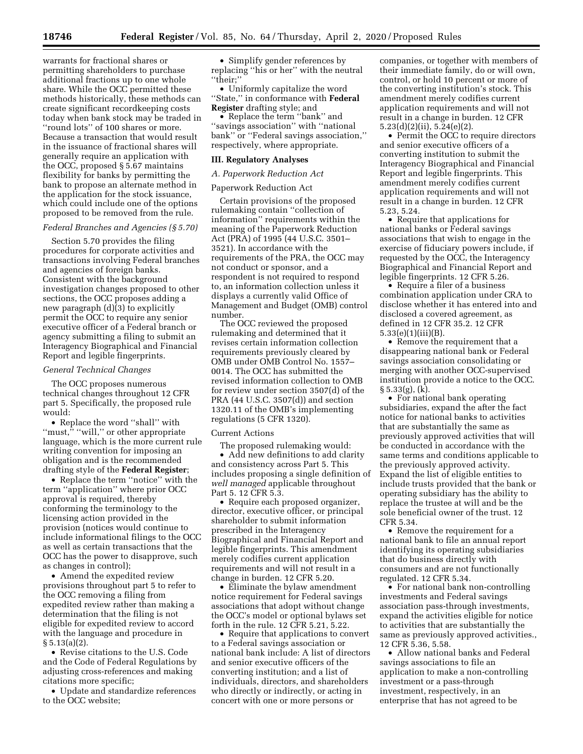warrants for fractional shares or permitting shareholders to purchase additional fractions up to one whole share. While the OCC permitted these methods historically, these methods can create significant recordkeeping costs today when bank stock may be traded in ''round lots'' of 100 shares or more. Because a transaction that would result in the issuance of fractional shares will generally require an application with the OCC, proposed § 5.67 maintains flexibility for banks by permitting the bank to propose an alternate method in the application for the stock issuance, which could include one of the options proposed to be removed from the rule.

#### *Federal Branches and Agencies (§ 5.70)*

Section 5.70 provides the filing procedures for corporate activities and transactions involving Federal branches and agencies of foreign banks. Consistent with the background investigation changes proposed to other sections, the OCC proposes adding a new paragraph (d)(3) to explicitly permit the OCC to require any senior executive officer of a Federal branch or agency submitting a filing to submit an Interagency Biographical and Financial Report and legible fingerprints.

#### *General Technical Changes*

The OCC proposes numerous technical changes throughout 12 CFR part 5. Specifically, the proposed rule would:

• Replace the word ''shall'' with "must," "will," or other appropriate language, which is the more current rule writing convention for imposing an obligation and is the recommended drafting style of the **Federal Register**;

• Replace the term ''notice'' with the term ''application'' where prior OCC approval is required, thereby conforming the terminology to the licensing action provided in the provision (notices would continue to include informational filings to the OCC as well as certain transactions that the OCC has the power to disapprove, such as changes in control);

• Amend the expedited review provisions throughout part 5 to refer to the OCC removing a filing from expedited review rather than making a determination that the filing is not eligible for expedited review to accord with the language and procedure in § 5.13(a)(2).

• Revise citations to the U.S. Code and the Code of Federal Regulations by adjusting cross-references and making citations more specific;

• Update and standardize references to the OCC website;

• Simplify gender references by replacing ''his or her'' with the neutral ''their;''

• Uniformly capitalize the word ''State,'' in conformance with **Federal Register** drafting style; and

• Replace the term ''bank'' and ''savings association'' with ''national bank'' or ''Federal savings association,'' respectively, where appropriate.

#### **III. Regulatory Analyses**

### *A. Paperwork Reduction Act*

#### Paperwork Reduction Act

Certain provisions of the proposed rulemaking contain ''collection of information'' requirements within the meaning of the Paperwork Reduction Act (PRA) of 1995 (44 U.S.C. 3501– 3521). In accordance with the requirements of the PRA, the OCC may not conduct or sponsor, and a respondent is not required to respond to, an information collection unless it displays a currently valid Office of Management and Budget (OMB) control number.

The OCC reviewed the proposed rulemaking and determined that it revises certain information collection requirements previously cleared by OMB under OMB Control No. 1557– 0014. The OCC has submitted the revised information collection to OMB for review under section 3507(d) of the PRA (44 U.S.C. 3507(d)) and section 1320.11 of the OMB's implementing regulations (5 CFR 1320).

#### Current Actions

The proposed rulemaking would: • Add new definitions to add clarity and consistency across Part 5. This includes proposing a single definition of *well managed* applicable throughout Part 5. 12 CFR 5.3.

• Require each proposed organizer, director, executive officer, or principal shareholder to submit information prescribed in the Interagency Biographical and Financial Report and legible fingerprints. This amendment merely codifies current application requirements and will not result in a change in burden. 12 CFR 5.20.

• Eliminate the bylaw amendment notice requirement for Federal savings associations that adopt without change the OCC's model or optional bylaws set forth in the rule. 12 CFR 5.21, 5.22.

• Require that applications to convert to a Federal savings association or national bank include: A list of directors and senior executive officers of the converting institution; and a list of individuals, directors, and shareholders who directly or indirectly, or acting in concert with one or more persons or

companies, or together with members of their immediate family, do or will own, control, or hold 10 percent or more of the converting institution's stock. This amendment merely codifies current application requirements and will not result in a change in burden. 12 CFR 5.23(d)(2)(ii), 5.24(e)(2).

• Permit the OCC to require directors and senior executive officers of a converting institution to submit the Interagency Biographical and Financial Report and legible fingerprints. This amendment merely codifies current application requirements and will not result in a change in burden. 12 CFR 5.23, 5.24.

• Require that applications for national banks or Federal savings associations that wish to engage in the exercise of fiduciary powers include, if requested by the OCC, the Interagency Biographical and Financial Report and legible fingerprints. 12 CFR 5.26.

• Require a filer of a business combination application under CRA to disclose whether it has entered into and disclosed a covered agreement, as defined in 12 CFR 35.2. 12 CFR 5.33(e)(1)(iii)(B).

• Remove the requirement that a disappearing national bank or Federal savings association consolidating or merging with another OCC-supervised institution provide a notice to the OCC. § 5.33(g), (k).

• For national bank operating subsidiaries, expand the after the fact notice for national banks to activities that are substantially the same as previously approved activities that will be conducted in accordance with the same terms and conditions applicable to the previously approved activity. Expand the list of eligible entities to include trusts provided that the bank or operating subsidiary has the ability to replace the trustee at will and be the sole beneficial owner of the trust. 12 CFR 5.34.

• Remove the requirement for a national bank to file an annual report identifying its operating subsidiaries that do business directly with consumers and are not functionally regulated. 12 CFR 5.34.

• For national bank non-controlling investments and Federal savings association pass-through investments, expand the activities eligible for notice to activities that are substantially the same as previously approved activities., 12 CFR 5.36, 5.58.

• Allow national banks and Federal savings associations to file an application to make a non-controlling investment or a pass-through investment, respectively, in an enterprise that has not agreed to be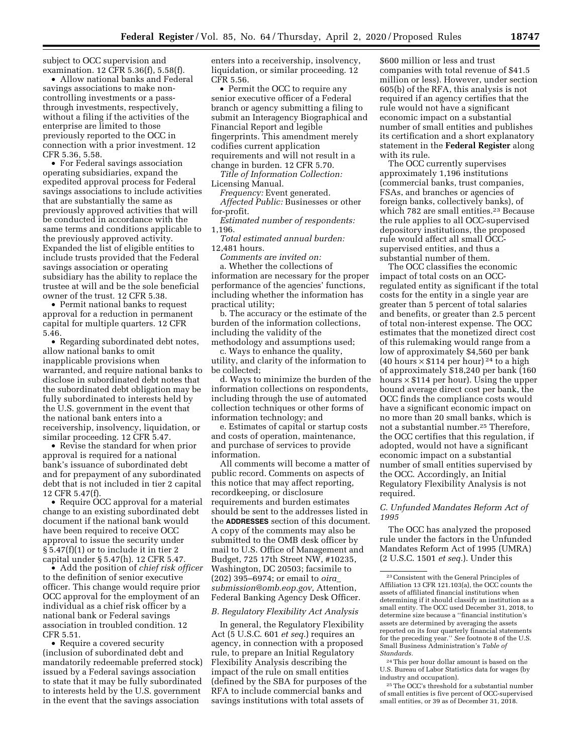subject to OCC supervision and examination. 12 CFR 5.36(f), 5.58(f).

• Allow national banks and Federal savings associations to make noncontrolling investments or a passthrough investments, respectively, without a filing if the activities of the enterprise are limited to those previously reported to the OCC in connection with a prior investment. 12 CFR 5.36, 5.58.

• For Federal savings association operating subsidiaries, expand the expedited approval process for Federal savings associations to include activities that are substantially the same as previously approved activities that will be conducted in accordance with the same terms and conditions applicable to the previously approved activity. Expanded the list of eligible entities to include trusts provided that the Federal savings association or operating subsidiary has the ability to replace the trustee at will and be the sole beneficial owner of the trust. 12 CFR 5.38.

• Permit national banks to request approval for a reduction in permanent capital for multiple quarters. 12 CFR 5.46.

• Regarding subordinated debt notes, allow national banks to omit inapplicable provisions when warranted, and require national banks to disclose in subordinated debt notes that the subordinated debt obligation may be fully subordinated to interests held by the U.S. government in the event that the national bank enters into a receivership, insolvency, liquidation, or similar proceeding. 12 CFR 5.47.

• Revise the standard for when prior approval is required for a national bank's issuance of subordinated debt and for prepayment of any subordinated debt that is not included in tier 2 capital 12 CFR 5.47(f).

• Require OCC approval for a material change to an existing subordinated debt document if the national bank would have been required to receive OCC approval to issue the security under § 5.47(f)(1) or to include it in tier 2 capital under § 5.47(h). 12 CFR 5.47.

• Add the position of *chief risk officer*  to the definition of senior executive officer. This change would require prior OCC approval for the employment of an individual as a chief risk officer by a national bank or Federal savings association in troubled condition. 12 CFR 5.51.

• Require a covered security (inclusion of subordinated debt and mandatorily redeemable preferred stock) issued by a Federal savings association to state that it may be fully subordinated to interests held by the U.S. government in the event that the savings association

enters into a receivership, insolvency, liquidation, or similar proceeding. 12 CFR 5.56.

• Permit the OCC to require any senior executive officer of a Federal branch or agency submitting a filing to submit an Interagency Biographical and Financial Report and legible fingerprints. This amendment merely codifies current application requirements and will not result in a change in burden. 12 CFR 5.70.

*Title of Information Collection:*  Licensing Manual.

*Frequency:* Event generated.

*Affected Public:* Businesses or other for-profit.

*Estimated number of respondents:*  1,196.

*Total estimated annual burden:*  12,481 hours.

*Comments are invited on:* 

a. Whether the collections of information are necessary for the proper performance of the agencies' functions, including whether the information has practical utility;

b. The accuracy or the estimate of the burden of the information collections, including the validity of the methodology and assumptions used;

c. Ways to enhance the quality, utility, and clarity of the information to be collected;

d. Ways to minimize the burden of the information collections on respondents, including through the use of automated collection techniques or other forms of information technology; and

e. Estimates of capital or startup costs and costs of operation, maintenance, and purchase of services to provide information.

All comments will become a matter of public record. Comments on aspects of this notice that may affect reporting, recordkeeping, or disclosure requirements and burden estimates should be sent to the addresses listed in the **ADDRESSES** section of this document. A copy of the comments may also be submitted to the OMB desk officer by mail to U.S. Office of Management and Budget, 725 17th Street NW, #10235, Washington, DC 20503; facsimile to (202) 395–6974; or email to *[oira](mailto:oira_submission@omb.eop.gov)*\_ *[submission@omb.eop.gov,](mailto:oira_submission@omb.eop.gov)* Attention, Federal Banking Agency Desk Officer.

#### *B. Regulatory Flexibility Act Analysis*

In general, the Regulatory Flexibility Act (5 U.S.C. 601 *et seq.*) requires an agency, in connection with a proposed rule, to prepare an Initial Regulatory Flexibility Analysis describing the impact of the rule on small entities (defined by the SBA for purposes of the RFA to include commercial banks and savings institutions with total assets of

\$600 million or less and trust companies with total revenue of \$41.5 million or less). However, under section 605(b) of the RFA, this analysis is not required if an agency certifies that the rule would not have a significant economic impact on a substantial number of small entities and publishes its certification and a short explanatory statement in the **Federal Register** along with its rule.

The OCC currently supervises approximately 1,196 institutions (commercial banks, trust companies, FSAs, and branches or agencies of foreign banks, collectively banks), of which 782 are small entities.<sup>23</sup> Because the rule applies to all OCC-supervised depository institutions, the proposed rule would affect all small OCCsupervised entities, and thus a substantial number of them.

The OCC classifies the economic impact of total costs on an OCCregulated entity as significant if the total costs for the entity in a single year are greater than 5 percent of total salaries and benefits, or greater than 2.5 percent of total non-interest expense. The OCC estimates that the monetized direct cost of this rulemaking would range from a low of approximately \$4,560 per bank (40 hours  $\times$  \$114 per hour)<sup>24</sup> to a high of approximately \$18,240 per bank (160 hours  $\times$  \$114 per hour). Using the upper bound average direct cost per bank, the OCC finds the compliance costs would have a significant economic impact on no more than 20 small banks, which is not a substantial number.25 Therefore, the OCC certifies that this regulation, if adopted, would not have a significant economic impact on a substantial number of small entities supervised by the OCC. Accordingly, an Initial Regulatory Flexibility Analysis is not required.

### *C. Unfunded Mandates Reform Act of 1995*

The OCC has analyzed the proposed rule under the factors in the Unfunded Mandates Reform Act of 1995 (UMRA) (2 U.S.C. 1501 *et seq.*). Under this

24This per hour dollar amount is based on the U.S. Bureau of Labor Statistics data for wages (by industry and occupation).

25The OCC's threshold for a substantial number of small entities is five percent of OCC-supervised small entities, or 39 as of December 31, 2018.

<sup>23</sup>Consistent with the General Principles of Affiliation 13 CFR 121.103(a), the OCC counts the assets of affiliated financial institutions when determining if it should classify an institution as a small entity. The OCC used December 31, 2018, to determine size because a ''financial institution's assets are determined by averaging the assets reported on its four quarterly financial statements for the preceding year.'' *See* footnote 8 of the U.S. Small Business Administration's *Table of Standards.*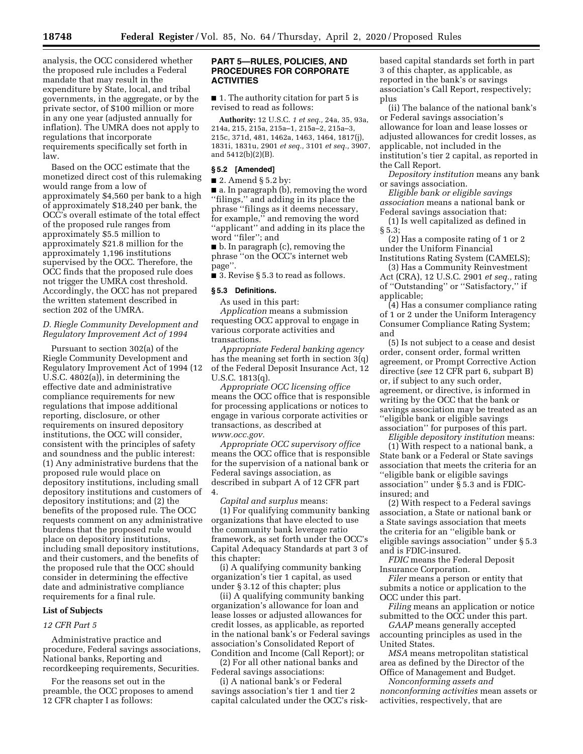analysis, the OCC considered whether the proposed rule includes a Federal mandate that may result in the expenditure by State, local, and tribal governments, in the aggregate, or by the private sector, of \$100 million or more in any one year (adjusted annually for inflation). The UMRA does not apply to regulations that incorporate requirements specifically set forth in law.

Based on the OCC estimate that the monetized direct cost of this rulemaking would range from a low of approximately \$4,560 per bank to a high of approximately \$18,240 per bank, the OCC's overall estimate of the total effect of the proposed rule ranges from approximately \$5.5 million to approximately \$21.8 million for the approximately 1,196 institutions supervised by the OCC. Therefore, the OCC finds that the proposed rule does not trigger the UMRA cost threshold. Accordingly, the OCC has not prepared the written statement described in section 202 of the UMRA.

### *D. Riegle Community Development and Regulatory Improvement Act of 1994*

Pursuant to section 302(a) of the Riegle Community Development and Regulatory Improvement Act of 1994 (12 U.S.C. 4802(a)), in determining the effective date and administrative compliance requirements for new regulations that impose additional reporting, disclosure, or other requirements on insured depository institutions, the OCC will consider, consistent with the principles of safety and soundness and the public interest: (1) Any administrative burdens that the proposed rule would place on depository institutions, including small depository institutions and customers of depository institutions; and (2) the benefits of the proposed rule. The OCC requests comment on any administrative burdens that the proposed rule would place on depository institutions, including small depository institutions, and their customers, and the benefits of the proposed rule that the OCC should consider in determining the effective date and administrative compliance requirements for a final rule.

### **List of Subjects**

#### *12 CFR Part 5*

Administrative practice and procedure, Federal savings associations, National banks, Reporting and recordkeeping requirements, Securities.

For the reasons set out in the preamble, the OCC proposes to amend 12 CFR chapter I as follows:

### **PART 5—RULES, POLICIES, AND PROCEDURES FOR CORPORATE ACTIVITIES**

■ 1. The authority citation for part 5 is revised to read as follows:

**Authority:** 12 U.S.C. *1 et seq.,* 24a, 35, 93a, 214a, 215, 215a, 215a–1, 215a–2, 215a–3, 215c, 371d, 481, 1462a, 1463, 1464, 1817(j), 1831i, 1831u, 2901 *et seq.,* 3101 *et seq.,* 3907, and 5412(b)(2)(B).

### **§ 5.2 [Amended]**

 $\blacksquare$  2. Amend § 5.2 by:

■ a. In paragraph (b), removing the word ''filings,'' and adding in its place the phrase ''filings as it deems necessary, for example,'' and removing the word ''applicant'' and adding in its place the word ''filer''; and

■ b. In paragraph (c), removing the phrase ''on the OCC's internet web page''.

■ 3. Revise § 5.3 to read as follows.

#### **§ 5.3 Definitions.**

As used in this part:

*Application* means a submission requesting OCC approval to engage in various corporate activities and transactions.

*Appropriate Federal banking agency*  has the meaning set forth in section 3(q) of the Federal Deposit Insurance Act, 12 U.S.C. 1813(q).

*Appropriate OCC licensing office*  means the OCC office that is responsible for processing applications or notices to engage in various corporate activities or transactions, as described at *[www.occ.gov.](http://www.occ.gov)* 

*Appropriate OCC supervisory office*  means the OCC office that is responsible for the supervision of a national bank or Federal savings association, as described in subpart A of 12 CFR part 4.

*Capital and surplus* means: (1) For qualifying community banking organizations that have elected to use the community bank leverage ratio framework, as set forth under the OCC's Capital Adequacy Standards at part 3 of this chapter:

(i) A qualifying community banking organization's tier 1 capital, as used under § 3.12 of this chapter; plus

(ii) A qualifying community banking organization's allowance for loan and lease losses or adjusted allowances for credit losses, as applicable, as reported in the national bank's or Federal savings association's Consolidated Report of Condition and Income (Call Report); or

(2) For all other national banks and Federal savings associations:

(i) A national bank's or Federal savings association's tier 1 and tier 2 capital calculated under the OCC's riskbased capital standards set forth in part 3 of this chapter, as applicable, as reported in the bank's or savings association's Call Report, respectively; plus

(ii) The balance of the national bank's or Federal savings association's allowance for loan and lease losses or adjusted allowances for credit losses, as applicable, not included in the institution's tier 2 capital, as reported in the Call Report.

*Depository institution* means any bank or savings association.

*Eligible bank or eligible savings association* means a national bank or Federal savings association that:

(1) Is well capitalized as defined in § 5.3;

(2) Has a composite rating of 1 or 2 under the Uniform Financial Institutions Rating System (CAMELS);

(3) Has a Community Reinvestment Act (CRA), 12 U.S.C. 2901 *et seq.,* rating of ''Outstanding'' or ''Satisfactory,'' if applicable;

(4) Has a consumer compliance rating of 1 or 2 under the Uniform Interagency Consumer Compliance Rating System; and

(5) Is not subject to a cease and desist order, consent order, formal written agreement, or Prompt Corrective Action directive (*see* 12 CFR part 6, subpart B) or, if subject to any such order, agreement, or directive, is informed in writing by the OCC that the bank or savings association may be treated as an ''eligible bank or eligible savings association'' for purposes of this part.

*Eligible depository institution* means:

(1) With respect to a national bank, a State bank or a Federal or State savings association that meets the criteria for an ''eligible bank or eligible savings association'' under § 5.3 and is FDICinsured; and

(2) With respect to a Federal savings association, a State or national bank or a State savings association that meets the criteria for an ''eligible bank or eligible savings association'' under § 5.3 and is FDIC-insured.

*FDIC* means the Federal Deposit Insurance Corporation.

*Filer* means a person or entity that submits a notice or application to the OCC under this part.

*Filing* means an application or notice submitted to the OCC under this part.

*GAAP* means generally accepted accounting principles as used in the United States.

*MSA* means metropolitan statistical area as defined by the Director of the Office of Management and Budget.

*Nonconforming assets and nonconforming activities* mean assets or activities, respectively, that are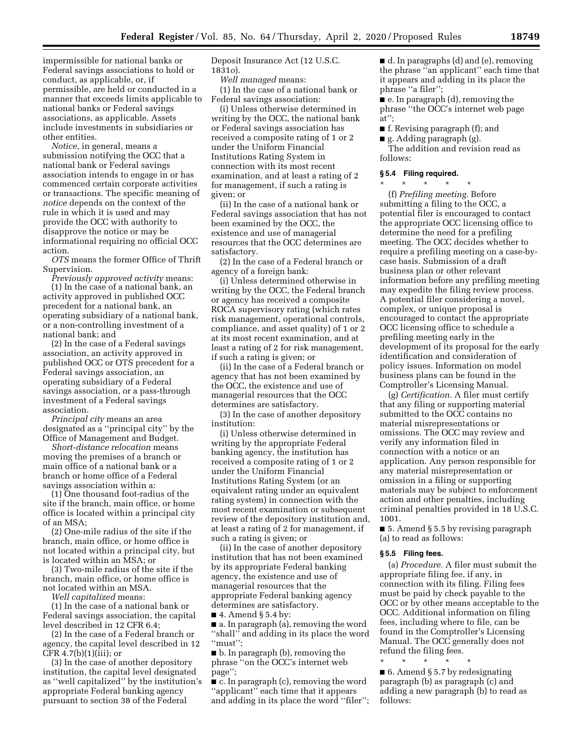impermissible for national banks or Federal savings associations to hold or conduct, as applicable, or, if permissible, are held or conducted in a manner that exceeds limits applicable to national banks or Federal savings associations, as applicable. Assets include investments in subsidiaries or other entities.

*Notice,* in general, means a submission notifying the OCC that a national bank or Federal savings association intends to engage in or has commenced certain corporate activities or transactions. The specific meaning of *notice* depends on the context of the rule in which it is used and may provide the OCC with authority to disapprove the notice or may be informational requiring no official OCC action.

*OTS* means the former Office of Thrift Supervision.

*Previously approved activity* means: (1) In the case of a national bank, an activity approved in published OCC precedent for a national bank, an operating subsidiary of a national bank, or a non-controlling investment of a national bank; and

(2) In the case of a Federal savings association, an activity approved in published OCC or OTS precedent for a Federal savings association, an operating subsidiary of a Federal savings association, or a pass-through investment of a Federal savings association.

*Principal city* means an area designated as a ''principal city'' by the Office of Management and Budget.

*Short-distance relocation* means moving the premises of a branch or main office of a national bank or a branch or home office of a Federal savings association within a:

(1) One thousand foot-radius of the site if the branch, main office, or home office is located within a principal city of an MSA;

(2) One-mile radius of the site if the branch, main office, or home office is not located within a principal city, but is located within an MSA; or

(3) Two-mile radius of the site if the branch, main office, or home office is not located within an MSA.

*Well capitalized* means:

(1) In the case of a national bank or Federal savings association, the capital level described in 12 CFR 6.4;

(2) In the case of a Federal branch or agency, the capital level described in 12 CFR  $4.7(b)(1)(iii)$ ; or

(3) In the case of another depository institution, the capital level designated as ''well capitalized'' by the institution's appropriate Federal banking agency pursuant to section 38 of the Federal

Deposit Insurance Act (12 U.S.C. 1831*o*).

*Well managed* means:

(1) In the case of a national bank or Federal savings association:

(i) Unless otherwise determined in writing by the OCC, the national bank or Federal savings association has received a composite rating of 1 or 2 under the Uniform Financial Institutions Rating System in connection with its most recent examination, and at least a rating of 2 for management, if such a rating is given; or

(ii) In the case of a national bank or Federal savings association that has not been examined by the OCC, the existence and use of managerial resources that the OCC determines are satisfactory.

(2) In the case of a Federal branch or agency of a foreign bank:

(i) Unless determined otherwise in writing by the OCC, the Federal branch or agency has received a composite ROCA supervisory rating (which rates risk management, operational controls, compliance, and asset quality) of 1 or 2 at its most recent examination, and at least a rating of 2 for risk management, if such a rating is given; or

(ii) In the case of a Federal branch or agency that has not been examined by the OCC, the existence and use of managerial resources that the OCC determines are satisfactory.

(3) In the case of another depository institution:

(i) Unless otherwise determined in writing by the appropriate Federal banking agency, the institution has received a composite rating of 1 or 2 under the Uniform Financial Institutions Rating System (or an equivalent rating under an equivalent rating system) in connection with the most recent examination or subsequent review of the depository institution and, at least a rating of 2 for management, if such a rating is given; or

(ii) In the case of another depository institution that has not been examined by its appropriate Federal banking agency, the existence and use of managerial resources that the appropriate Federal banking agency determines are satisfactory.

 $\blacksquare$  4. Amend § 5.4 by:

■ a. In paragraph (a), removing the word ''shall'' and adding in its place the word ''must'';

■ b. In paragraph (b), removing the phrase ''on the OCC's internet web page'';

■ c. In paragraph (c), removing the word ''applicant'' each time that it appears and adding in its place the word ''filer''; ■ d. In paragraphs (d) and (e), removing the phrase ''an applicant'' each time that it appears and adding in its place the phrase ''a filer'';

■ e. In paragraph (d), removing the phrase ''the OCC's internet web page at'';

■ f. Revising paragraph (f); and

■ g. Adding paragraph (g).

The addition and revision read as follows:

### **§ 5.4 Filing required.**

\* \* \* \* \* (f) *Prefiling meeting.* Before submitting a filing to the OCC, a potential filer is encouraged to contact the appropriate OCC licensing office to determine the need for a prefiling meeting. The OCC decides whether to require a prefiling meeting on a case-bycase basis. Submission of a draft business plan or other relevant information before any prefiling meeting may expedite the filing review process. A potential filer considering a novel, complex, or unique proposal is encouraged to contact the appropriate OCC licensing office to schedule a prefiling meeting early in the development of its proposal for the early identification and consideration of policy issues. Information on model business plans can be found in the Comptroller's Licensing Manual.

(g) *Certification.* A filer must certify that any filing or supporting material submitted to the OCC contains no material misrepresentations or omissions. The OCC may review and verify any information filed in connection with a notice or an application. Any person responsible for any material misrepresentation or omission in a filing or supporting materials may be subject to enforcement action and other penalties, including criminal penalties provided in 18 U.S.C. 1001.

■ 5. Amend § 5.5 by revising paragraph (a) to read as follows:

### **§ 5.5 Filing fees.**

(a) *Procedure.* A filer must submit the appropriate filing fee, if any, in connection with its filing. Filing fees must be paid by check payable to the OCC or by other means acceptable to the OCC. Additional information on filing fees, including where to file, can be found in the Comptroller's Licensing Manual. The OCC generally does not refund the filing fees.

 $\blacksquare$  6. Amend § 5.7 by redesignating paragraph (b) as paragraph (c) and adding a new paragraph (b) to read as follows:

\* \* \* \* \*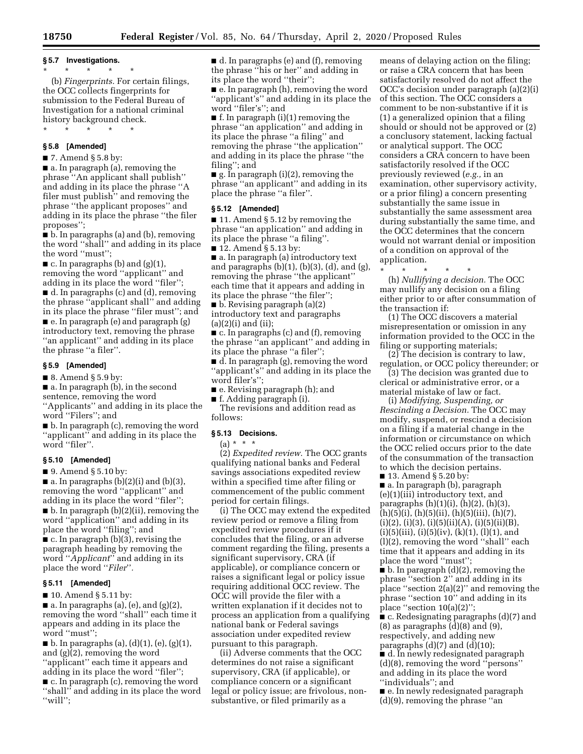# **§ 5.7 Investigations.**

\* \* \* \* \* (b) *Fingerprints.* For certain filings, the OCC collects fingerprints for submission to the Federal Bureau of Investigation for a national criminal history background check.

\* \* \* \* \*

### **§ 5.8 [Amended]**

 $\blacksquare$  7. Amend § 5.8 by:

■ a. In paragraph (a), removing the phrase ''An applicant shall publish'' and adding in its place the phrase ''A filer must publish'' and removing the phrase ''the applicant proposes'' and adding in its place the phrase ''the filer proposes'';

■ b. In paragraphs (a) and (b), removing the word ''shall'' and adding in its place the word ''must'';

 $\blacksquare$  c. In paragraphs (b) and (g)(1), removing the word ''applicant'' and adding in its place the word ''filer''; ■ d. In paragraphs (c) and (d), removing the phrase ''applicant shall'' and adding in its place the phrase ''filer must''; and ■ e. In paragraph (e) and paragraph (g) introductory text, removing the phrase ''an applicant'' and adding in its place the phrase ''a filer''.

### **§ 5.9 [Amended]**

■ 8. Amend § 5.9 by:

■ a. In paragraph (b), in the second sentence, removing the word ''Applicants'' and adding in its place the

word ''Filers''; and ■ b. In paragraph (c), removing the word ''applicant'' and adding in its place the word "filer".

### **§ 5.10 [Amended]**

■ 9. Amend § 5.10 by:

 $\blacksquare$  a. In paragraphs (b)(2)(i) and (b)(3), removing the word ''applicant'' and adding in its place the word ''filer''; ■ b. In paragraph (b)(2)(ii), removing the word ''application'' and adding in its place the word ''filing''; and

■ c. In paragraph (b)(3), revising the paragraph heading by removing the word ''*Applicant*'' and adding in its place the word ''*Filer*''*.* 

### **§ 5.11 [Amended]**

■ 10. Amend § 5.11 by:

 $\blacksquare$  a. In paragraphs (a), (e), and (g)(2), removing the word ''shall'' each time it appears and adding in its place the word ''must'';

 $\blacksquare$  b. In paragraphs (a), (d)(1), (e), (g)(1), and (g)(2), removing the word ''applicant'' each time it appears and adding in its place the word ''filer''; ■ c. In paragraph (c), removing the word

''shall'' and adding in its place the word ''will'';

■ d. In paragraphs (e) and (f), removing the phrase ''his or her'' and adding in its place the word ''their'';

■ e. In paragraph (h), removing the word ''applicant's'' and adding in its place the word ''filer's''; and

 $\blacksquare$  f. In paragraph (i)(1) removing the phrase ''an application'' and adding in its place the phrase ''a filing'' and removing the phrase ''the application'' and adding in its place the phrase ''the filing''; and

■ g. In paragraph (i)(2), removing the phrase ''an applicant'' and adding in its place the phrase ''a filer''.

### **§ 5.12 [Amended]**

■ 11. Amend § 5.12 by removing the phrase ''an application'' and adding in its place the phrase ''a filing''.

■ 12. Amend § 5.13 by:

■ a. In paragraph (a) introductory text and paragraphs  $(b)(1)$ ,  $(b)(3)$ ,  $(d)$ , and  $(g)$ , removing the phrase ''the applicant'' each time that it appears and adding in its place the phrase ''the filer'';

■ b. Revising paragraph (a)(2) introductory text and paragraphs (a)(2)(i) and (ii);

■ c. In paragraphs (c) and (f), removing the phrase ''an applicant'' and adding in its place the phrase ''a filer'';

■ d. In paragraph (g), removing the word ''applicant's'' and adding in its place the word filer's'';

■ e. Revising paragraph (h); and

■ f. Adding paragraph (i).

The revisions and addition read as follows:

## **§ 5.13 Decisions.**

(a) \* \* \*

(2) *Expedited review.* The OCC grants qualifying national banks and Federal savings associations expedited review within a specified time after filing or commencement of the public comment period for certain filings.

(i) The OCC may extend the expedited review period or remove a filing from expedited review procedures if it concludes that the filing, or an adverse comment regarding the filing, presents a significant supervisory, CRA (if applicable), or compliance concern or raises a significant legal or policy issue requiring additional OCC review. The OCC will provide the filer with a written explanation if it decides not to process an application from a qualifying national bank or Federal savings association under expedited review pursuant to this paragraph.

(ii) Adverse comments that the OCC determines do not raise a significant supervisory, CRA (if applicable), or compliance concern or a significant legal or policy issue; are frivolous, nonsubstantive, or filed primarily as a

means of delaying action on the filing; or raise a CRA concern that has been satisfactorily resolved do not affect the OCC's decision under paragraph (a)(2)(i) of this section. The OCC considers a comment to be non-substantive if it is (1) a generalized opinion that a filing should or should not be approved or (2) a conclusory statement, lacking factual or analytical support. The OCC considers a CRA concern to have been satisfactorily resolved if the OCC previously reviewed (*e.g.,* in an examination, other supervisory activity, or a prior filing) a concern presenting substantially the same issue in substantially the same assessment area during substantially the same time, and the OCC determines that the concern would not warrant denial or imposition of a condition on approval of the application.

\* \* \* \* \* (h) *Nullifying a decision.* The OCC may nullify any decision on a filing either prior to or after consummation of the transaction if:

(1) The OCC discovers a material misrepresentation or omission in any information provided to the OCC in the filing or supporting materials;

(2) The decision is contrary to law, regulation, or OCC policy thereunder; or

(3) The decision was granted due to clerical or administrative error, or a material mistake of law or fact.

(i) *Modifying, Suspending, or Rescinding a Decision.* The OCC may modify, suspend, or rescind a decision on a filing if a material change in the information or circumstance on which the OCC relied occurs prior to the date of the consummation of the transaction to which the decision pertains.

■ 13. Amend § 5.20 by: ■ a. In paragraph (b), paragraph (e)(1)(iii) introductory text, and paragraphs (h)(1)(i), (h)(2), (h)(3),  $(h)(5)(i)$ ,  $(h)(5)(ii)$ ,  $(h)(5)(iii)$ ,  $(h)(7)$ ,  $(i)(2)$ ,  $(i)(3)$ ,  $(i)(5)(ii)(A)$ ,  $(i)(5)(ii)(B)$ ,  $(i)(5)(iii), (i)(5)(iv), (k)(1), (l)(1), and$ (l)(2), removing the word ''shall'' each time that it appears and adding in its place the word "must";

 $\blacksquare$  b. In paragraph  $(d)(2)$ , removing the phrase ''section 2'' and adding in its place ''section 2(a)(2)'' and removing the phrase ''section 10'' and adding in its place ''section 10(a)(2)'';

■ c. Redesignating paragraphs (d)(7) and  $(8)$  as paragraphs  $(d)(8)$  and  $(9)$ , respectively, and adding new paragraphs  $(d)(7)$  and  $(d)(10)$ ;

■ d. In newly redesignated paragraph (d)(8), removing the word ''persons'' and adding in its place the word ''individuals''; and

■ e. In newly redesignated paragraph (d)(9), removing the phrase ''an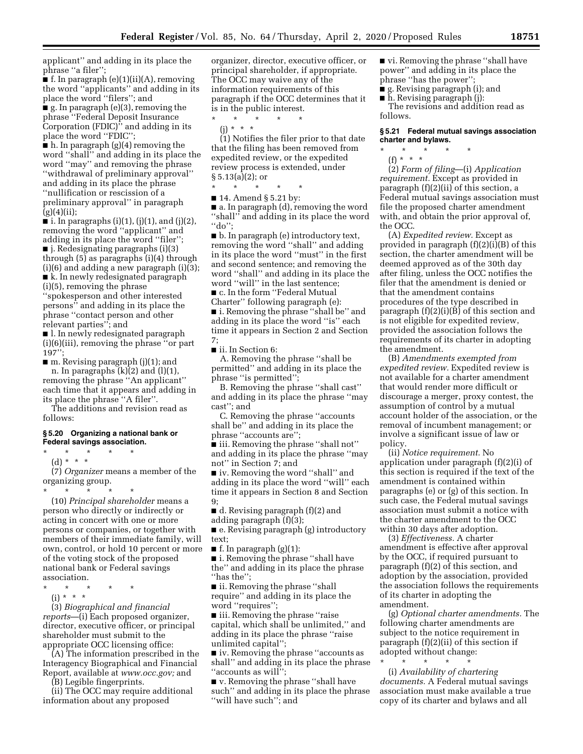applicant'' and adding in its place the phrase ''a filer'';

 $\blacksquare$  f. In paragraph (e)(1)(ii)(A), removing the word ''applicants'' and adding in its place the word ''filers''; and ■ g. In paragraph (e)(3), removing the phrase ''Federal Deposit Insurance

Corporation (FDIC)'' and adding in its place the word ''FDIC'';

 $\blacksquare$  h. In paragraph (g)(4) removing the word ''shall'' and adding in its place the word ''may'' and removing the phrase ''withdrawal of preliminary approval''

and adding in its place the phrase ''nullification or rescission of a preliminary approval'' in paragraph  $(g)(4)(ii);$ 

 $\blacksquare$  i. In paragraphs (i)(1), (j)(1), and (j)(2), removing the word ''applicant'' and adding in its place the word ''filer'';

■ j. Redesignating paragraphs (i)(3) through (5) as paragraphs (i)(4) through (i)(6) and adding a new paragraph (i)(3);

■ k. In newly redesignated paragraph (i)(5), removing the phrase

''spokesperson and other interested persons'' and adding in its place the phrase ''contact person and other relevant parties''; and

■ l. In newly redesignated paragraph (i)(6)(iii), removing the phrase ''or part  $197"$ 

■ m. Revising paragraph (j)(1); and n. In paragraphs  $(k)(2)$  and  $(l)(1)$ , removing the phrase ''An applicant'' each time that it appears and adding in its place the phrase ''A filer''.

The additions and revision read as follows:

#### **§ 5.20 Organizing a national bank or Federal savings association.**

\* \* \* \* \*

(d) \* \* \*

(7) *Organizer* means a member of the organizing group.

\* \* \* \* \* (10) *Principal shareholder* means a person who directly or indirectly or acting in concert with one or more persons or companies, or together with members of their immediate family, will own, control, or hold 10 percent or more of the voting stock of the proposed national bank or Federal savings association.

\* \* \* \* \*

 $(i) * * * *$ 

(3) *Biographical and financial reports*—(i) Each proposed organizer, director, executive officer, or principal shareholder must submit to the appropriate OCC licensing office:

(A) The information prescribed in the Interagency Biographical and Financial Report, available at *[www.occ.gov;](http://www.occ.gov)* and

(B) Legible fingerprints.

(ii) The OCC may require additional information about any proposed

organizer, director, executive officer, or principal shareholder, if appropriate. The OCC may waive any of the information requirements of this paragraph if the OCC determines that it is in the public interest.

\* \* \* \* \*

(j) \* \* \*

(1) Notifies the filer prior to that date that the filing has been removed from expedited review, or the expedited review process is extended, under § 5.13(a)(2); or

\* \* \* \* \* ■ 14. Amend § 5.21 by:

■ a. In paragraph (d), removing the word ''shall'' and adding in its place the word ''do'';

■ b. In paragraph (e) introductory text, removing the word ''shall'' and adding in its place the word ''must'' in the first and second sentence; and removing the word ''shall'' and adding in its place the word ''will'' in the last sentence;

■ c. In the form "Federal Mutual

Charter'' following paragraph (e): ■ i. Removing the phrase "shall be" and adding in its place the word ''is'' each time it appears in Section 2 and Section 7;

■ ii. In Section 6:

A. Removing the phrase ''shall be permitted'' and adding in its place the phrase ''is permitted'';

B. Removing the phrase ''shall cast'' and adding in its place the phrase ''may cast''; and

C. Removing the phrase ''accounts shall be'' and adding in its place the phrase ''accounts are'';

■ iii. Removing the phrase "shall not" and adding in its place the phrase ''may not'' in Section 7; and

■ iv. Removing the word "shall" and adding in its place the word ''will'' each time it appears in Section 8 and Section 9;

■ d. Revising paragraph (f)(2) and adding paragraph (f)(3);

■ e. Revising paragraph (g) introductory text;

 $\blacksquare$  f. In paragraph (g)(1):

■ i. Removing the phrase "shall have the'' and adding in its place the phrase ''has the'';

■ ii. Removing the phrase "shall require'' and adding in its place the word ''requires'';

■ iii. Removing the phrase "raise capital, which shall be unlimited,'' and adding in its place the phrase ''raise unlimited capital'';

■ iv. Removing the phrase "accounts as shall'' and adding in its place the phrase ''accounts as will'';

■ v. Removing the phrase ''shall have such'' and adding in its place the phrase ''will have such''; and

■ vi. Removing the phrase "shall have power'' and adding in its place the phrase ''has the power'';

■ g. Revising paragraph (i); and ■ h. Revising paragraph (j):

The revisions and addition read as follows.

#### **§ 5.21 Federal mutual savings association charter and bylaws.**

\* \* \* \* \*

(f) \* \* \*

(2) *Form of filing*—(i) *Application requirement.* Except as provided in paragraph (f)(2)(ii) of this section, a Federal mutual savings association must file the proposed charter amendment with, and obtain the prior approval of, the OCC.

(A) *Expedited review.* Except as provided in paragraph (f)(2)(i)(B) of this section, the charter amendment will be deemed approved as of the 30th day after filing, unless the OCC notifies the filer that the amendment is denied or that the amendment contains procedures of the type described in paragraph (f)(2)(i)(B) of this section and is not eligible for expedited review, provided the association follows the requirements of its charter in adopting the amendment.

(B) *Amendments exempted from expedited review.* Expedited review is not available for a charter amendment that would render more difficult or discourage a merger, proxy contest, the assumption of control by a mutual account holder of the association, or the removal of incumbent management; or involve a significant issue of law or policy.

(ii) *Notice requirement.* No application under paragraph (f)(2)(i) of this section is required if the text of the amendment is contained within paragraphs (e) or (g) of this section. In such case, the Federal mutual savings association must submit a notice with the charter amendment to the OCC within 30 days after adoption.

(3) *Effectiveness.* A charter amendment is effective after approval by the OCC, if required pursuant to paragraph (f)(2) of this section, and adoption by the association, provided the association follows the requirements of its charter in adopting the amendment.

(g) *Optional charter amendments.* The following charter amendments are subject to the notice requirement in paragraph (f)(2)(ii) of this section if adopted without change:

\* \* \* \* \* (i) *Availability of chartering documents.* A Federal mutual savings association must make available a true copy of its charter and bylaws and all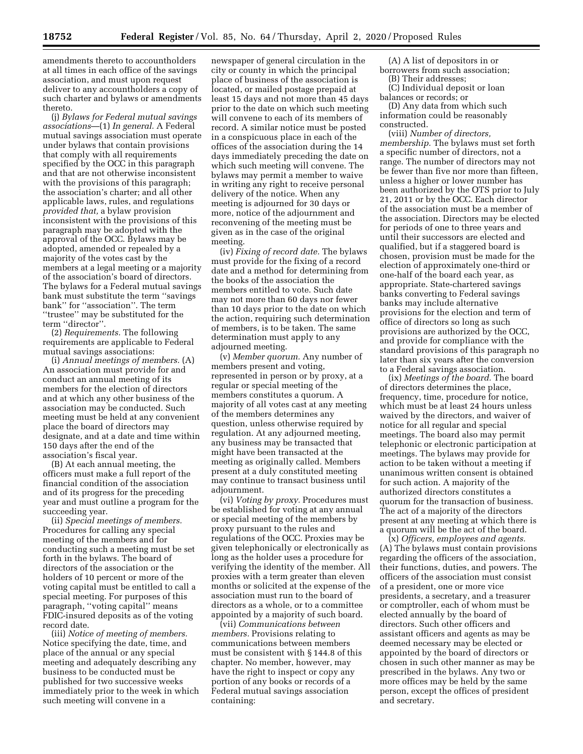amendments thereto to accountholders at all times in each office of the savings association, and must upon request deliver to any accountholders a copy of such charter and bylaws or amendments thereto.

(j) *Bylaws for Federal mutual savings associations*—(1) *In general.* A Federal mutual savings association must operate under bylaws that contain provisions that comply with all requirements specified by the OCC in this paragraph and that are not otherwise inconsistent with the provisions of this paragraph; the association's charter; and all other applicable laws, rules, and regulations *provided that,* a bylaw provision inconsistent with the provisions of this paragraph may be adopted with the approval of the OCC. Bylaws may be adopted, amended or repealed by a majority of the votes cast by the members at a legal meeting or a majority of the association's board of directors. The bylaws for a Federal mutual savings bank must substitute the term ''savings bank'' for ''association''. The term ''trustee'' may be substituted for the term ''director''.

(2) *Requirements.* The following requirements are applicable to Federal mutual savings associations:

(i) *Annual meetings of members.* (A) An association must provide for and conduct an annual meeting of its members for the election of directors and at which any other business of the association may be conducted. Such meeting must be held at any convenient place the board of directors may designate, and at a date and time within 150 days after the end of the association's fiscal year.

(B) At each annual meeting, the officers must make a full report of the financial condition of the association and of its progress for the preceding year and must outline a program for the succeeding year.

(ii) *Special meetings of members.*  Procedures for calling any special meeting of the members and for conducting such a meeting must be set forth in the bylaws. The board of directors of the association or the holders of 10 percent or more of the voting capital must be entitled to call a special meeting. For purposes of this paragraph, ''voting capital'' means FDIC-insured deposits as of the voting record date.

(iii) *Notice of meeting of members.*  Notice specifying the date, time, and place of the annual or any special meeting and adequately describing any business to be conducted must be published for two successive weeks immediately prior to the week in which such meeting will convene in a

newspaper of general circulation in the city or county in which the principal place of business of the association is located, or mailed postage prepaid at least 15 days and not more than 45 days prior to the date on which such meeting will convene to each of its members of record. A similar notice must be posted in a conspicuous place in each of the offices of the association during the 14 days immediately preceding the date on which such meeting will convene. The bylaws may permit a member to waive in writing any right to receive personal delivery of the notice. When any meeting is adjourned for 30 days or more, notice of the adjournment and reconvening of the meeting must be given as in the case of the original meeting.

(iv) *Fixing of record date.* The bylaws must provide for the fixing of a record date and a method for determining from the books of the association the members entitled to vote. Such date may not more than 60 days nor fewer than 10 days prior to the date on which the action, requiring such determination of members, is to be taken. The same determination must apply to any adjourned meeting.

(v) *Member quorum.* Any number of members present and voting, represented in person or by proxy, at a regular or special meeting of the members constitutes a quorum. A majority of all votes cast at any meeting of the members determines any question, unless otherwise required by regulation. At any adjourned meeting, any business may be transacted that might have been transacted at the meeting as originally called. Members present at a duly constituted meeting may continue to transact business until adjournment.

(vi) *Voting by proxy.* Procedures must be established for voting at any annual or special meeting of the members by proxy pursuant to the rules and regulations of the OCC. Proxies may be given telephonically or electronically as long as the holder uses a procedure for verifying the identity of the member. All proxies with a term greater than eleven months or solicited at the expense of the association must run to the board of directors as a whole, or to a committee appointed by a majority of such board.

(vii) *Communications between members.* Provisions relating to communications between members must be consistent with § 144.8 of this chapter. No member, however, may have the right to inspect or copy any portion of any books or records of a Federal mutual savings association containing:

(A) A list of depositors in or borrowers from such association;

- (B) Their addresses;
- (C) Individual deposit or loan

balances or records; or (D) Any data from which such

information could be reasonably constructed.

(viii) *Number of directors, membership.* The bylaws must set forth a specific number of directors, not a range. The number of directors may not be fewer than five nor more than fifteen, unless a higher or lower number has been authorized by the OTS prior to July 21, 2011 or by the OCC. Each director of the association must be a member of the association. Directors may be elected for periods of one to three years and until their successors are elected and qualified, but if a staggered board is chosen, provision must be made for the election of approximately one-third or one-half of the board each year, as appropriate. State-chartered savings banks converting to Federal savings banks may include alternative provisions for the election and term of office of directors so long as such provisions are authorized by the OCC, and provide for compliance with the standard provisions of this paragraph no later than six years after the conversion to a Federal savings association.

(ix) *Meetings of the board.* The board of directors determines the place, frequency, time, procedure for notice, which must be at least 24 hours unless waived by the directors, and waiver of notice for all regular and special meetings. The board also may permit telephonic or electronic participation at meetings. The bylaws may provide for action to be taken without a meeting if unanimous written consent is obtained for such action. A majority of the authorized directors constitutes a quorum for the transaction of business. The act of a majority of the directors present at any meeting at which there is a quorum will be the act of the board.

(x) *Officers, employees and agents.*  (A) The bylaws must contain provisions regarding the officers of the association, their functions, duties, and powers. The officers of the association must consist of a president, one or more vice presidents, a secretary, and a treasurer or comptroller, each of whom must be elected annually by the board of directors. Such other officers and assistant officers and agents as may be deemed necessary may be elected or appointed by the board of directors or chosen in such other manner as may be prescribed in the bylaws. Any two or more offices may be held by the same person, except the offices of president and secretary.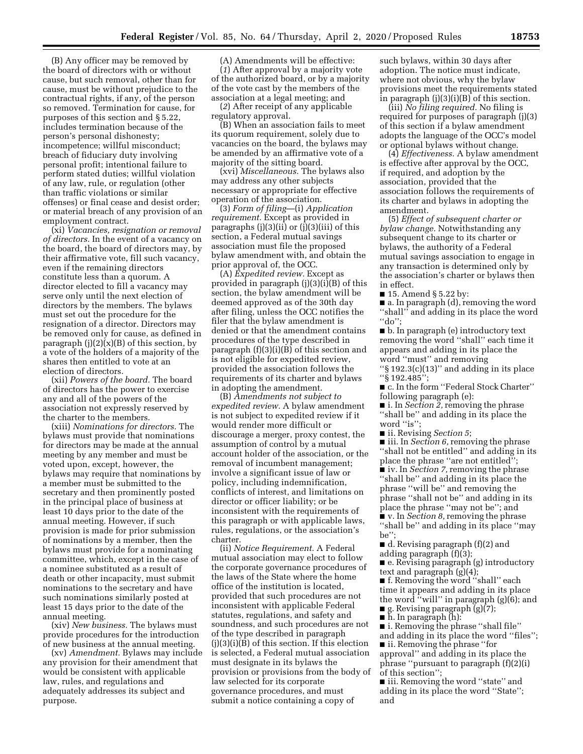(B) Any officer may be removed by the board of directors with or without cause, but such removal, other than for cause, must be without prejudice to the contractual rights, if any, of the person so removed. Termination for cause, for purposes of this section and § 5.22, includes termination because of the person's personal dishonesty; incompetence; willful misconduct; breach of fiduciary duty involving personal profit; intentional failure to perform stated duties; willful violation of any law, rule, or regulation (other than traffic violations or similar offenses) or final cease and desist order; or material breach of any provision of an employment contract.

(xi) *Vacancies, resignation or removal of directors.* In the event of a vacancy on the board, the board of directors may, by their affirmative vote, fill such vacancy, even if the remaining directors constitute less than a quorum. A director elected to fill a vacancy may serve only until the next election of directors by the members. The bylaws must set out the procedure for the resignation of a director. Directors may be removed only for cause, as defined in paragraph  $(i)(2)(x)(B)$  of this section, by a vote of the holders of a majority of the shares then entitled to vote at an election of directors.

(xii) *Powers of the board.* The board of directors has the power to exercise any and all of the powers of the association not expressly reserved by the charter to the members.

(xiii) *Nominations for directors.* The bylaws must provide that nominations for directors may be made at the annual meeting by any member and must be voted upon, except, however, the bylaws may require that nominations by a member must be submitted to the secretary and then prominently posted in the principal place of business at least 10 days prior to the date of the annual meeting. However, if such provision is made for prior submission of nominations by a member, then the bylaws must provide for a nominating committee, which, except in the case of a nominee substituted as a result of death or other incapacity, must submit nominations to the secretary and have such nominations similarly posted at least 15 days prior to the date of the annual meeting.

(xiv) *New business.* The bylaws must provide procedures for the introduction of new business at the annual meeting.

(xv) *Amendment.* Bylaws may include any provision for their amendment that would be consistent with applicable law, rules, and regulations and adequately addresses its subject and purpose.

(A) Amendments will be effective: (*1*) After approval by a majority vote of the authorized board, or by a majority of the vote cast by the members of the association at a legal meeting; and

(*2*) After receipt of any applicable regulatory approval.

(B) When an association fails to meet its quorum requirement, solely due to vacancies on the board, the bylaws may be amended by an affirmative vote of a majority of the sitting board.

(xvi) *Miscellaneous.* The bylaws also may address any other subjects necessary or appropriate for effective operation of the association.

(3) *Form of filing*—(i) *Application requirement.* Except as provided in paragraphs (j)(3)(ii) or (j)(3)(iii) of this section, a Federal mutual savings association must file the proposed bylaw amendment with, and obtain the prior approval of, the OCC.

(A) *Expedited review.* Except as provided in paragraph (j)(3)(i)(B) of this section, the bylaw amendment will be deemed approved as of the 30th day after filing, unless the OCC notifies the filer that the bylaw amendment is denied or that the amendment contains procedures of the type described in paragraph  $(f)(3)(i)(B)$  of this section and is not eligible for expedited review, provided the association follows the requirements of its charter and bylaws in adopting the amendment.

(B) *Amendments not subject to expedited review.* A bylaw amendment is not subject to expedited review if it would render more difficult or discourage a merger, proxy contest, the assumption of control by a mutual account holder of the association, or the removal of incumbent management; involve a significant issue of law or policy, including indemnification, conflicts of interest, and limitations on director or officer liability; or be inconsistent with the requirements of this paragraph or with applicable laws, rules, regulations, or the association's charter.

(ii) *Notice Requirement.* A Federal mutual association may elect to follow the corporate governance procedures of the laws of the State where the home office of the institution is located, provided that such procedures are not inconsistent with applicable Federal statutes, regulations, and safety and soundness, and such procedures are not of the type described in paragraph  $(i)(3)(i)(B)$  of this section. If this election is selected, a Federal mutual association must designate in its bylaws the provision or provisions from the body of law selected for its corporate governance procedures, and must submit a notice containing a copy of

such bylaws, within 30 days after adoption. The notice must indicate, where not obvious, why the bylaw provisions meet the requirements stated in paragraph  $(j)(3)(i)(B)$  of this section.

(iii) *No filing required.* No filing is required for purposes of paragraph (j)(3) of this section if a bylaw amendment adopts the language of the OCC's model or optional bylaws without change.

(4) *Effectiveness.* A bylaw amendment is effective after approval by the OCC, if required, and adoption by the association, provided that the association follows the requirements of its charter and bylaws in adopting the amendment.

(5) *Effect of subsequent charter or bylaw change.* Notwithstanding any subsequent change to its charter or bylaws, the authority of a Federal mutual savings association to engage in any transaction is determined only by the association's charter or bylaws then in effect.

■ 15. Amend § 5.22 by:

■ a. In paragraph (d), removing the word ''shall'' and adding in its place the word ''do'';

■ b. In paragraph (e) introductory text removing the word ''shall'' each time it appears and adding in its place the word ''must'' and removing

''§ 192.3(c)(13)'' and adding in its place ''§ 192.485'';

■ c. In the form "Federal Stock Charter" following paragraph (e):

■ i. In *Section 2*, removing the phrase ''shall be'' and adding in its place the word "is";

■ ii. Revising *Section 5*;

■ iii. In *Section 6*, removing the phrase ''shall not be entitled'' and adding in its place the phrase "are not entitled";

■ iv. In *Section 7,* removing the phrase ''shall be'' and adding in its place the phrase ''will be'' and removing the phrase ''shall not be'' and adding in its place the phrase ''may not be''; and ■ v. In *Section 8,* removing the phrase ''shall be'' and adding in its place ''may be'';

■ d. Revising paragraph (f)(2) and adding paragraph (f)(3);

■ e. Revising paragraph (g) introductory text and paragraph (g)(4);

■ f. Removing the word ''shall'' each time it appears and adding in its place the word ''will'' in paragraph (g)(6); and ■ g. Revising paragraph (g)(7);

■ h. In paragraph (h):

■ i. Removing the phrase ''shall file'' and adding in its place the word ''files''; ■ ii. Removing the phrase "for approval'' and adding in its place the phrase ''pursuant to paragraph (f)(2)(i) of this section'';

■ iii. Removing the word ''state'' and adding in its place the word ''State''; and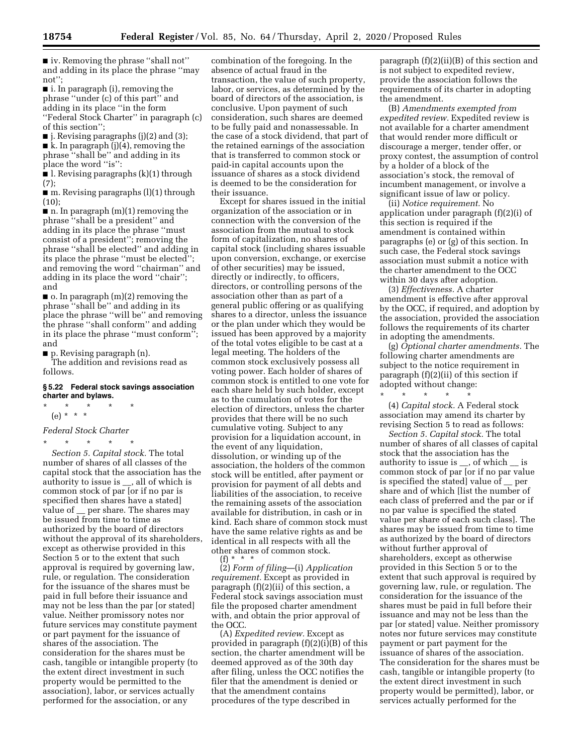■ iv. Removing the phrase "shall not" and adding in its place the phrase ''may not'';

■ i. In paragraph (i), removing the phrase ''under (c) of this part'' and adding in its place ''in the form

''Federal Stock Charter'' in paragraph (c) of this section'';

■ j. Revising paragraphs (j)(2) and (3); ■ k. In paragraph (j)(4), removing the phrase ''shall be'' and adding in its

place the word ''is'':

■ l. Revising paragraphs (k)(1) through (7);

 $\blacksquare$  m. Revising paragraphs (l)(1) through (10);

 $\blacksquare$  n. In paragraph  $(m)(1)$  removing the phrase ''shall be a president'' and adding in its place the phrase ''must consist of a president''; removing the phrase ''shall be elected'' and adding in its place the phrase ''must be elected''; and removing the word ''chairman'' and adding in its place the word ''chair''; and

 $\blacksquare$  o. In paragraph  $(m)(2)$  removing the phrase ''shall be'' and adding in its place the phrase ''will be'' and removing the phrase ''shall conform'' and adding in its place the phrase ''must conform''; and

■ p. Revising paragraph (n).

The addition and revisions read as follows.

#### **§ 5.22 Federal stock savings association charter and bylaws.**

\* \* \* \* \* (e) \* \* \*

### *Federal Stock Charter*

\* \* \* \* \* *Section 5. Capital stock.* The total number of shares of all classes of the capital stock that the association has the authority to issue is \_\_, all of which is common stock of par [or if no par is specified then shares have a stated] value of  $\equiv$  per share. The shares may be issued from time to time as authorized by the board of directors without the approval of its shareholders, except as otherwise provided in this Section 5 or to the extent that such approval is required by governing law, rule, or regulation. The consideration for the issuance of the shares must be paid in full before their issuance and may not be less than the par [or stated] value. Neither promissory notes nor future services may constitute payment or part payment for the issuance of shares of the association. The consideration for the shares must be cash, tangible or intangible property (to the extent direct investment in such property would be permitted to the association), labor, or services actually performed for the association, or any

combination of the foregoing. In the absence of actual fraud in the transaction, the value of such property, labor, or services, as determined by the board of directors of the association, is conclusive. Upon payment of such consideration, such shares are deemed to be fully paid and nonassessable. In the case of a stock dividend, that part of the retained earnings of the association that is transferred to common stock or paid-in capital accounts upon the issuance of shares as a stock dividend is deemed to be the consideration for their issuance.

Except for shares issued in the initial organization of the association or in connection with the conversion of the association from the mutual to stock form of capitalization, no shares of capital stock (including shares issuable upon conversion, exchange, or exercise of other securities) may be issued, directly or indirectly, to officers, directors, or controlling persons of the association other than as part of a general public offering or as qualifying shares to a director, unless the issuance or the plan under which they would be issued has been approved by a majority of the total votes eligible to be cast at a legal meeting. The holders of the common stock exclusively possess all voting power. Each holder of shares of common stock is entitled to one vote for each share held by such holder, except as to the cumulation of votes for the election of directors, unless the charter provides that there will be no such cumulative voting. Subject to any provision for a liquidation account, in the event of any liquidation, dissolution, or winding up of the association, the holders of the common stock will be entitled, after payment or provision for payment of all debts and liabilities of the association, to receive the remaining assets of the association available for distribution, in cash or in kind. Each share of common stock must have the same relative rights as and be identical in all respects with all the other shares of common stock.

(f) \* \* \*

(2) *Form of filing*—(i) *Application requirement.* Except as provided in paragraph (f)(2)(ii) of this section, a Federal stock savings association must file the proposed charter amendment with, and obtain the prior approval of the OCC.

(A) *Expedited review.* Except as provided in paragraph (f)(2)(i)(B) of this section, the charter amendment will be deemed approved as of the 30th day after filing, unless the OCC notifies the filer that the amendment is denied or that the amendment contains procedures of the type described in

paragraph (f)(2)(ii)(B) of this section and is not subject to expedited review, provide the association follows the requirements of its charter in adopting the amendment.

(B) *Amendments exempted from expedited review.* Expedited review is not available for a charter amendment that would render more difficult or discourage a merger, tender offer, or proxy contest, the assumption of control by a holder of a block of the association's stock, the removal of incumbent management, or involve a significant issue of law or policy.

(ii) *Notice requirement.* No application under paragraph (f)(2)(i) of this section is required if the amendment is contained within paragraphs (e) or (g) of this section. In such case, the Federal stock savings association must submit a notice with the charter amendment to the OCC within 30 days after adoption.

(3) *Effectiveness.* A charter amendment is effective after approval by the OCC, if required, and adoption by the association, provided the association follows the requirements of its charter in adopting the amendments.

(g) *Optional charter amendments.* The following charter amendments are subject to the notice requirement in paragraph (f)(2)(ii) of this section if adopted without change:

\* \* \* \* \* (4) *Capital stock.* A Federal stock association may amend its charter by revising Section 5 to read as follows:

*Section 5. Capital stock.* The total number of shares of all classes of capital stock that the association has the authority to issue is \_\_, of which \_\_ is common stock of par [or if no par value is specified the stated] value of \_\_ per share and of which [list the number of each class of preferred and the par or if no par value is specified the stated value per share of each such class]. The shares may be issued from time to time as authorized by the board of directors without further approval of shareholders, except as otherwise provided in this Section 5 or to the extent that such approval is required by governing law, rule, or regulation. The consideration for the issuance of the shares must be paid in full before their issuance and may not be less than the par [or stated] value. Neither promissory notes nor future services may constitute payment or part payment for the issuance of shares of the association. The consideration for the shares must be cash, tangible or intangible property (to the extent direct investment in such property would be permitted), labor, or services actually performed for the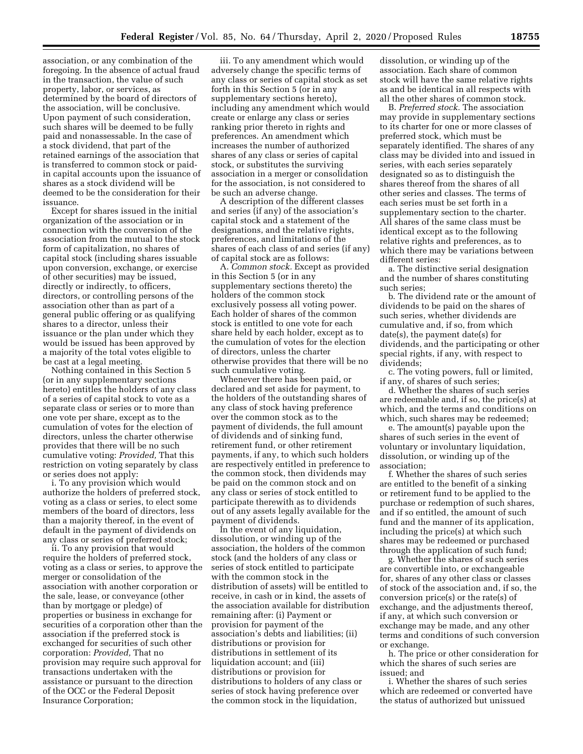association, or any combination of the foregoing. In the absence of actual fraud in the transaction, the value of such property, labor, or services, as determined by the board of directors of the association, will be conclusive. Upon payment of such consideration, such shares will be deemed to be fully paid and nonassessable. In the case of a stock dividend, that part of the retained earnings of the association that is transferred to common stock or paidin capital accounts upon the issuance of shares as a stock dividend will be deemed to be the consideration for their issuance.

Except for shares issued in the initial organization of the association or in connection with the conversion of the association from the mutual to the stock form of capitalization, no shares of capital stock (including shares issuable upon conversion, exchange, or exercise of other securities) may be issued, directly or indirectly, to officers, directors, or controlling persons of the association other than as part of a general public offering or as qualifying shares to a director, unless their issuance or the plan under which they would be issued has been approved by a majority of the total votes eligible to be cast at a legal meeting.

Nothing contained in this Section 5 (or in any supplementary sections hereto) entitles the holders of any class of a series of capital stock to vote as a separate class or series or to more than one vote per share, except as to the cumulation of votes for the election of directors, unless the charter otherwise provides that there will be no such cumulative voting: *Provided,* That this restriction on voting separately by class or series does not apply:

i. To any provision which would authorize the holders of preferred stock, voting as a class or series, to elect some members of the board of directors, less than a majority thereof, in the event of default in the payment of dividends on any class or series of preferred stock;

ii. To any provision that would require the holders of preferred stock, voting as a class or series, to approve the merger or consolidation of the association with another corporation or the sale, lease, or conveyance (other than by mortgage or pledge) of properties or business in exchange for securities of a corporation other than the association if the preferred stock is exchanged for securities of such other corporation: *Provided,* That no provision may require such approval for transactions undertaken with the assistance or pursuant to the direction of the OCC or the Federal Deposit Insurance Corporation;

iii. To any amendment which would adversely change the specific terms of any class or series of capital stock as set forth in this Section 5 (or in any supplementary sections hereto), including any amendment which would create or enlarge any class or series ranking prior thereto in rights and preferences. An amendment which increases the number of authorized shares of any class or series of capital stock, or substitutes the surviving association in a merger or consolidation for the association, is not considered to be such an adverse change.

A description of the different classes and series (if any) of the association's capital stock and a statement of the designations, and the relative rights, preferences, and limitations of the shares of each class of and series (if any) of capital stock are as follows:

A. *Common stock.* Except as provided in this Section 5 (or in any supplementary sections thereto) the holders of the common stock exclusively possess all voting power. Each holder of shares of the common stock is entitled to one vote for each share held by each holder, except as to the cumulation of votes for the election of directors, unless the charter otherwise provides that there will be no such cumulative voting.

Whenever there has been paid, or declared and set aside for payment, to the holders of the outstanding shares of any class of stock having preference over the common stock as to the payment of dividends, the full amount of dividends and of sinking fund, retirement fund, or other retirement payments, if any, to which such holders are respectively entitled in preference to the common stock, then dividends may be paid on the common stock and on any class or series of stock entitled to participate therewith as to dividends out of any assets legally available for the payment of dividends.

In the event of any liquidation, dissolution, or winding up of the association, the holders of the common stock (and the holders of any class or series of stock entitled to participate with the common stock in the distribution of assets) will be entitled to receive, in cash or in kind, the assets of the association available for distribution remaining after: (i) Payment or provision for payment of the association's debts and liabilities; (ii) distributions or provision for distributions in settlement of its liquidation account; and (iii) distributions or provision for distributions to holders of any class or series of stock having preference over the common stock in the liquidation,

dissolution, or winding up of the association. Each share of common stock will have the same relative rights as and be identical in all respects with all the other shares of common stock.

B. *Preferred stock.* The association may provide in supplementary sections to its charter for one or more classes of preferred stock, which must be separately identified. The shares of any class may be divided into and issued in series, with each series separately designated so as to distinguish the shares thereof from the shares of all other series and classes. The terms of each series must be set forth in a supplementary section to the charter. All shares of the same class must be identical except as to the following relative rights and preferences, as to which there may be variations between different series:

a. The distinctive serial designation and the number of shares constituting such series;

b. The dividend rate or the amount of dividends to be paid on the shares of such series, whether dividends are cumulative and, if so, from which date(s), the payment date(s) for dividends, and the participating or other special rights, if any, with respect to dividends;

c. The voting powers, full or limited, if any, of shares of such series;

d. Whether the shares of such series are redeemable and, if so, the price(s) at which, and the terms and conditions on which, such shares may be redeemed;

e. The amount(s) payable upon the shares of such series in the event of voluntary or involuntary liquidation, dissolution, or winding up of the association;

f. Whether the shares of such series are entitled to the benefit of a sinking or retirement fund to be applied to the purchase or redemption of such shares, and if so entitled, the amount of such fund and the manner of its application, including the price(s) at which such shares may be redeemed or purchased through the application of such fund;

g. Whether the shares of such series are convertible into, or exchangeable for, shares of any other class or classes of stock of the association and, if so, the conversion price(s) or the rate(s) of exchange, and the adjustments thereof, if any, at which such conversion or exchange may be made, and any other terms and conditions of such conversion or exchange.

h. The price or other consideration for which the shares of such series are issued; and

i. Whether the shares of such series which are redeemed or converted have the status of authorized but unissued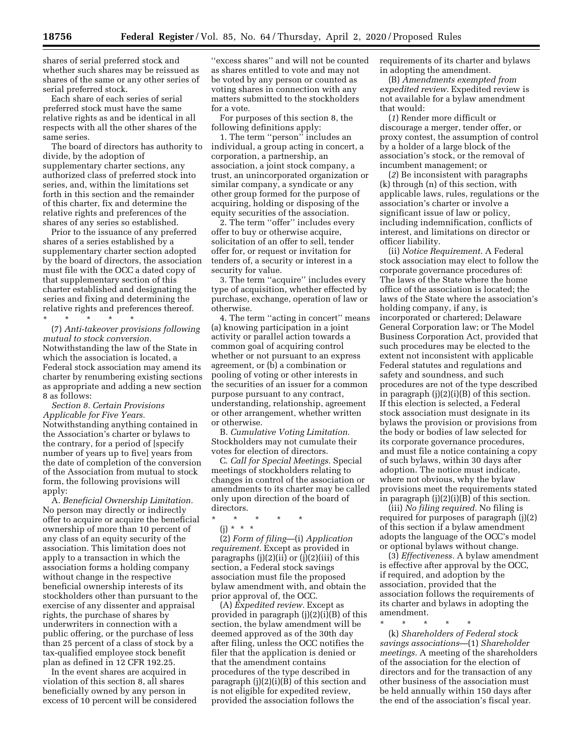shares of serial preferred stock and whether such shares may be reissued as shares of the same or any other series of serial preferred stock.

Each share of each series of serial preferred stock must have the same relative rights as and be identical in all respects with all the other shares of the same series.

The board of directors has authority to divide, by the adoption of supplementary charter sections, any authorized class of preferred stock into series, and, within the limitations set forth in this section and the remainder of this charter, fix and determine the relative rights and preferences of the shares of any series so established.

Prior to the issuance of any preferred shares of a series established by a supplementary charter section adopted by the board of directors, the association must file with the OCC a dated copy of that supplementary section of this charter established and designating the series and fixing and determining the relative rights and preferences thereof.

\* \* \* \* \*

(7) *Anti-takeover provisions following mutual to stock conversion.*  Notwithstanding the law of the State in which the association is located, a Federal stock association may amend its charter by renumbering existing sections as appropriate and adding a new section 8 as follows:

*Section 8. Certain Provisions Applicable for Five Years.*  Notwithstanding anything contained in the Association's charter or bylaws to the contrary, for a period of [specify number of years up to five] years from the date of completion of the conversion of the Association from mutual to stock form, the following provisions will apply:

A. *Beneficial Ownership Limitation.*  No person may directly or indirectly offer to acquire or acquire the beneficial ownership of more than 10 percent of any class of an equity security of the association. This limitation does not apply to a transaction in which the association forms a holding company without change in the respective beneficial ownership interests of its stockholders other than pursuant to the exercise of any dissenter and appraisal rights, the purchase of shares by underwriters in connection with a public offering, or the purchase of less than 25 percent of a class of stock by a tax-qualified employee stock benefit plan as defined in 12 CFR 192.25.

In the event shares are acquired in violation of this section 8, all shares beneficially owned by any person in excess of 10 percent will be considered ''excess shares'' and will not be counted as shares entitled to vote and may not be voted by any person or counted as voting shares in connection with any matters submitted to the stockholders for a vote.

For purposes of this section 8, the following definitions apply:

1. The term ''person'' includes an individual, a group acting in concert, a corporation, a partnership, an association, a joint stock company, a trust, an unincorporated organization or similar company, a syndicate or any other group formed for the purpose of acquiring, holding or disposing of the equity securities of the association.

2. The term ''offer'' includes every offer to buy or otherwise acquire, solicitation of an offer to sell, tender offer for, or request or invitation for tenders of, a security or interest in a security for value.

3. The term ''acquire'' includes every type of acquisition, whether effected by purchase, exchange, operation of law or otherwise.

4. The term ''acting in concert'' means (a) knowing participation in a joint activity or parallel action towards a common goal of acquiring control whether or not pursuant to an express agreement, or (b) a combination or pooling of voting or other interests in the securities of an issuer for a common purpose pursuant to any contract, understanding, relationship, agreement or other arrangement, whether written or otherwise.

B. *Cumulative Voting Limitation.*  Stockholders may not cumulate their votes for election of directors.

C. *Call for Special Meetings.* Special meetings of stockholders relating to changes in control of the association or amendments to its charter may be called only upon direction of the board of directors.

 $\star$ (j) \* \* \*

(2) *Form of filing*—(i) *Application requirement.* Except as provided in paragraphs (j)(2)(ii) or (j)(2)(iii) of this section, a Federal stock savings association must file the proposed bylaw amendment with, and obtain the prior approval of, the OCC.

(A) *Expedited review.* Except as provided in paragraph (j)(2)(i)(B) of this section, the bylaw amendment will be deemed approved as of the 30th day after filing, unless the OCC notifies the filer that the application is denied or that the amendment contains procedures of the type described in paragraph (j)(2)(i)(B) of this section and is not eligible for expedited review, provided the association follows the

requirements of its charter and bylaws in adopting the amendment.

(B) *Amendments exempted from expedited review.* Expedited review is not available for a bylaw amendment that would:

(*1*) Render more difficult or discourage a merger, tender offer, or proxy contest, the assumption of control by a holder of a large block of the association's stock, or the removal of incumbent management; or

(*2*) Be inconsistent with paragraphs (k) through (n) of this section, with applicable laws, rules, regulations or the association's charter or involve a significant issue of law or policy, including indemnification, conflicts of interest, and limitations on director or officer liability.

(ii) *Notice Requirement.* A Federal stock association may elect to follow the corporate governance procedures of: The laws of the State where the home office of the association is located; the laws of the State where the association's holding company, if any, is incorporated or chartered; Delaware General Corporation law; or The Model Business Corporation Act, provided that such procedures may be elected to the extent not inconsistent with applicable Federal statutes and regulations and safety and soundness, and such procedures are not of the type described in paragraph (j)(2)(i)(B) of this section. If this election is selected, a Federal stock association must designate in its bylaws the provision or provisions from the body or bodies of law selected for its corporate governance procedures, and must file a notice containing a copy of such bylaws, within 30 days after adoption. The notice must indicate, where not obvious, why the bylaw provisions meet the requirements stated in paragraph (j)(2)(i)(B) of this section.

(iii) *No filing required.* No filing is required for purposes of paragraph (j)(2) of this section if a bylaw amendment adopts the language of the OCC's model or optional bylaws without change.

(3) *Effectiveness.* A bylaw amendment is effective after approval by the OCC, if required, and adoption by the association, provided that the association follows the requirements of its charter and bylaws in adopting the amendment.

\* \* \* \* \*

(k) *Shareholders of Federal stock savings associations*—(1) *Shareholder meetings.* A meeting of the shareholders of the association for the election of directors and for the transaction of any other business of the association must be held annually within 150 days after the end of the association's fiscal year.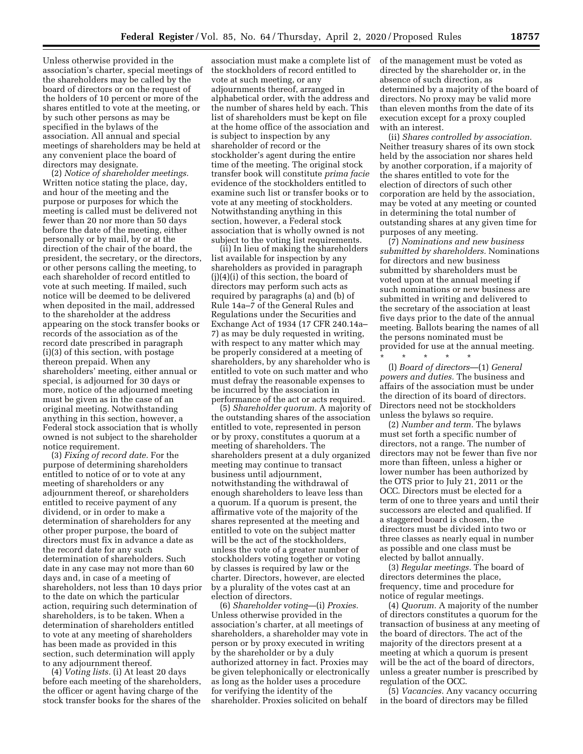Unless otherwise provided in the association's charter, special meetings of the shareholders may be called by the board of directors or on the request of the holders of 10 percent or more of the shares entitled to vote at the meeting, or by such other persons as may be specified in the bylaws of the association. All annual and special meetings of shareholders may be held at any convenient place the board of directors may designate.

(2) *Notice of shareholder meetings.*  Written notice stating the place, day, and hour of the meeting and the purpose or purposes for which the meeting is called must be delivered not fewer than 20 nor more than 50 days before the date of the meeting, either personally or by mail, by or at the direction of the chair of the board, the president, the secretary, or the directors, or other persons calling the meeting, to each shareholder of record entitled to vote at such meeting. If mailed, such notice will be deemed to be delivered when deposited in the mail, addressed to the shareholder at the address appearing on the stock transfer books or records of the association as of the record date prescribed in paragraph (i)(3) of this section, with postage thereon prepaid. When any shareholders' meeting, either annual or special, is adjourned for 30 days or more, notice of the adjourned meeting must be given as in the case of an original meeting. Notwithstanding anything in this section, however, a Federal stock association that is wholly owned is not subject to the shareholder notice requirement.

(3) *Fixing of record date.* For the purpose of determining shareholders entitled to notice of or to vote at any meeting of shareholders or any adjournment thereof, or shareholders entitled to receive payment of any dividend, or in order to make a determination of shareholders for any other proper purpose, the board of directors must fix in advance a date as the record date for any such determination of shareholders. Such date in any case may not more than 60 days and, in case of a meeting of shareholders, not less than 10 days prior to the date on which the particular action, requiring such determination of shareholders, is to be taken. When a determination of shareholders entitled to vote at any meeting of shareholders has been made as provided in this section, such determination will apply to any adjournment thereof.

(4) *Voting lists.* (i) At least 20 days before each meeting of the shareholders, the officer or agent having charge of the stock transfer books for the shares of the

association must make a complete list of the stockholders of record entitled to vote at such meeting, or any adjournments thereof, arranged in alphabetical order, with the address and the number of shares held by each. This list of shareholders must be kept on file at the home office of the association and is subject to inspection by any shareholder of record or the stockholder's agent during the entire time of the meeting. The original stock transfer book will constitute *prima facie*  evidence of the stockholders entitled to examine such list or transfer books or to vote at any meeting of stockholders. Notwithstanding anything in this section, however, a Federal stock association that is wholly owned is not subject to the voting list requirements.

(ii) In lieu of making the shareholders list available for inspection by any shareholders as provided in paragraph (j)(4)(i) of this section, the board of directors may perform such acts as required by paragraphs (a) and (b) of Rule 14a–7 of the General Rules and Regulations under the Securities and Exchange Act of 1934 (17 CFR 240.14a– 7) as may be duly requested in writing, with respect to any matter which may be properly considered at a meeting of shareholders, by any shareholder who is entitled to vote on such matter and who must defray the reasonable expenses to be incurred by the association in performance of the act or acts required.

(5) *Shareholder quorum.* A majority of the outstanding shares of the association entitled to vote, represented in person or by proxy, constitutes a quorum at a meeting of shareholders. The shareholders present at a duly organized meeting may continue to transact business until adjournment, notwithstanding the withdrawal of enough shareholders to leave less than a quorum. If a quorum is present, the affirmative vote of the majority of the shares represented at the meeting and entitled to vote on the subject matter will be the act of the stockholders, unless the vote of a greater number of stockholders voting together or voting by classes is required by law or the charter. Directors, however, are elected by a plurality of the votes cast at an election of directors.

(6) *Shareholder voting*—(i) *Proxies.*  Unless otherwise provided in the association's charter, at all meetings of shareholders, a shareholder may vote in person or by proxy executed in writing by the shareholder or by a duly authorized attorney in fact. Proxies may be given telephonically or electronically as long as the holder uses a procedure for verifying the identity of the shareholder. Proxies solicited on behalf

of the management must be voted as directed by the shareholder or, in the absence of such direction, as determined by a majority of the board of directors. No proxy may be valid more than eleven months from the date of its execution except for a proxy coupled with an interest.

(ii) *Shares controlled by association.*  Neither treasury shares of its own stock held by the association nor shares held by another corporation, if a majority of the shares entitled to vote for the election of directors of such other corporation are held by the association, may be voted at any meeting or counted in determining the total number of outstanding shares at any given time for purposes of any meeting.

(7) *Nominations and new business submitted by shareholders.* Nominations for directors and new business submitted by shareholders must be voted upon at the annual meeting if such nominations or new business are submitted in writing and delivered to the secretary of the association at least five days prior to the date of the annual meeting. Ballots bearing the names of all the persons nominated must be provided for use at the annual meeting.

\* \* \* \* \*

(l) *Board of directors*—(1) *General powers and duties.* The business and affairs of the association must be under the direction of its board of directors. Directors need not be stockholders unless the bylaws so require.

(2) *Number and term.* The bylaws must set forth a specific number of directors, not a range. The number of directors may not be fewer than five nor more than fifteen, unless a higher or lower number has been authorized by the OTS prior to July 21, 2011 or the OCC. Directors must be elected for a term of one to three years and until their successors are elected and qualified. If a staggered board is chosen, the directors must be divided into two or three classes as nearly equal in number as possible and one class must be elected by ballot annually.

(3) *Regular meetings.* The board of directors determines the place, frequency, time and procedure for notice of regular meetings.

(4) *Quorum.* A majority of the number of directors constitutes a quorum for the transaction of business at any meeting of the board of directors. The act of the majority of the directors present at a meeting at which a quorum is present will be the act of the board of directors, unless a greater number is prescribed by regulation of the OCC.

(5) *Vacancies.* Any vacancy occurring in the board of directors may be filled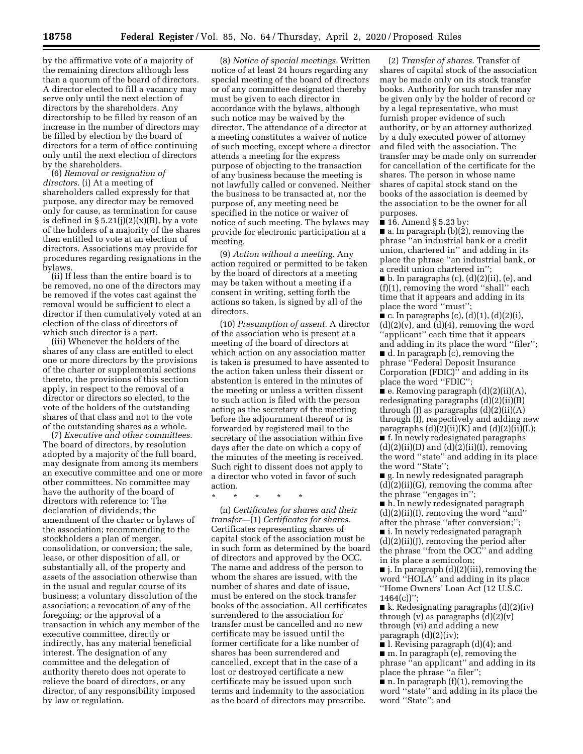by the affirmative vote of a majority of the remaining directors although less than a quorum of the board of directors. A director elected to fill a vacancy may serve only until the next election of directors by the shareholders. Any directorship to be filled by reason of an increase in the number of directors may be filled by election by the board of directors for a term of office continuing only until the next election of directors by the shareholders.

(6) *Removal or resignation of directors.* (i) At a meeting of shareholders called expressly for that purpose, any director may be removed only for cause, as termination for cause is defined in  $\S 5.21(j)(2)(x)(B)$ , by a vote of the holders of a majority of the shares then entitled to vote at an election of directors. Associations may provide for procedures regarding resignations in the bylaws.

(ii) If less than the entire board is to be removed, no one of the directors may be removed if the votes cast against the removal would be sufficient to elect a director if then cumulatively voted at an election of the class of directors of which such director is a part.

(iii) Whenever the holders of the shares of any class are entitled to elect one or more directors by the provisions of the charter or supplemental sections thereto, the provisions of this section apply, in respect to the removal of a director or directors so elected, to the vote of the holders of the outstanding shares of that class and not to the vote of the outstanding shares as a whole.

(7) *Executive and other committees.*  The board of directors, by resolution adopted by a majority of the full board, may designate from among its members an executive committee and one or more other committees. No committee may have the authority of the board of directors with reference to: The declaration of dividends; the amendment of the charter or bylaws of the association; recommending to the stockholders a plan of merger, consolidation, or conversion; the sale, lease, or other disposition of all, or substantially all, of the property and assets of the association otherwise than in the usual and regular course of its business; a voluntary dissolution of the association; a revocation of any of the foregoing; or the approval of a transaction in which any member of the executive committee, directly or indirectly, has any material beneficial interest. The designation of any committee and the delegation of authority thereto does not operate to relieve the board of directors, or any director, of any responsibility imposed by law or regulation.

(8) *Notice of special meetings.* Written notice of at least 24 hours regarding any special meeting of the board of directors or of any committee designated thereby must be given to each director in accordance with the bylaws, although such notice may be waived by the director. The attendance of a director at a meeting constitutes a waiver of notice of such meeting, except where a director attends a meeting for the express purpose of objecting to the transaction of any business because the meeting is not lawfully called or convened. Neither the business to be transacted at, nor the purpose of, any meeting need be specified in the notice or waiver of notice of such meeting. The bylaws may provide for electronic participation at a meeting.

(9) *Action without a meeting.* Any action required or permitted to be taken by the board of directors at a meeting may be taken without a meeting if a consent in writing, setting forth the actions so taken, is signed by all of the directors.

(10) *Presumption of assent.* A director of the association who is present at a meeting of the board of directors at which action on any association matter is taken is presumed to have assented to the action taken unless their dissent or abstention is entered in the minutes of the meeting or unless a written dissent to such action is filed with the person acting as the secretary of the meeting before the adjournment thereof or is forwarded by registered mail to the secretary of the association within five days after the date on which a copy of the minutes of the meeting is received. Such right to dissent does not apply to a director who voted in favor of such action.

\* \* \* \* \*

(n) *Certificates for shares and their transfer*—(1) *Certificates for shares.*  Certificates representing shares of capital stock of the association must be in such form as determined by the board of directors and approved by the OCC. The name and address of the person to whom the shares are issued, with the number of shares and date of issue, must be entered on the stock transfer books of the association. All certificates surrendered to the association for transfer must be cancelled and no new certificate may be issued until the former certificate for a like number of shares has been surrendered and cancelled, except that in the case of a lost or destroyed certificate a new certificate may be issued upon such terms and indemnity to the association as the board of directors may prescribe.

(2) *Transfer of shares.* Transfer of shares of capital stock of the association may be made only on its stock transfer books. Authority for such transfer may be given only by the holder of record or by a legal representative, who must furnish proper evidence of such authority, or by an attorney authorized by a duly executed power of attorney and filed with the association. The transfer may be made only on surrender for cancellation of the certificate for the shares. The person in whose name shares of capital stock stand on the books of the association is deemed by the association to be the owner for all purposes.

■ 16. Amend § 5.23 by:

■ a. In paragraph (b)(2), removing the phrase ''an industrial bank or a credit union, chartered in'' and adding in its place the phrase ''an industrial bank, or a credit union chartered in'';

 $\blacksquare$  b. In paragraphs (c), (d)(2)(ii), (e), and (f)(1), removing the word ''shall'' each time that it appears and adding in its place the word "must"

 $\blacksquare$  c. In paragraphs (c), (d)(1), (d)(2)(i),  $(d)(2)(v)$ , and  $(d)(4)$ , removing the word ''applicant'' each time that it appears and adding in its place the word ''filer'';

■ d. In paragraph (c), removing the phrase ''Federal Deposit Insurance Corporation (FDIC)'' and adding in its place the word ''FDIC'';

 $\bullet$  e. Removing paragraph  $(d)(2)(ii)(A)$ , redesignating paragraphs (d)(2)(ii)(B) through  $(J)$  as paragraphs  $(d)(2)(ii)(A)$ through (I), respectively and adding new paragraphs  $(d)(2)(ii)(K)$  and  $(d)(2)(ii)(L);$ 

■ f. In newly redesignated paragraphs  $(d)(2)(ii)(D)$  and  $(d)(2)(ii)(I)$ , removing the word ''state'' and adding in its place the word ''State'';

■ g. In newly redesignated paragraph  $(d)(2)(ii)(G)$ , removing the comma after the phrase ''engages in'';

■ h. In newly redesignated paragraph (d)(2)(ii)(I), removing the word ''and'' after the phrase ''after conversion;'';

■ i. In newly redesignated paragraph (d)(2)(ii)(J), removing the period after the phrase ''from the OCC'' and adding in its place a semicolon;

■ j. In paragraph (d)(2)(iii), removing the word ''HOLA'' and adding in its place ''Home Owners' Loan Act (12 U.S.C.  $1464(c)$ ";

■ k. Redesignating paragraphs (d)(2)(iv) through  $(v)$  as paragraphs  $(d)(2)(v)$ through (vi) and adding a new paragraph  $(d)(2)(iv)$ ;

■ l. Revising paragraph (d)(4); and ■ m. In paragraph (e), removing the phrase ''an applicant'' and adding in its place the phrase ''a filer'';

■ n. In paragraph (f)(1), removing the word ''state'' and adding in its place the word ''State''; and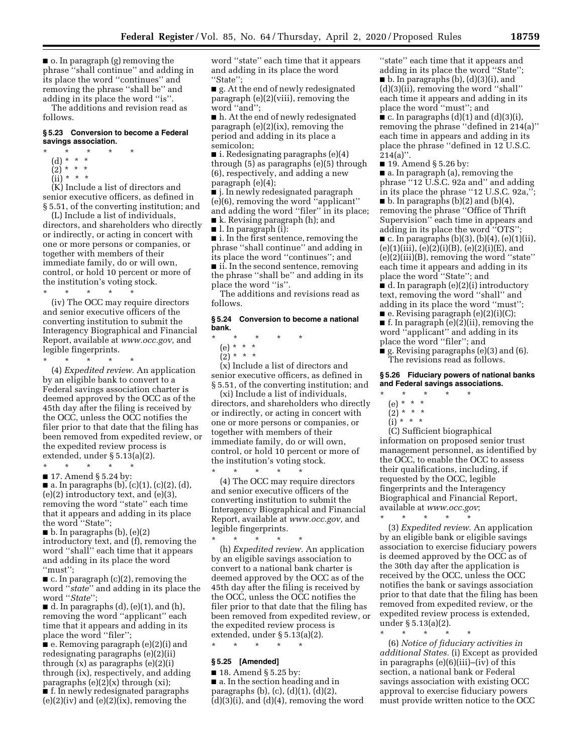■ o. In paragraph (g) removing the phrase ''shall continue'' and adding in its place the word ''continues'' and removing the phrase ''shall be'' and adding in its place the word ''is''.

The additions and revision read as follows.

#### **§ 5.23 Conversion to become a Federal savings association.**

- $\star$   $\star$
- (d) \* \* \*
- $(2) * * * *$  $(ii) * * * *$
- 

(K) Include a list of directors and senior executive officers, as defined in § 5.51, of the converting institution; and

(L) Include a list of individuals, directors, and shareholders who directly or indirectly, or acting in concert with one or more persons or companies, or together with members of their immediate family, do or will own, control, or hold 10 percent or more of the institution's voting stock.

\* \* \* \* \* (iv) The OCC may require directors and senior executive officers of the converting institution to submit the Interagency Biographical and Financial Report, available at *[www.occ.gov,](http://www.occ.gov)* and legible fingerprints.

\* \* \* \* \* (4) *Expedited review.* An application by an eligible bank to convert to a Federal savings association charter is deemed approved by the OCC as of the 45th day after the filing is received by the OCC, unless the OCC notifies the filer prior to that date that the filing has been removed from expedited review, or the expedited review process is extended, under § 5.13(a)(2).

\* \* \* \* \* ■ 17. Amend § 5.24 by:

 $\blacksquare$  a. In paragraphs (b), (c)(1), (c)(2), (d),  $(e)(2)$  introductory text, and  $(e)(3)$ , removing the word ''state'' each time that it appears and adding in its place the word ''State'';

 $\blacksquare$  b. In paragraphs (b), (e)(2) introductory text, and (f), removing the word ''shall'' each time that it appears and adding in its place the word ''must'';

■ c. In paragraph (c)(2), removing the word ''*state*'' and adding in its place the word ''*State*'';

 $\blacksquare$  d. In paragraphs (d), (e)(1), and (h), removing the word ''applicant'' each time that it appears and adding in its place the word ''filer'';

■ e. Removing paragraph (e)(2)(i) and redesignating paragraphs (e)(2)(ii) through  $(x)$  as paragraphs  $(e)(2)(i)$ through (ix), respectively, and adding paragraphs (e)(2)(x) through (xi); ■ f. In newly redesignated paragraphs  $(e)(2)(iv)$  and  $(e)(2)(ix)$ , removing the

word ''state'' each time that it appears and adding in its place the word ''State'';

■ g. At the end of newly redesignated paragraph (e)(2)(viii), removing the word ''and'';

■ h. At the end of newly redesignated paragraph (e)(2)(ix), removing the period and adding in its place a semicolon;

 $\blacksquare$  i. Redesignating paragraphs (e)(4) through (5) as paragraphs (e)(5) through (6), respectively, and adding a new paragraph (e)(4);

■ j. In newly redesignated paragraph (e)(6), removing the word ''applicant'' and adding the word ''filer'' in its place;

■ k. Revising paragraph (h); and ■ l. In paragraph (i):

■ i. In the first sentence, removing the phrase ''shall continue'' and adding in its place the word ''continues''; and ■ ii. In the second sentence, removing the phrase ''shall be'' and adding in its place the word ''is''.

The additions and revisions read as follows.

#### **§ 5.24 Conversion to become a national bank.**

- \* \* \* \* \*
	- (e) \* \* \*
	- $(2) * * * *$

(x) Include a list of directors and senior executive officers, as defined in § 5.51, of the converting institution; and

(xi) Include a list of individuals, directors, and shareholders who directly or indirectly, or acting in concert with one or more persons or companies, or together with members of their immediate family, do or will own, control, or hold 10 percent or more of the institution's voting stock.

\* \* \* \* \* (4) The OCC may require directors and senior executive officers of the converting institution to submit the Interagency Biographical and Financial Report, available at *[www.occ.gov,](http://www.occ.gov)* and legible fingerprints.

\* \* \* \* \* (h) *Expedited review.* An application by an eligible savings association to convert to a national bank charter is deemed approved by the OCC as of the 45th day after the filing is received by the OCC, unless the OCC notifies the filer prior to that date that the filing has been removed from expedited review, or the expedited review process is extended, under § 5.13(a)(2). \* \* \* \* \*

#### **§ 5.25 [Amended]**

■ 18. Amend § 5.25 by: ■ a. In the section heading and in paragraphs (b), (c), (d)(1), (d)(2),  $(d)(3)(i)$ , and  $(d)(4)$ , removing the word

"state" each time that it appears and adding in its place the word ''State'';  $\blacksquare$  b. In paragraphs (b), (d)(3)(i), and (d)(3)(ii), removing the word ''shall'' each time it appears and adding in its place the word ''must''; and  $\blacksquare$  c. In paragraphs (d)(1) and (d)(3)(i), removing the phrase ''defined in 214(a)'' each time in appears and adding in its place the phrase ''defined in 12 U.S.C.

 $214(a)$ ". ■ 19. Amend § 5.26 by:

■ a. In paragraph (a), removing the phrase ''12 U.S.C. 92a and'' and adding in its place the phrase "12 U.S.C. 92a,";  $\blacksquare$  b. In paragraphs (b)(2) and (b)(4), removing the phrase ''Office of Thrift Supervision'' each time in appears and adding in its place the word ''OTS'';  $\blacksquare$  c. In paragraphs (b)(3), (b)(4), (e)(1)(ii),  $(e)(1)(iii), (e)(2)(i)(B), (e)(2)(i)(E), and$ (e)(2)(iii)(B), removing the word ''state'' each time it appears and adding in its place the word ''State''; and

■ d. In paragraph (e)(2)(i) introductory text, removing the word ''shall'' and adding in its place the word ''must'';

■ e. Revising paragraph (e)(2)(i)(C);

■ f. In paragraph (e)(2)(ii), removing the word ''applicant'' and adding in its place the word ''filer''; and

■ g. Revising paragraphs (e)(3) and (6). The revisions read as follows.

**§ 5.26 Fiduciary powers of national banks and Federal savings associations.** 

- \* \* \* \* \* (e) \* \* \*
- (2) \* \* \*
- (i) \* \* \*

(C) Sufficient biographical information on proposed senior trust management personnel, as identified by the OCC, to enable the OCC to assess their qualifications, including, if requested by the OCC, legible fingerprints and the Interagency Biographical and Financial Report, available at *[www.occ.gov](http://www.occ.gov)*;

\* \* \* \* \* (3) *Expedited review.* An application by an eligible bank or eligible savings association to exercise fiduciary powers is deemed approved by the OCC as of the 30th day after the application is received by the OCC, unless the OCC notifies the bank or savings association prior to that date that the filing has been removed from expedited review, or the expedited review process is extended, under § 5.13(a)(2).

\* \* \* \* \* (6) *Notice of fiduciary activities in additional States.* (i) Except as provided in paragraphs (e)(6)(iii)–(iv) of this section, a national bank or Federal savings association with existing OCC approval to exercise fiduciary powers must provide written notice to the OCC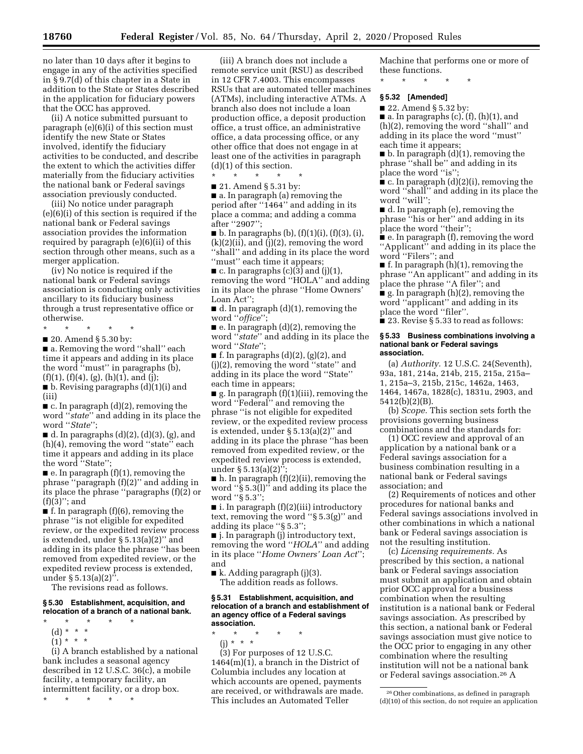no later than 10 days after it begins to engage in any of the activities specified in § 9.7(d) of this chapter in a State in addition to the State or States described in the application for fiduciary powers that the OCC has approved.

(ii) A notice submitted pursuant to paragraph (e)(6)(i) of this section must identify the new State or States involved, identify the fiduciary activities to be conducted, and describe the extent to which the activities differ materially from the fiduciary activities the national bank or Federal savings association previously conducted.

(iii) No notice under paragraph (e)(6)(i) of this section is required if the national bank or Federal savings association provides the information required by paragraph (e)(6)(ii) of this section through other means, such as a merger application.

(iv) No notice is required if the national bank or Federal savings association is conducting only activities ancillary to its fiduciary business through a trust representative office or otherwise.

\* \* \* \* \*

■ 20. Amend § 5.30 by:

■ a. Removing the word "shall" each time it appears and adding in its place the word "must" in paragraphs  $(b)$ ,  $(f)(1), (f)(4), (g), (h)(1), and (j);$ 

■ b. Revising paragraphs (d)(1)(i) and (iii)

 $\blacksquare$  c. In paragraph  $(d)(2)$ , removing the word ''*state*'' and adding in its place the word ''*State*'';

 $\blacksquare$  d. In paragraphs (d)(2), (d)(3), (g), and (h)(4), removing the word ''state'' each time it appears and adding in its place the word ''State'';

■ e. In paragraph (f)(1), removing the phrase ''paragraph (f)(2)'' and adding in its place the phrase ''paragraphs (f)(2) or  $(f)(3)$ "; and

 $\blacksquare$  f. In paragraph (f)(6), removing the phrase ''is not eligible for expedited review, or the expedited review process is extended, under  $\S 5.13(a)(2)'$  and adding in its place the phrase ''has been removed from expedited review, or the expedited review process is extended, under § 5.13(a)(2)''.

The revisions read as follows.

#### **§ 5.30 Establishment, acquisition, and relocation of a branch of a national bank.**

- \* \* \* \* \*
	- (d) \* \* \*
	- $(1) * * * *$

(i) A branch established by a national bank includes a seasonal agency described in 12 U.S.C. 36(c), a mobile facility, a temporary facility, an intermittent facility, or a drop box.

\* \* \* \* \*

(iii) A branch does not include a remote service unit (RSU) as described in 12 CFR 7.4003. This encompasses RSUs that are automated teller machines (ATMs), including interactive ATMs. A branch also does not include a loan production office, a deposit production office, a trust office, an administrative office, a data processing office, or any other office that does not engage in at least one of the activities in paragraph (d)(1) of this section.

\* \* \* \* \*

■ 21. Amend § 5.31 by:

■ a. In paragraph (a) removing the period after ''1464'' and adding in its place a comma; and adding a comma after ''2907'';

 $\blacksquare$  b. In paragraphs (b), (f)(1)(i), (f)(3), (i),  $(k)(2)(ii)$ , and  $(j)(2)$ , removing the word ''shall'' and adding in its place the word "must" each time it appears;

 $\blacksquare$  c. In paragraphs (c)(3) and (j)(1), removing the word ''HOLA'' and adding in its place the phrase ''Home Owners' Loan Act'';

■ d. In paragraph (d)(1), removing the word ''*office*'';

 $\blacksquare$  e. In paragraph  $(d)(2)$ , removing the word ''*state*'' and adding in its place the word ''*State*'';

 $\blacksquare$  f. In paragraphs (d)(2), (g)(2), and (j)(2), removing the word ''state'' and adding in its place the word ''State'' each time in appears;

 $\blacksquare$  g. In paragraph (f)(1)(iii), removing the word ''Federal'' and removing the phrase ''is not eligible for expedited review, or the expedited review process is extended, under § 5.13(a)(2)'' and adding in its place the phrase ''has been removed from expedited review, or the expedited review process is extended, under  $\S 5.13(a)(2)$ "

 $\blacksquare$  h. In paragraph  $(f)(2)(ii)$ , removing the word ''§ 5.3(l)'' and adding its place the word ''§ 5.3'';

■ i. In paragraph (f)(2)(iii) introductory text, removing the word ''§ 5.3(g)'' and adding its place ''§ 5.3'';

■ j. In paragraph (j) introductory text, removing the word ''*HOLA*'' and adding in its place ''*Home Owners' Loan Act*''; and

■ k. Adding paragraph (j)(3). The addition reads as follows.

#### **§ 5.31 Establishment, acquisition, and relocation of a branch and establishment of an agency office of a Federal savings association.**

\* \* \* \* \*

(j) \* \* \*

(3) For purposes of 12 U.S.C. 1464(m)(1), a branch in the District of Columbia includes any location at which accounts are opened, payments are received, or withdrawals are made. This includes an Automated Teller

Machine that performs one or more of these functions.

\* \* \* \* \*

### **§ 5.32 [Amended]**

■ 22. Amend § 5.32 by:

 $\blacksquare$  a. In paragraphs (c), (f), (h)(1), and (h)(2), removing the word ''shall'' and adding in its place the word ''must'' each time it appears;

■ b. In paragraph (d)(1), removing the phrase ''shall be'' and adding in its place the word "is";

■ c. In paragraph (d)(2)(i), removing the word ''shall'' and adding in its place the word ''will'';

■ d. In paragraph (e), removing the phrase ''his or her'' and adding in its place the word ''their'';

■ e. In paragraph (f), removing the word ''Applicant'' and adding in its place the word ''Filers''; and

■ f. In paragraph (h)(1), removing the phrase ''An applicant'' and adding in its place the phrase ''A filer''; and

■ g. In paragraph (h)(2), removing the word ''applicant'' and adding in its place the word ''filer''.

■ 23. Revise § 5.33 to read as follows:

#### **§ 5.33 Business combinations involving a national bank or Federal savings association.**

(a) *Authority.* 12 U.S.C. 24(Seventh), 93a, 181, 214a, 214b, 215, 215a, 215a– 1, 215a–3, 215b, 215c, 1462a, 1463, 1464, 1467a, 1828(c), 1831u, 2903, and 5412(b)(2)(B).

(b) *Scope.* This section sets forth the provisions governing business combinations and the standards for:

(1) OCC review and approval of an application by a national bank or a Federal savings association for a business combination resulting in a national bank or Federal savings association; and

(2) Requirements of notices and other procedures for national banks and Federal savings associations involved in other combinations in which a national bank or Federal savings association is not the resulting institution.

(c) *Licensing requirements.* As prescribed by this section, a national bank or Federal savings association must submit an application and obtain prior OCC approval for a business combination when the resulting institution is a national bank or Federal savings association. As prescribed by this section, a national bank or Federal savings association must give notice to the OCC prior to engaging in any other combination where the resulting institution will not be a national bank or Federal savings association.26 A

<sup>26</sup>Other combinations, as defined in paragraph (d)(10) of this section, do not require an application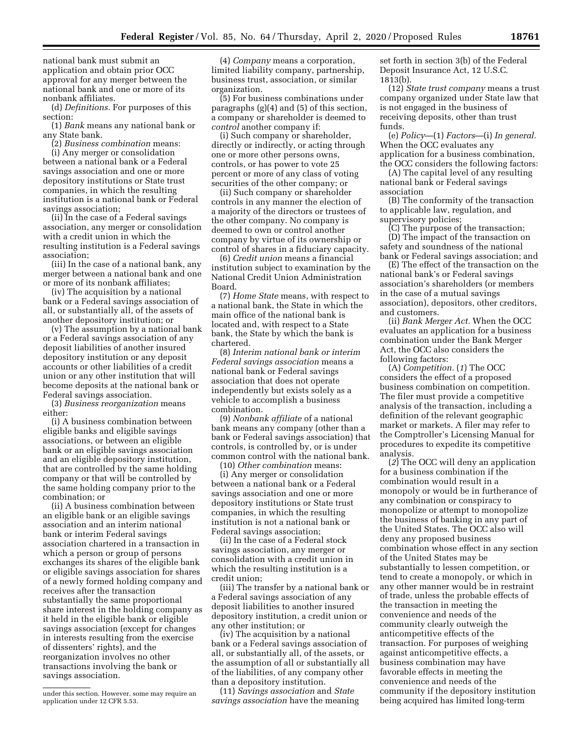national bank must submit an application and obtain prior OCC approval for any merger between the national bank and one or more of its nonbank affiliates.

(d) *Definitions.* For purposes of this section:

(1) *Bank* means any national bank or any State bank.

(2) *Business combination* means: (i) Any merger or consolidation between a national bank or a Federal savings association and one or more depository institutions or State trust companies, in which the resulting institution is a national bank or Federal savings association;

(ii) In the case of a Federal savings association, any merger or consolidation with a credit union in which the resulting institution is a Federal savings association;

(iii) In the case of a national bank, any merger between a national bank and one or more of its nonbank affiliates;

(iv) The acquisition by a national bank or a Federal savings association of all, or substantially all, of the assets of another depository institution; or

(v) The assumption by a national bank or a Federal savings association of any deposit liabilities of another insured depository institution or any deposit accounts or other liabilities of a credit union or any other institution that will become deposits at the national bank or Federal savings association.

(3) *Business reorganization* means either:

(i) A business combination between eligible banks and eligible savings associations, or between an eligible bank or an eligible savings association and an eligible depository institution, that are controlled by the same holding company or that will be controlled by the same holding company prior to the combination; or

(ii) A business combination between an eligible bank or an eligible savings association and an interim national bank or interim Federal savings association chartered in a transaction in which a person or group of persons exchanges its shares of the eligible bank or eligible savings association for shares of a newly formed holding company and receives after the transaction substantially the same proportional share interest in the holding company as it held in the eligible bank or eligible savings association (except for changes in interests resulting from the exercise of dissenters' rights), and the reorganization involves no other transactions involving the bank or savings association.

(4) *Company* means a corporation, limited liability company, partnership, business trust, association, or similar organization.

(5) For business combinations under paragraphs (g)(4) and (5) of this section, a company or shareholder is deemed to *control* another company if:

(i) Such company or shareholder, directly or indirectly, or acting through one or more other persons owns, controls, or has power to vote 25 percent or more of any class of voting securities of the other company; or

(ii) Such company or shareholder controls in any manner the election of a majority of the directors or trustees of the other company. No company is deemed to own or control another company by virtue of its ownership or control of shares in a fiduciary capacity.

(6) *Credit union* means a financial institution subject to examination by the National Credit Union Administration Board.

(7) *Home State* means, with respect to a national bank, the State in which the main office of the national bank is located and, with respect to a State bank, the State by which the bank is chartered.

(8) *Interim national bank or interim Federal savings association* means a national bank or Federal savings association that does not operate independently but exists solely as a vehicle to accomplish a business combination.

(9) *Nonbank affiliate* of a national bank means any company (other than a bank or Federal savings association) that controls, is controlled by, or is under common control with the national bank.

(10) *Other combination* means:

(i) Any merger or consolidation between a national bank or a Federal savings association and one or more depository institutions or State trust companies, in which the resulting institution is not a national bank or Federal savings association;

(ii) In the case of a Federal stock savings association, any merger or consolidation with a credit union in which the resulting institution is a credit union;

(iii) The transfer by a national bank or a Federal savings association of any deposit liabilities to another insured depository institution, a credit union or any other institution; or

(iv) The acquisition by a national bank or a Federal savings association of all, or substantially all, of the assets, or the assumption of all or substantially all of the liabilities, of any company other than a depository institution.

(11) *Savings association* and *State savings association* have the meaning set forth in section 3(b) of the Federal Deposit Insurance Act, 12 U.S.C. 1813(b).

(12) *State trust company* means a trust company organized under State law that is not engaged in the business of receiving deposits, other than trust funds.

(e) *Policy*—(1) *Factors*—(i) *In general.*  When the OCC evaluates any application for a business combination, the OCC considers the following factors:

(A) The capital level of any resulting national bank or Federal savings

association

(B) The conformity of the transaction to applicable law, regulation, and supervisory policies;

(C) The purpose of the transaction; (D) The impact of the transaction on

safety and soundness of the national bank or Federal savings association; and

(E) The effect of the transaction on the national bank's or Federal savings association's shareholders (or members in the case of a mutual savings association), depositors, other creditors, and customers.

(ii) *Bank Merger Act.* When the OCC evaluates an application for a business combination under the Bank Merger Act, the OCC also considers the following factors:

(A) *Competition.* (*1*) The OCC considers the effect of a proposed business combination on competition. The filer must provide a competitive analysis of the transaction, including a definition of the relevant geographic market or markets. A filer may refer to the Comptroller's Licensing Manual for procedures to expedite its competitive analysis.

(*2*) The OCC will deny an application for a business combination if the combination would result in a monopoly or would be in furtherance of any combination or conspiracy to monopolize or attempt to monopolize the business of banking in any part of the United States. The OCC also will deny any proposed business combination whose effect in any section of the United States may be substantially to lessen competition, or tend to create a monopoly, or which in any other manner would be in restraint of trade, unless the probable effects of the transaction in meeting the convenience and needs of the community clearly outweigh the anticompetitive effects of the transaction. For purposes of weighing against anticompetitive effects, a business combination may have favorable effects in meeting the convenience and needs of the community if the depository institution being acquired has limited long-term

under this section. However, some may require an application under 12 CFR 5.53.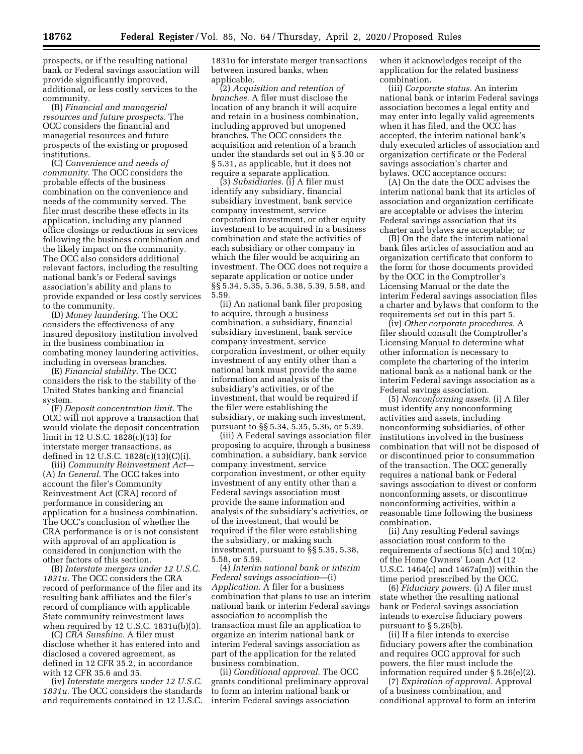prospects, or if the resulting national bank or Federal savings association will provide significantly improved, additional, or less costly services to the community.

(B) *Financial and managerial resources and future prospects.* The OCC considers the financial and managerial resources and future prospects of the existing or proposed institutions.

(C) *Convenience and needs of community.* The OCC considers the probable effects of the business combination on the convenience and needs of the community served. The filer must describe these effects in its application, including any planned office closings or reductions in services following the business combination and the likely impact on the community. The OCC also considers additional relevant factors, including the resulting national bank's or Federal savings association's ability and plans to provide expanded or less costly services to the community.

(D) *Money laundering.* The OCC considers the effectiveness of any insured depository institution involved in the business combination in combating money laundering activities, including in overseas branches.

(E) *Financial stability.* The OCC considers the risk to the stability of the United States banking and financial system.

(F) *Deposit concentration limit.* The OCC will not approve a transaction that would violate the deposit concentration limit in 12 U.S.C. 1828(c)(13) for interstate merger transactions, as defined in 12 U.S.C. 1828(c)(13)(C)(i).

(iii) *Community Reinvestment Act*— (A) *In General*. The OCC takes into account the filer's Community Reinvestment Act (CRA) record of performance in considering an application for a business combination. The OCC's conclusion of whether the CRA performance is or is not consistent with approval of an application is considered in conjunction with the other factors of this section.

(B) *Interstate mergers under 12 U.S.C. 1831u*. The OCC considers the CRA record of performance of the filer and its resulting bank affiliates and the filer's record of compliance with applicable State community reinvestment laws when required by 12 U.S.C. 1831u(b)(3).

(C) *CRA Sunshine.* A filer must disclose whether it has entered into and disclosed a covered agreement, as defined in 12 CFR 35.2, in accordance with 12 CFR 35.6 and 35.

(iv) *Interstate mergers under 12 U.S.C. 1831u.* The OCC considers the standards and requirements contained in 12 U.S.C. 1831u for interstate merger transactions between insured banks, when applicable.

(2) *Acquisition and retention of branches.* A filer must disclose the location of any branch it will acquire and retain in a business combination, including approved but unopened branches. The OCC considers the acquisition and retention of a branch under the standards set out in § 5.30 or § 5.31, as applicable, but it does not require a separate application.

(3) *Subsidiaries.* (i) A filer must identify any subsidiary, financial subsidiary investment, bank service company investment, service corporation investment, or other equity investment to be acquired in a business combination and state the activities of each subsidiary or other company in which the filer would be acquiring an investment. The OCC does not require a separate application or notice under §§ 5.34, 5.35, 5.36, 5.38, 5.39, 5.58, and 5.59.

(ii) An national bank filer proposing to acquire, through a business combination, a subsidiary, financial subsidiary investment, bank service company investment, service corporation investment, or other equity investment of any entity other than a national bank must provide the same information and analysis of the subsidiary's activities, or of the investment, that would be required if the filer were establishing the subsidiary, or making such investment, pursuant to §§ 5.34, 5.35, 5.36, or 5.39.

(iii) A Federal savings association filer proposing to acquire, through a business combination, a subsidiary, bank service company investment, service corporation investment, or other equity investment of any entity other than a Federal savings association must provide the same information and analysis of the subsidiary's activities, or of the investment, that would be required if the filer were establishing the subsidiary, or making such investment, pursuant to §§ 5.35, 5.38, 5.58, or 5.59.

(4) *Interim national bank or interim Federal savings association*—(i) *Application.* A filer for a business combination that plans to use an interim national bank or interim Federal savings association to accomplish the transaction must file an application to organize an interim national bank or interim Federal savings association as part of the application for the related business combination.

(ii) *Conditional approval.* The OCC grants conditional preliminary approval to form an interim national bank or interim Federal savings association

when it acknowledges receipt of the application for the related business combination.

(iii) *Corporate status.* An interim national bank or interim Federal savings association becomes a legal entity and may enter into legally valid agreements when it has filed, and the OCC has accepted, the interim national bank's duly executed articles of association and organization certificate or the Federal savings association's charter and bylaws. OCC acceptance occurs:

(A) On the date the OCC advises the interim national bank that its articles of association and organization certificate are acceptable or advises the interim Federal savings association that its charter and bylaws are acceptable; or

(B) On the date the interim national bank files articles of association and an organization certificate that conform to the form for those documents provided by the OCC in the Comptroller's Licensing Manual or the date the interim Federal savings association files a charter and bylaws that conform to the requirements set out in this part 5.

(iv) *Other corporate procedures.* A filer should consult the Comptroller's Licensing Manual to determine what other information is necessary to complete the chartering of the interim national bank as a national bank or the interim Federal savings association as a Federal savings association.

(5) *Nonconforming assets.* (i) A filer must identify any nonconforming activities and assets, including nonconforming subsidiaries, of other institutions involved in the business combination that will not be disposed of or discontinued prior to consummation of the transaction. The OCC generally requires a national bank or Federal savings association to divest or conform nonconforming assets, or discontinue nonconforming activities, within a reasonable time following the business combination.

(ii) Any resulting Federal savings association must conform to the requirements of sections 5(c) and 10(m) of the Home Owners' Loan Act (12 U.S.C. 1464(c) and 1467a(m)) within the time period prescribed by the OCC.

(6) *Fiduciary powers.* (i) A filer must state whether the resulting national bank or Federal savings association intends to exercise fiduciary powers pursuant to § 5.26(b).

(ii) If a filer intends to exercise fiduciary powers after the combination and requires OCC approval for such powers, the filer must include the information required under § 5.26(e)(2).

(7) *Expiration of approval.* Approval of a business combination, and conditional approval to form an interim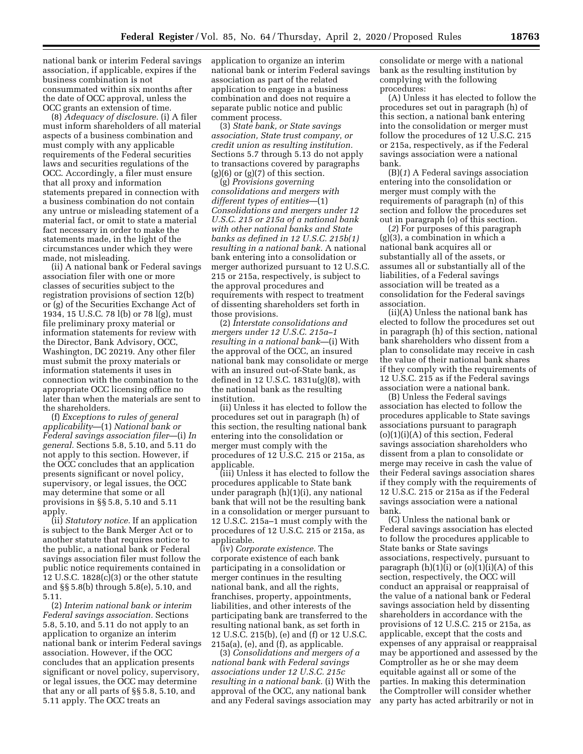national bank or interim Federal savings association, if applicable, expires if the business combination is not consummated within six months after the date of OCC approval, unless the OCC grants an extension of time.

(8) *Adequacy of disclosure.* (i) A filer must inform shareholders of all material aspects of a business combination and must comply with any applicable requirements of the Federal securities laws and securities regulations of the OCC. Accordingly, a filer must ensure that all proxy and information statements prepared in connection with a business combination do not contain any untrue or misleading statement of a material fact, or omit to state a material fact necessary in order to make the statements made, in the light of the circumstances under which they were made, not misleading.

(ii) A national bank or Federal savings association filer with one or more classes of securities subject to the registration provisions of section 12(b) or (g) of the Securities Exchange Act of 1934, 15 U.S.C. 78 l(b) or 78 l(g), must file preliminary proxy material or information statements for review with the Director, Bank Advisory, OCC, Washington, DC 20219. Any other filer must submit the proxy materials or information statements it uses in connection with the combination to the appropriate OCC licensing office no later than when the materials are sent to the shareholders.

(f) *Exceptions to rules of general applicability*—(1) *National bank or Federal savings association filer*—(i) *In general.* Sections 5.8, 5.10, and 5.11 do not apply to this section. However, if the OCC concludes that an application presents significant or novel policy, supervisory, or legal issues, the OCC may determine that some or all provisions in §§ 5.8, 5.10 and 5.11 apply.

(ii) *Statutory notice.* If an application is subject to the Bank Merger Act or to another statute that requires notice to the public, a national bank or Federal savings association filer must follow the public notice requirements contained in 12 U.S.C. 1828(c)(3) or the other statute and §§ 5.8(b) through 5.8(e), 5.10, and 5.11.

(2) *Interim national bank or interim Federal savings association.* Sections 5.8, 5.10, and 5.11 do not apply to an application to organize an interim national bank or interim Federal savings association. However, if the OCC concludes that an application presents significant or novel policy, supervisory, or legal issues, the OCC may determine that any or all parts of §§ 5.8, 5.10, and 5.11 apply. The OCC treats an

application to organize an interim national bank or interim Federal savings association as part of the related application to engage in a business combination and does not require a separate public notice and public comment process.

(3) *State bank, or State savings association, State trust company, or credit union as resulting institution.*  Sections 5.7 through 5.13 do not apply to transactions covered by paragraphs  $(g)(6)$  or  $(g)(7)$  of this section.

(g) *Provisions governing consolidations and mergers with different types of entities*—(1) *Consolidations and mergers under 12 U.S.C. 215 or 215a of a national bank with other national banks and State banks as defined in 12 U.S.C. 215b(1) resulting in a national bank.* A national bank entering into a consolidation or merger authorized pursuant to 12 U.S.C. 215 or 215a, respectively, is subject to the approval procedures and requirements with respect to treatment of dissenting shareholders set forth in those provisions.

(2) *Interstate consolidations and mergers under 12 U.S.C. 215a–1 resulting in a national bank*—(i) With the approval of the OCC, an insured national bank may consolidate or merge with an insured out-of-State bank, as defined in 12 U.S.C. 1831u(g)(8), with the national bank as the resulting institution.

(ii) Unless it has elected to follow the procedures set out in paragraph (h) of this section, the resulting national bank entering into the consolidation or merger must comply with the procedures of 12 U.S.C. 215 or 215a, as applicable.

(iii) Unless it has elected to follow the procedures applicable to State bank under paragraph (h)(1)(i), any national bank that will not be the resulting bank in a consolidation or merger pursuant to 12 U.S.C. 215a–1 must comply with the procedures of 12 U.S.C. 215 or 215a, as applicable.

(iv) *Corporate existence.* The corporate existence of each bank participating in a consolidation or merger continues in the resulting national bank, and all the rights, franchises, property, appointments, liabilities, and other interests of the participating bank are transferred to the resulting national bank, as set forth in 12 U.S.C. 215(b), (e) and (f) or 12 U.S.C. 215a(a), (e), and (f), as applicable.

(3) *Consolidations and mergers of a national bank with Federal savings associations under 12 U.S.C. 215c resulting in a national bank.* (i) With the approval of the OCC, any national bank and any Federal savings association may

consolidate or merge with a national bank as the resulting institution by complying with the following procedures:

(A) Unless it has elected to follow the procedures set out in paragraph (h) of this section, a national bank entering into the consolidation or merger must follow the procedures of 12 U.S.C. 215 or 215a, respectively, as if the Federal savings association were a national bank.

(B)(*1*) A Federal savings association entering into the consolidation or merger must comply with the requirements of paragraph (n) of this section and follow the procedures set out in paragraph (o) of this section.

(*2*) For purposes of this paragraph (g)(3), a combination in which a national bank acquires all or substantially all of the assets, or assumes all or substantially all of the liabilities, of a Federal savings association will be treated as a consolidation for the Federal savings association.

(ii)(A) Unless the national bank has elected to follow the procedures set out in paragraph (h) of this section, national bank shareholders who dissent from a plan to consolidate may receive in cash the value of their national bank shares if they comply with the requirements of 12 U.S.C. 215 as if the Federal savings association were a national bank.

(B) Unless the Federal savings association has elected to follow the procedures applicable to State savings associations pursuant to paragraph  $(o)(1)(i)(A)$  of this section, Federal savings association shareholders who dissent from a plan to consolidate or merge may receive in cash the value of their Federal savings association shares if they comply with the requirements of 12 U.S.C. 215 or 215a as if the Federal savings association were a national bank.

(C) Unless the national bank or Federal savings association has elected to follow the procedures applicable to State banks or State savings associations, respectively, pursuant to paragraph  $(h)(1)(i)$  or  $(o)(1)(i)(A)$  of this section, respectively, the OCC will conduct an appraisal or reappraisal of the value of a national bank or Federal savings association held by dissenting shareholders in accordance with the provisions of 12 U.S.C. 215 or 215a, as applicable, except that the costs and expenses of any appraisal or reappraisal may be apportioned and assessed by the Comptroller as he or she may deem equitable against all or some of the parties. In making this determination the Comptroller will consider whether any party has acted arbitrarily or not in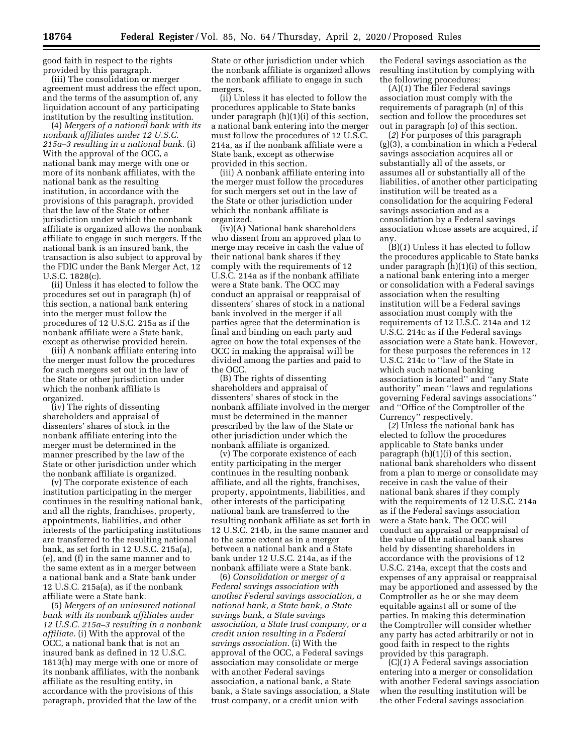good faith in respect to the rights provided by this paragraph.

(iii) The consolidation or merger agreement must address the effect upon, and the terms of the assumption of, any liquidation account of any participating institution by the resulting institution.

(4) *Mergers of a national bank with its nonbank affiliates under 12 U.S.C. 215a–3 resulting in a national bank.* (i) With the approval of the OCC, a national bank may merge with one or more of its nonbank affiliates, with the national bank as the resulting institution, in accordance with the provisions of this paragraph, provided that the law of the State or other jurisdiction under which the nonbank affiliate is organized allows the nonbank affiliate to engage in such mergers. If the national bank is an insured bank, the transaction is also subject to approval by the FDIC under the Bank Merger Act, 12 U.S.C. 1828(c).

(ii) Unless it has elected to follow the procedures set out in paragraph (h) of this section, a national bank entering into the merger must follow the procedures of 12 U.S.C. 215a as if the nonbank affiliate were a State bank, except as otherwise provided herein.

(iii) A nonbank affiliate entering into the merger must follow the procedures for such mergers set out in the law of the State or other jurisdiction under which the nonbank affiliate is organized.

(iv) The rights of dissenting shareholders and appraisal of dissenters' shares of stock in the nonbank affiliate entering into the merger must be determined in the manner prescribed by the law of the State or other jurisdiction under which the nonbank affiliate is organized.

(v) The corporate existence of each institution participating in the merger continues in the resulting national bank, and all the rights, franchises, property, appointments, liabilities, and other interests of the participating institutions are transferred to the resulting national bank, as set forth in 12 U.S.C. 215a(a), (e), and (f) in the same manner and to the same extent as in a merger between a national bank and a State bank under 12 U.S.C. 215a(a), as if the nonbank affiliate were a State bank.

(5) *Mergers of an uninsured national bank with its nonbank affiliates under 12 U.S.C. 215a–3 resulting in a nonbank affiliate.* (i) With the approval of the OCC, a national bank that is not an insured bank as defined in 12 U.S.C. 1813(h) may merge with one or more of its nonbank affiliates, with the nonbank affiliate as the resulting entity, in accordance with the provisions of this paragraph, provided that the law of the

State or other jurisdiction under which the nonbank affiliate is organized allows the nonbank affiliate to engage in such mergers.

(ii) Unless it has elected to follow the procedures applicable to State banks under paragraph (h)(1)(i) of this section, a national bank entering into the merger must follow the procedures of 12 U.S.C. 214a, as if the nonbank affiliate were a State bank, except as otherwise provided in this section.

(iii) A nonbank affiliate entering into the merger must follow the procedures for such mergers set out in the law of the State or other jurisdiction under which the nonbank affiliate is organized.

(iv)(A) National bank shareholders who dissent from an approved plan to merge may receive in cash the value of their national bank shares if they comply with the requirements of 12 U.S.C. 214a as if the nonbank affiliate were a State bank. The OCC may conduct an appraisal or reappraisal of dissenters' shares of stock in a national bank involved in the merger if all parties agree that the determination is final and binding on each party and agree on how the total expenses of the OCC in making the appraisal will be divided among the parties and paid to the OCC.

(B) The rights of dissenting shareholders and appraisal of dissenters' shares of stock in the nonbank affiliate involved in the merger must be determined in the manner prescribed by the law of the State or other jurisdiction under which the nonbank affiliate is organized.

(v) The corporate existence of each entity participating in the merger continues in the resulting nonbank affiliate, and all the rights, franchises, property, appointments, liabilities, and other interests of the participating national bank are transferred to the resulting nonbank affiliate as set forth in 12 U.S.C. 214b, in the same manner and to the same extent as in a merger between a national bank and a State bank under 12 U.S.C. 214a, as if the nonbank affiliate were a State bank.

(6) *Consolidation or merger of a Federal savings association with another Federal savings association, a national bank, a State bank, a State savings bank, a State savings association, a State trust company, or a credit union resulting in a Federal savings association.* (i) With the approval of the OCC, a Federal savings association may consolidate or merge with another Federal savings association, a national bank, a State bank, a State savings association, a State trust company, or a credit union with

the Federal savings association as the resulting institution by complying with the following procedures:

(A)(*1*) The filer Federal savings association must comply with the requirements of paragraph (n) of this section and follow the procedures set out in paragraph (o) of this section.

(*2*) For purposes of this paragraph (g)(3), a combination in which a Federal savings association acquires all or substantially all of the assets, or assumes all or substantially all of the liabilities, of another other participating institution will be treated as a consolidation for the acquiring Federal savings association and as a consolidation by a Federal savings association whose assets are acquired, if any.

(B)(*1*) Unless it has elected to follow the procedures applicable to State banks under paragraph (h)(1)(i) of this section, a national bank entering into a merger or consolidation with a Federal savings association when the resulting institution will be a Federal savings association must comply with the requirements of 12 U.S.C. 214a and 12 U.S.C. 214c as if the Federal savings association were a State bank. However, for these purposes the references in 12 U.S.C. 214c to ''law of the State in which such national banking association is located'' and ''any State authority'' mean ''laws and regulations governing Federal savings associations'' and ''Office of the Comptroller of the Currency'' respectively.

(*2*) Unless the national bank has elected to follow the procedures applicable to State banks under paragraph (h)(1)(i) of this section, national bank shareholders who dissent from a plan to merge or consolidate may receive in cash the value of their national bank shares if they comply with the requirements of 12 U.S.C. 214a as if the Federal savings association were a State bank. The OCC will conduct an appraisal or reappraisal of the value of the national bank shares held by dissenting shareholders in accordance with the provisions of 12 U.S.C. 214a, except that the costs and expenses of any appraisal or reappraisal may be apportioned and assessed by the Comptroller as he or she may deem equitable against all or some of the parties. In making this determination the Comptroller will consider whether any party has acted arbitrarily or not in good faith in respect to the rights provided by this paragraph.

(C)(*1*) A Federal savings association entering into a merger or consolidation with another Federal savings association when the resulting institution will be the other Federal savings association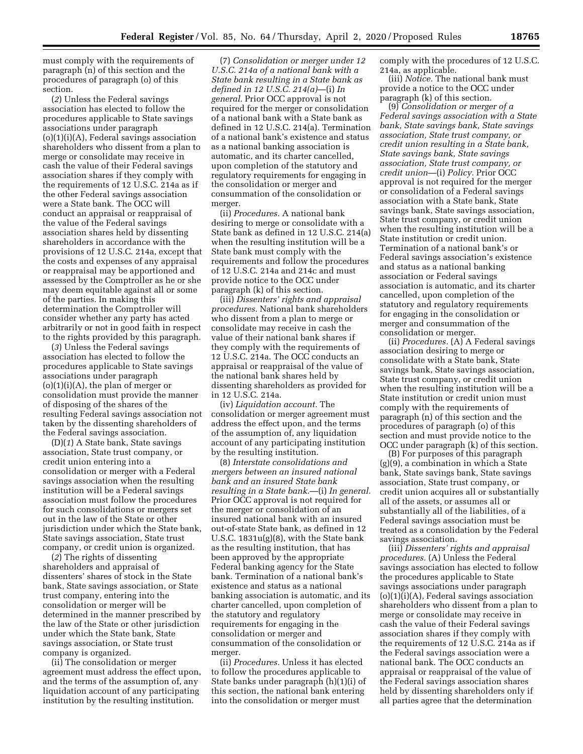must comply with the requirements of paragraph (n) of this section and the procedures of paragraph (o) of this section.

(*2*) Unless the Federal savings association has elected to follow the procedures applicable to State savings associations under paragraph  $(o)(1)(i)(A)$ , Federal savings association shareholders who dissent from a plan to merge or consolidate may receive in cash the value of their Federal savings association shares if they comply with the requirements of 12 U.S.C. 214a as if the other Federal savings association were a State bank. The OCC will conduct an appraisal or reappraisal of the value of the Federal savings association shares held by dissenting shareholders in accordance with the provisions of 12 U.S.C. 214a, except that the costs and expenses of any appraisal or reappraisal may be apportioned and assessed by the Comptroller as he or she may deem equitable against all or some of the parties. In making this determination the Comptroller will consider whether any party has acted arbitrarily or not in good faith in respect to the rights provided by this paragraph.

(*3*) Unless the Federal savings association has elected to follow the procedures applicable to State savings associations under paragraph  $(o)(1)(i)(A)$ , the plan of merger or consolidation must provide the manner of disposing of the shares of the resulting Federal savings association not taken by the dissenting shareholders of the Federal savings association.

(D)(*1*) A State bank, State savings association, State trust company, or credit union entering into a consolidation or merger with a Federal savings association when the resulting institution will be a Federal savings association must follow the procedures for such consolidations or mergers set out in the law of the State or other jurisdiction under which the State bank, State savings association, State trust company, or credit union is organized.

(*2*) The rights of dissenting shareholders and appraisal of dissenters' shares of stock in the State bank, State savings association, or State trust company, entering into the consolidation or merger will be determined in the manner prescribed by the law of the State or other jurisdiction under which the State bank, State savings association, or State trust company is organized.

(ii) The consolidation or merger agreement must address the effect upon, and the terms of the assumption of, any liquidation account of any participating institution by the resulting institution.

(7) *Consolidation or merger under 12 U.S.C. 214a of a national bank with a State bank resulting in a State bank as defined in 12 U.S.C. 214(a)*—(i) *In general.* Prior OCC approval is not required for the merger or consolidation of a national bank with a State bank as defined in 12 U.S.C. 214(a). Termination of a national bank's existence and status as a national banking association is automatic, and its charter cancelled, upon completion of the statutory and regulatory requirements for engaging in the consolidation or merger and consummation of the consolidation or merger.

(ii) *Procedures.* A national bank desiring to merge or consolidate with a State bank as defined in 12 U.S.C. 214(a) when the resulting institution will be a State bank must comply with the requirements and follow the procedures of 12 U.S.C. 214a and 214c and must provide notice to the OCC under paragraph (k) of this section.

(iii) *Dissenters' rights and appraisal procedures.* National bank shareholders who dissent from a plan to merge or consolidate may receive in cash the value of their national bank shares if they comply with the requirements of 12 U.S.C. 214a. The OCC conducts an appraisal or reappraisal of the value of the national bank shares held by dissenting shareholders as provided for in 12 U.S.C. 214a.

(iv) *Liquidation account.* The consolidation or merger agreement must address the effect upon, and the terms of the assumption of, any liquidation account of any participating institution by the resulting institution.

(8) *Interstate consolidations and mergers between an insured national bank and an insured State bank resulting in a State bank.*—(i) *In general.*  Prior OCC approval is not required for the merger or consolidation of an insured national bank with an insured out-of-state State bank, as defined in 12 U.S.C. 1831u(g)(8), with the State bank as the resulting institution, that has been approved by the appropriate Federal banking agency for the State bank. Termination of a national bank's existence and status as a national banking association is automatic, and its charter cancelled, upon completion of the statutory and regulatory requirements for engaging in the consolidation or merger and consummation of the consolidation or merger.

(ii) *Procedures.* Unless it has elected to follow the procedures applicable to State banks under paragraph (h)(1)(i) of this section, the national bank entering into the consolidation or merger must

comply with the procedures of 12 U.S.C. 214a, as applicable.

(iii) *Notice.* The national bank must provide a notice to the OCC under paragraph (k) of this section.

(9) *Consolidation or merger of a Federal savings association with a State bank, State savings bank, State savings association, State trust company, or credit union resulting in a State bank, State savings bank, State savings association, State trust company, or credit union*—(i) *Policy.* Prior OCC approval is not required for the merger or consolidation of a Federal savings association with a State bank, State savings bank, State savings association, State trust company, or credit union when the resulting institution will be a State institution or credit union. Termination of a national bank's or Federal savings association's existence and status as a national banking association or Federal savings association is automatic, and its charter cancelled, upon completion of the statutory and regulatory requirements for engaging in the consolidation or merger and consummation of the consolidation or merger.

(ii) *Procedures.* (A) A Federal savings association desiring to merge or consolidate with a State bank, State savings bank, State savings association, State trust company, or credit union when the resulting institution will be a State institution or credit union must comply with the requirements of paragraph (n) of this section and the procedures of paragraph (o) of this section and must provide notice to the OCC under paragraph (k) of this section.

(B) For purposes of this paragraph (g)(9), a combination in which a State bank, State savings bank, State savings association, State trust company, or credit union acquires all or substantially all of the assets, or assumes all or substantially all of the liabilities, of a Federal savings association must be treated as a consolidation by the Federal savings association.

(iii) *Dissenters' rights and appraisal procedures.* (A) Unless the Federal savings association has elected to follow the procedures applicable to State savings associations under paragraph  $(o)(1)(i)(A)$ , Federal savings association shareholders who dissent from a plan to merge or consolidate may receive in cash the value of their Federal savings association shares if they comply with the requirements of 12 U.S.C. 214a as if the Federal savings association were a national bank. The OCC conducts an appraisal or reappraisal of the value of the Federal savings association shares held by dissenting shareholders only if all parties agree that the determination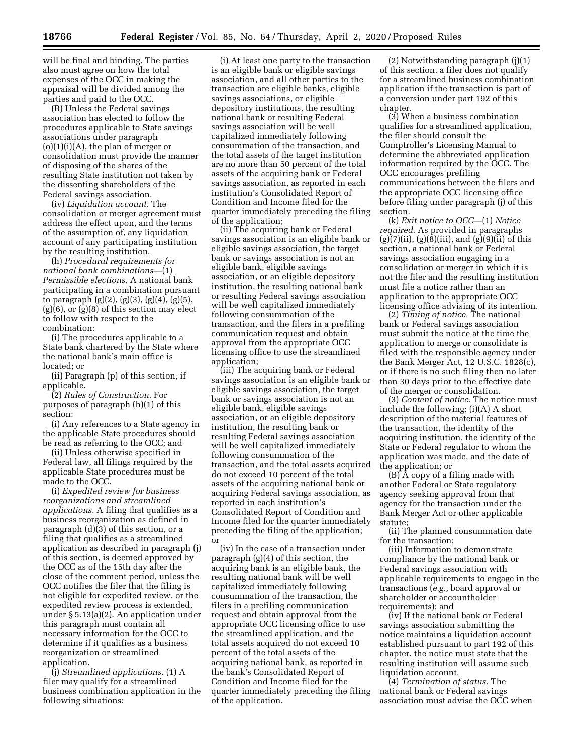will be final and binding. The parties also must agree on how the total expenses of the OCC in making the appraisal will be divided among the parties and paid to the OCC.

(B) Unless the Federal savings association has elected to follow the procedures applicable to State savings associations under paragraph  $(o)(1)(i)(A)$ , the plan of merger or consolidation must provide the manner of disposing of the shares of the resulting State institution not taken by the dissenting shareholders of the Federal savings association.

(iv) *Liquidation account.* The consolidation or merger agreement must address the effect upon, and the terms of the assumption of, any liquidation account of any participating institution by the resulting institution.

(h) *Procedural requirements for national bank combinations*—(1) *Permissible elections.* A national bank participating in a combination pursuant to paragraph (g)(2), (g)(3), (g)(4), (g)(5),  $(g)(6)$ , or  $(g)(8)$  of this section may elect to follow with respect to the combination:

(i) The procedures applicable to a State bank chartered by the State where the national bank's main office is located; or

(ii) Paragraph (p) of this section, if applicable.

(2) *Rules of Construction.* For purposes of paragraph (h)(1) of this section:

(i) Any references to a State agency in the applicable State procedures should be read as referring to the OCC; and

(ii) Unless otherwise specified in Federal law, all filings required by the applicable State procedures must be made to the OCC.

(i) *Expedited review for business reorganizations and streamlined applications.* A filing that qualifies as a business reorganization as defined in paragraph (d)(3) of this section, or a filing that qualifies as a streamlined application as described in paragraph (j) of this section, is deemed approved by the OCC as of the 15th day after the close of the comment period, unless the OCC notifies the filer that the filing is not eligible for expedited review, or the expedited review process is extended, under § 5.13(a)(2). An application under this paragraph must contain all necessary information for the OCC to determine if it qualifies as a business reorganization or streamlined application.

(j) *Streamlined applications.* (1) A filer may qualify for a streamlined business combination application in the following situations:

(i) At least one party to the transaction is an eligible bank or eligible savings association, and all other parties to the transaction are eligible banks, eligible savings associations, or eligible depository institutions, the resulting national bank or resulting Federal savings association will be well capitalized immediately following consummation of the transaction, and the total assets of the target institution are no more than 50 percent of the total assets of the acquiring bank or Federal savings association, as reported in each institution's Consolidated Report of Condition and Income filed for the quarter immediately preceding the filing of the application;

(ii) The acquiring bank or Federal savings association is an eligible bank or eligible savings association, the target bank or savings association is not an eligible bank, eligible savings association, or an eligible depository institution, the resulting national bank or resulting Federal savings association will be well capitalized immediately following consummation of the transaction, and the filers in a prefiling communication request and obtain approval from the appropriate OCC licensing office to use the streamlined application;

(iii) The acquiring bank or Federal savings association is an eligible bank or eligible savings association, the target bank or savings association is not an eligible bank, eligible savings association, or an eligible depository institution, the resulting bank or resulting Federal savings association will be well capitalized immediately following consummation of the transaction, and the total assets acquired do not exceed 10 percent of the total assets of the acquiring national bank or acquiring Federal savings association, as reported in each institution's Consolidated Report of Condition and Income filed for the quarter immediately preceding the filing of the application; or

(iv) In the case of a transaction under paragraph (g)(4) of this section, the acquiring bank is an eligible bank, the resulting national bank will be well capitalized immediately following consummation of the transaction, the filers in a prefiling communication request and obtain approval from the appropriate OCC licensing office to use the streamlined application, and the total assets acquired do not exceed 10 percent of the total assets of the acquiring national bank, as reported in the bank's Consolidated Report of Condition and Income filed for the quarter immediately preceding the filing of the application.

(2) Notwithstanding paragraph (j)(1) of this section, a filer does not qualify for a streamlined business combination application if the transaction is part of a conversion under part 192 of this chapter.

(3) When a business combination qualifies for a streamlined application, the filer should consult the Comptroller's Licensing Manual to determine the abbreviated application information required by the OCC. The OCC encourages prefiling communications between the filers and the appropriate OCC licensing office before filing under paragraph (j) of this section.

(k) *Exit notice to OCC*—(1) *Notice required.* As provided in paragraphs  $(g)(7)(ii)$ ,  $(g)(8)(iii)$ , and  $(g)(9)(ii)$  of this section, a national bank or Federal savings association engaging in a consolidation or merger in which it is not the filer and the resulting institution must file a notice rather than an application to the appropriate OCC licensing office advising of its intention.

(2) *Timing of notice.* The national bank or Federal savings association must submit the notice at the time the application to merge or consolidate is filed with the responsible agency under the Bank Merger Act, 12 U.S.C. 1828(c), or if there is no such filing then no later than 30 days prior to the effective date of the merger or consolidation.

(3) *Content of notice.* The notice must include the following: (i)(A) A short description of the material features of the transaction, the identity of the acquiring institution, the identity of the State or Federal regulator to whom the application was made, and the date of the application; or

 $(B)$   $\tilde{A}$  copy of a filing made with another Federal or State regulatory agency seeking approval from that agency for the transaction under the Bank Merger Act or other applicable statute;

(ii) The planned consummation date for the transaction;

(iii) Information to demonstrate compliance by the national bank or Federal savings association with applicable requirements to engage in the transactions (*e.g.,* board approval or shareholder or accountholder requirements); and

(iv) If the national bank or Federal savings association submitting the notice maintains a liquidation account established pursuant to part 192 of this chapter, the notice must state that the resulting institution will assume such liquidation account.

(4) *Termination of status.* The national bank or Federal savings association must advise the OCC when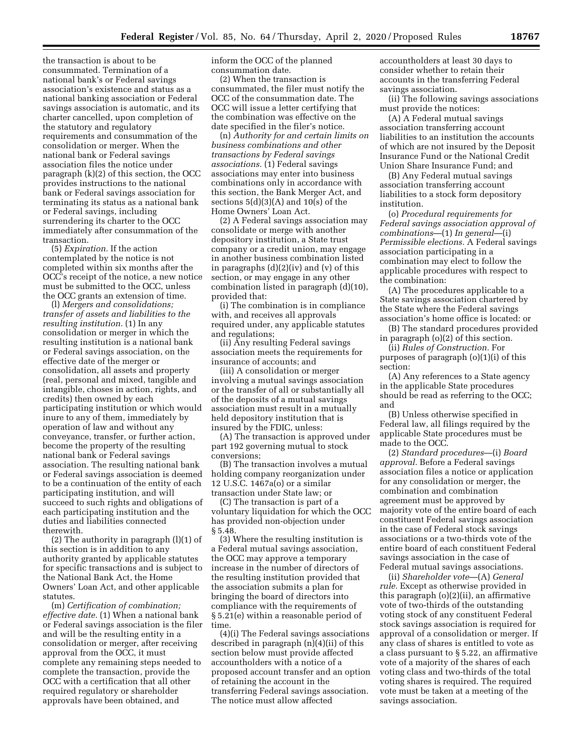the transaction is about to be consummated. Termination of a national bank's or Federal savings association's existence and status as a national banking association or Federal savings association is automatic, and its charter cancelled, upon completion of the statutory and regulatory requirements and consummation of the consolidation or merger. When the national bank or Federal savings association files the notice under paragraph (k)(2) of this section, the OCC provides instructions to the national bank or Federal savings association for terminating its status as a national bank or Federal savings, including surrendering its charter to the OCC immediately after consummation of the transaction.

(5) *Expiration.* If the action contemplated by the notice is not completed within six months after the OCC's receipt of the notice, a new notice must be submitted to the OCC, unless the OCC grants an extension of time.

(l) *Mergers and consolidations; transfer of assets and liabilities to the resulting institution.* (1) In any consolidation or merger in which the resulting institution is a national bank or Federal savings association, on the effective date of the merger or consolidation, all assets and property (real, personal and mixed, tangible and intangible, choses in action, rights, and credits) then owned by each participating institution or which would inure to any of them, immediately by operation of law and without any conveyance, transfer, or further action, become the property of the resulting national bank or Federal savings association. The resulting national bank or Federal savings association is deemed to be a continuation of the entity of each participating institution, and will succeed to such rights and obligations of each participating institution and the duties and liabilities connected therewith.

(2) The authority in paragraph (l)(1) of this section is in addition to any authority granted by applicable statutes for specific transactions and is subject to the National Bank Act, the Home Owners' Loan Act, and other applicable statutes.

(m) *Certification of combination; effective date.* (1) When a national bank or Federal savings association is the filer and will be the resulting entity in a consolidation or merger, after receiving approval from the OCC, it must complete any remaining steps needed to complete the transaction, provide the OCC with a certification that all other required regulatory or shareholder approvals have been obtained, and

inform the OCC of the planned consummation date.

(2) When the transaction is consummated, the filer must notify the OCC of the consummation date. The OCC will issue a letter certifying that the combination was effective on the date specified in the filer's notice.

(n) *Authority for and certain limits on business combinations and other transactions by Federal savings associations.* (1) Federal savings associations may enter into business combinations only in accordance with this section, the Bank Merger Act, and sections  $5(d)(3)(A)$  and  $10(s)$  of the Home Owners' Loan Act.

(2) A Federal savings association may consolidate or merge with another depository institution, a State trust company or a credit union, may engage in another business combination listed in paragraphs (d)(2)(iv) and (v) of this section, or may engage in any other combination listed in paragraph (d)(10), provided that:

(i) The combination is in compliance with, and receives all approvals required under, any applicable statutes and regulations;

(ii) Any resulting Federal savings association meets the requirements for insurance of accounts; and

(iii) A consolidation or merger involving a mutual savings association or the transfer of all or substantially all of the deposits of a mutual savings association must result in a mutually held depository institution that is insured by the FDIC, unless:

(A) The transaction is approved under part 192 governing mutual to stock conversions;

(B) The transaction involves a mutual holding company reorganization under 12 U.S.C. 1467a(o) or a similar transaction under State law; or

(C) The transaction is part of a voluntary liquidation for which the OCC has provided non-objection under § 5.48.

(3) Where the resulting institution is a Federal mutual savings association, the OCC may approve a temporary increase in the number of directors of the resulting institution provided that the association submits a plan for bringing the board of directors into compliance with the requirements of § 5.21(e) within a reasonable period of time.

(4)(i) The Federal savings associations described in paragraph (n)(4)(ii) of this section below must provide affected accountholders with a notice of a proposed account transfer and an option of retaining the account in the transferring Federal savings association. The notice must allow affected

accountholders at least 30 days to consider whether to retain their accounts in the transferring Federal savings association.

(ii) The following savings associations must provide the notices:

(A) A Federal mutual savings association transferring account liabilities to an institution the accounts of which are not insured by the Deposit Insurance Fund or the National Credit Union Share Insurance Fund; and

(B) Any Federal mutual savings association transferring account liabilities to a stock form depository institution.

(o) *Procedural requirements for Federal savings association approval of combinations*—(1) *In general*—(i) *Permissible elections.* A Federal savings association participating in a combination may elect to follow the applicable procedures with respect to the combination:

(A) The procedures applicable to a State savings association chartered by the State where the Federal savings association's home office is located: or

(B) The standard procedures provided in paragraph (o)(2) of this section.

(ii) *Rules of Construction.* For purposes of paragraph (o)(1)(i) of this section:

(A) Any references to a State agency in the applicable State procedures should be read as referring to the OCC; and

(B) Unless otherwise specified in Federal law, all filings required by the applicable State procedures must be made to the OCC.

(2) *Standard procedures*—(i) *Board approval.* Before a Federal savings association files a notice or application for any consolidation or merger, the combination and combination agreement must be approved by majority vote of the entire board of each constituent Federal savings association in the case of Federal stock savings associations or a two-thirds vote of the entire board of each constituent Federal savings association in the case of Federal mutual savings associations.

(ii) *Shareholder vote*—(A) *General rule.* Except as otherwise provided in this paragraph (o)(2)(ii), an affirmative vote of two-thirds of the outstanding voting stock of any constituent Federal stock savings association is required for approval of a consolidation or merger. If any class of shares is entitled to vote as a class pursuant to § 5.22, an affirmative vote of a majority of the shares of each voting class and two-thirds of the total voting shares is required. The required vote must be taken at a meeting of the savings association.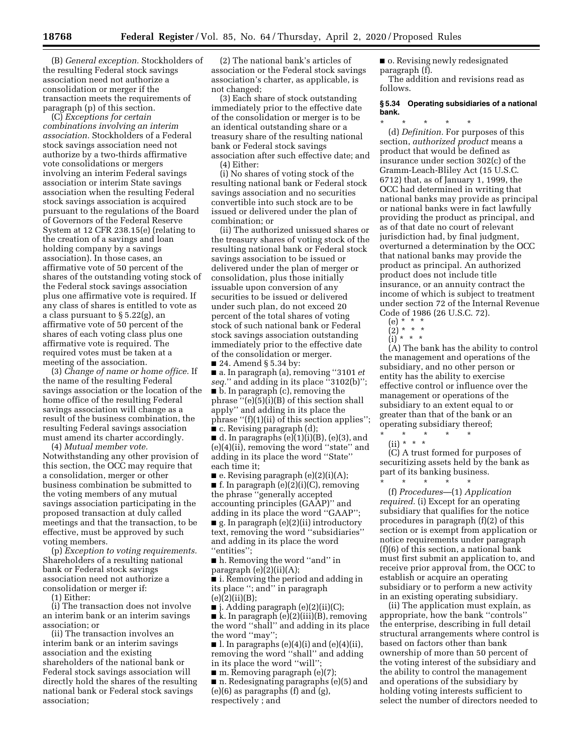(B) *General exception.* Stockholders of the resulting Federal stock savings association need not authorize a consolidation or merger if the transaction meets the requirements of paragraph (p) of this section.

(C) *Exceptions for certain combinations involving an interim association.* Stockholders of a Federal stock savings association need not authorize by a two-thirds affirmative vote consolidations or mergers involving an interim Federal savings association or interim State savings association when the resulting Federal stock savings association is acquired pursuant to the regulations of the Board of Governors of the Federal Reserve System at 12 CFR 238.15(e) (relating to the creation of a savings and loan holding company by a savings association). In those cases, an affirmative vote of 50 percent of the shares of the outstanding voting stock of the Federal stock savings association plus one affirmative vote is required. If any class of shares is entitled to vote as a class pursuant to § 5.22(g), an affirmative vote of 50 percent of the shares of each voting class plus one affirmative vote is required. The required votes must be taken at a meeting of the association.

(3) *Change of name or home office.* If the name of the resulting Federal savings association or the location of the home office of the resulting Federal savings association will change as a result of the business combination, the resulting Federal savings association must amend its charter accordingly.

(4) *Mutual member vote.*  Notwithstanding any other provision of this section, the OCC may require that a consolidation, merger or other business combination be submitted to the voting members of any mutual savings association participating in the proposed transaction at duly called meetings and that the transaction, to be effective, must be approved by such voting members.

(p) *Exception to voting requirements.*  Shareholders of a resulting national bank or Federal stock savings association need not authorize a consolidation or merger if:

(1) Either:

(i) The transaction does not involve an interim bank or an interim savings association; or

(ii) The transaction involves an interim bank or an interim savings association and the existing shareholders of the national bank or Federal stock savings association will directly hold the shares of the resulting national bank or Federal stock savings association;

(2) The national bank's articles of association or the Federal stock savings association's charter, as applicable, is not changed;

(3) Each share of stock outstanding immediately prior to the effective date of the consolidation or merger is to be an identical outstanding share or a treasury share of the resulting national bank or Federal stock savings association after such effective date; and (4) Either:

(i) No shares of voting stock of the resulting national bank or Federal stock savings association and no securities convertible into such stock are to be issued or delivered under the plan of combination; or

(ii) The authorized unissued shares or the treasury shares of voting stock of the resulting national bank or Federal stock savings association to be issued or delivered under the plan of merger or consolidation, plus those initially issuable upon conversion of any securities to be issued or delivered under such plan, do not exceed 20 percent of the total shares of voting stock of such national bank or Federal stock savings association outstanding immediately prior to the effective date of the consolidation or merger. ■ 24. Amend § 5.34 by:

■ a. In paragraph (a), removing ''3101 *et seq.*'' and adding in its place ''3102(b)''; ■ b. In paragraph (c), removing the phrase ''(e)(5)(i)(B) of this section shall apply'' and adding in its place the phrase ''(f)(1)(ii) of this section applies''; ■ c. Revising paragraph (d);

 $\blacksquare$  d. In paragraphs (e)(1)(i)(B), (e)(3), and (e)(4)(ii), removing the word ''state'' and adding in its place the word ''State'' each time it;

■ e. Revising paragraph (e)(2)(i)(A);  $\blacksquare$  f. In paragraph (e)(2)(i)(C), removing the phrase ''generally accepted accounting principles (GAAP)'' and adding in its place the word ''GAAP''; ■ g. In paragraph (e)(2)(ii) introductory

text, removing the word ''subsidiaries'' and adding in its place the word ''entities'';

■ h. Removing the word "and" in paragraph (e)(2)(ii)(A);

■ i. Removing the period and adding in its place ''; and'' in paragraph  $(e)(2)(ii)(B);$ 

 $\blacksquare$  j. Adding paragraph (e)(2)(ii)(C);

■ k. In paragraph (e)(2)(iii)(B), removing the word ''shall'' and adding in its place the word ''may'';

 $\blacksquare$  l. In paragraphs (e)(4)(i) and (e)(4)(ii), removing the word ''shall'' and adding in its place the word ''will'';

■ m. Removing paragraph (e)(7);

■ n. Redesignating paragraphs (e)(5) and (e)(6) as paragraphs (f) and (g), respectively ; and

■ o. Revising newly redesignated paragraph (f). The addition and revisions read as follows.

### **§ 5.34 Operating subsidiaries of a national bank.**

\* \* \* \* \* (d) *Definition.* For purposes of this section, *authorized product* means a product that would be defined as insurance under section 302(c) of the Gramm-Leach-Bliley Act (15 U.S.C. 6712) that, as of January 1, 1999, the OCC had determined in writing that national banks may provide as principal or national banks were in fact lawfully providing the product as principal, and as of that date no court of relevant jurisdiction had, by final judgment, overturned a determination by the OCC that national banks may provide the product as principal. An authorized product does not include title insurance, or an annuity contract the income of which is subject to treatment under section 72 of the Internal Revenue Code of 1986 (26 U.S.C. 72).<br>(e)  $* * *$ 

(e) \* \* \*

(2) \* \* \*

(i) \* \* \* (A) The bank has the ability to control the management and operations of the subsidiary, and no other person or entity has the ability to exercise effective control or influence over the management or operations of the subsidiary to an extent equal to or greater than that of the bank or an operating subsidiary thereof;

\* \* \* \* \*  $(ii) * * * *$ 

(C) A trust formed for purposes of securitizing assets held by the bank as part of its banking business.

\* \* \* \* \* (f) *Procedures*—(1) *Application required.* (i) Except for an operating subsidiary that qualifies for the notice procedures in paragraph (f)(2) of this section or is exempt from application or notice requirements under paragraph (f)(6) of this section, a national bank must first submit an application to, and receive prior approval from, the OCC to establish or acquire an operating subsidiary or to perform a new activity in an existing operating subsidiary.

(ii) The application must explain, as appropriate, how the bank ''controls'' the enterprise, describing in full detail structural arrangements where control is based on factors other than bank ownership of more than 50 percent of the voting interest of the subsidiary and the ability to control the management and operations of the subsidiary by holding voting interests sufficient to select the number of directors needed to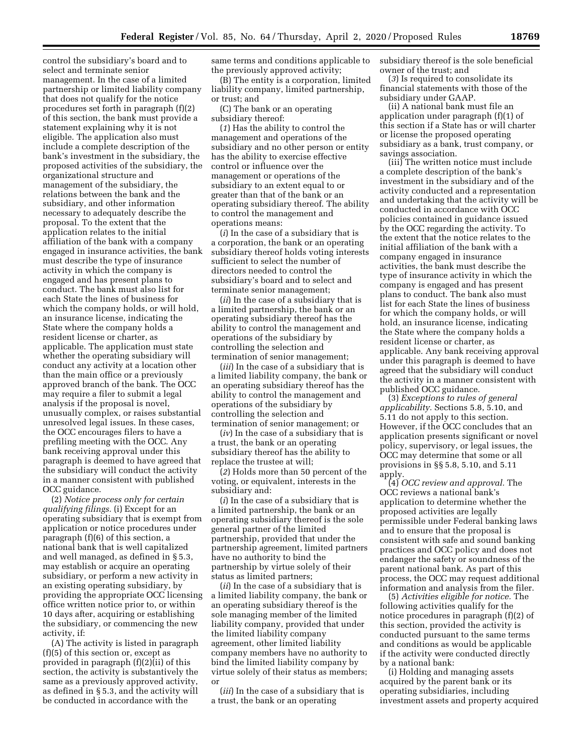control the subsidiary's board and to select and terminate senior management. In the case of a limited partnership or limited liability company that does not qualify for the notice procedures set forth in paragraph (f)(2) of this section, the bank must provide a statement explaining why it is not eligible. The application also must include a complete description of the bank's investment in the subsidiary, the proposed activities of the subsidiary, the organizational structure and management of the subsidiary, the relations between the bank and the subsidiary, and other information necessary to adequately describe the proposal. To the extent that the application relates to the initial affiliation of the bank with a company engaged in insurance activities, the bank must describe the type of insurance activity in which the company is engaged and has present plans to conduct. The bank must also list for each State the lines of business for which the company holds, or will hold, an insurance license, indicating the State where the company holds a resident license or charter, as applicable. The application must state whether the operating subsidiary will conduct any activity at a location other than the main office or a previously approved branch of the bank. The OCC may require a filer to submit a legal analysis if the proposal is novel, unusually complex, or raises substantial unresolved legal issues. In these cases, the OCC encourages filers to have a prefiling meeting with the OCC. Any bank receiving approval under this paragraph is deemed to have agreed that the subsidiary will conduct the activity in a manner consistent with published OCC guidance.

(2) *Notice process only for certain qualifying filings.* (i) Except for an operating subsidiary that is exempt from application or notice procedures under paragraph (f)(6) of this section, a national bank that is well capitalized and well managed, as defined in § 5.3, may establish or acquire an operating subsidiary, or perform a new activity in an existing operating subsidiary, by providing the appropriate OCC licensing office written notice prior to, or within 10 days after, acquiring or establishing the subsidiary, or commencing the new activity, if:

(A) The activity is listed in paragraph (f)(5) of this section or, except as provided in paragraph (f)(2)(ii) of this section, the activity is substantively the same as a previously approved activity, as defined in § 5.3, and the activity will be conducted in accordance with the

same terms and conditions applicable to the previously approved activity;

(B) The entity is a corporation, limited liability company, limited partnership, or trust; and

(C) The bank or an operating subsidiary thereof:

(*1*) Has the ability to control the management and operations of the subsidiary and no other person or entity has the ability to exercise effective control or influence over the management or operations of the subsidiary to an extent equal to or greater than that of the bank or an operating subsidiary thereof. The ability to control the management and operations means:

(*i*) In the case of a subsidiary that is a corporation, the bank or an operating subsidiary thereof holds voting interests sufficient to select the number of directors needed to control the subsidiary's board and to select and terminate senior management;

(*ii*) In the case of a subsidiary that is a limited partnership, the bank or an operating subsidiary thereof has the ability to control the management and operations of the subsidiary by controlling the selection and termination of senior management;

(*iii*) In the case of a subsidiary that is a limited liability company, the bank or an operating subsidiary thereof has the ability to control the management and operations of the subsidiary by controlling the selection and termination of senior management; or

(*iv*) In the case of a subsidiary that is a trust, the bank or an operating subsidiary thereof has the ability to replace the trustee at will;

(*2*) Holds more than 50 percent of the voting, or equivalent, interests in the subsidiary and:

(*i*) In the case of a subsidiary that is a limited partnership, the bank or an operating subsidiary thereof is the sole general partner of the limited partnership, provided that under the partnership agreement, limited partners have no authority to bind the partnership by virtue solely of their status as limited partners;

(*ii*) In the case of a subsidiary that is a limited liability company, the bank or an operating subsidiary thereof is the sole managing member of the limited liability company, provided that under the limited liability company agreement, other limited liability company members have no authority to bind the limited liability company by virtue solely of their status as members; or

(*iii*) In the case of a subsidiary that is a trust, the bank or an operating

subsidiary thereof is the sole beneficial owner of the trust; and

(*3*) Is required to consolidate its financial statements with those of the subsidiary under GAAP.

(ii) A national bank must file an application under paragraph (f)(1) of this section if a State has or will charter or license the proposed operating subsidiary as a bank, trust company, or savings association.

(iii) The written notice must include a complete description of the bank's investment in the subsidiary and of the activity conducted and a representation and undertaking that the activity will be conducted in accordance with OCC policies contained in guidance issued by the OCC regarding the activity. To the extent that the notice relates to the initial affiliation of the bank with a company engaged in insurance activities, the bank must describe the type of insurance activity in which the company is engaged and has present plans to conduct. The bank also must list for each State the lines of business for which the company holds, or will hold, an insurance license, indicating the State where the company holds a resident license or charter, as applicable. Any bank receiving approval under this paragraph is deemed to have agreed that the subsidiary will conduct the activity in a manner consistent with published OCC guidance.

(3) *Exceptions to rules of general applicability.* Sections 5.8, 5.10, and 5.11 do not apply to this section. However, if the OCC concludes that an application presents significant or novel policy, supervisory, or legal issues, the OCC may determine that some or all provisions in §§ 5.8, 5.10, and 5.11 apply.

(4) *OCC review and approval.* The OCC reviews a national bank's application to determine whether the proposed activities are legally permissible under Federal banking laws and to ensure that the proposal is consistent with safe and sound banking practices and OCC policy and does not endanger the safety or soundness of the parent national bank. As part of this process, the OCC may request additional information and analysis from the filer.

(5) *Activities eligible for notice.* The following activities qualify for the notice procedures in paragraph (f)(2) of this section, provided the activity is conducted pursuant to the same terms and conditions as would be applicable if the activity were conducted directly by a national bank:

(i) Holding and managing assets acquired by the parent bank or its operating subsidiaries, including investment assets and property acquired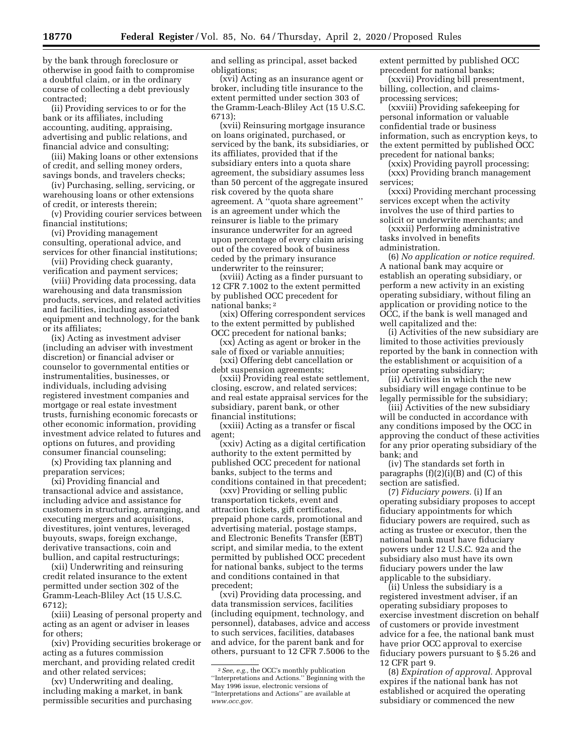by the bank through foreclosure or otherwise in good faith to compromise a doubtful claim, or in the ordinary course of collecting a debt previously contracted;

(ii) Providing services to or for the bank or its affiliates, including accounting, auditing, appraising, advertising and public relations, and financial advice and consulting;

(iii) Making loans or other extensions of credit, and selling money orders, savings bonds, and travelers checks;

(iv) Purchasing, selling, servicing, or warehousing loans or other extensions of credit, or interests therein;

(v) Providing courier services between financial institutions;

(vi) Providing management consulting, operational advice, and services for other financial institutions;

(vii) Providing check guaranty, verification and payment services;

(viii) Providing data processing, data warehousing and data transmission products, services, and related activities and facilities, including associated equipment and technology, for the bank or its affiliates;

(ix) Acting as investment adviser (including an adviser with investment discretion) or financial adviser or counselor to governmental entities or instrumentalities, businesses, or individuals, including advising registered investment companies and mortgage or real estate investment trusts, furnishing economic forecasts or other economic information, providing investment advice related to futures and options on futures, and providing consumer financial counseling;

(x) Providing tax planning and preparation services;

(xi) Providing financial and transactional advice and assistance, including advice and assistance for customers in structuring, arranging, and executing mergers and acquisitions, divestitures, joint ventures, leveraged buyouts, swaps, foreign exchange, derivative transactions, coin and bullion, and capital restructurings;

(xii) Underwriting and reinsuring credit related insurance to the extent permitted under section 302 of the Gramm-Leach-Bliley Act (15 U.S.C. 6712);

(xiii) Leasing of personal property and acting as an agent or adviser in leases for others;

(xiv) Providing securities brokerage or acting as a futures commission merchant, and providing related credit and other related services;

(xv) Underwriting and dealing, including making a market, in bank permissible securities and purchasing and selling as principal, asset backed obligations;

(xvi) Acting as an insurance agent or broker, including title insurance to the extent permitted under section 303 of the Gramm-Leach-Bliley Act (15 U.S.C. 6713);

(xvii) Reinsuring mortgage insurance on loans originated, purchased, or serviced by the bank, its subsidiaries, or its affiliates, provided that if the subsidiary enters into a quota share agreement, the subsidiary assumes less than 50 percent of the aggregate insured risk covered by the quota share agreement. A ''quota share agreement'' is an agreement under which the reinsurer is liable to the primary insurance underwriter for an agreed upon percentage of every claim arising out of the covered book of business ceded by the primary insurance underwriter to the reinsurer;

(xviii) Acting as a finder pursuant to 12 CFR 7.1002 to the extent permitted by published OCC precedent for national banks; 2

(xix) Offering correspondent services to the extent permitted by published OCC precedent for national banks;

(xx) Acting as agent or broker in the sale of fixed or variable annuities;

(xxi) Offering debt cancellation or debt suspension agreements;

(xxii) Providing real estate settlement, closing, escrow, and related services; and real estate appraisal services for the subsidiary, parent bank, or other financial institutions;

(xxiii) Acting as a transfer or fiscal agent;

(xxiv) Acting as a digital certification authority to the extent permitted by published OCC precedent for national banks, subject to the terms and conditions contained in that precedent;

(xxv) Providing or selling public transportation tickets, event and attraction tickets, gift certificates, prepaid phone cards, promotional and advertising material, postage stamps, and Electronic Benefits Transfer (EBT) script, and similar media, to the extent permitted by published OCC precedent for national banks, subject to the terms and conditions contained in that precedent;

(xvi) Providing data processing, and data transmission services, facilities (including equipment, technology, and personnel), databases, advice and access to such services, facilities, databases and advice, for the parent bank and for others, pursuant to 12 CFR 7.5006 to the extent permitted by published OCC precedent for national banks;

(xxvii) Providing bill presentment, billing, collection, and claimsprocessing services;

(xxviii) Providing safekeeping for personal information or valuable confidential trade or business information, such as encryption keys, to the extent permitted by published OCC precedent for national banks;

(xxix) Providing payroll processing; (xxx) Providing branch management services;

(xxxi) Providing merchant processing services except when the activity involves the use of third parties to solicit or underwrite merchants; and

(xxxii) Performing administrative tasks involved in benefits administration.

(6) *No application or notice required.*  A national bank may acquire or establish an operating subsidiary, or perform a new activity in an existing operating subsidiary, without filing an application or providing notice to the OCC, if the bank is well managed and well capitalized and the:

(i) Activities of the new subsidiary are limited to those activities previously reported by the bank in connection with the establishment or acquisition of a prior operating subsidiary;

(ii) Activities in which the new subsidiary will engage continue to be legally permissible for the subsidiary;

(iii) Activities of the new subsidiary will be conducted in accordance with any conditions imposed by the OCC in approving the conduct of these activities for any prior operating subsidiary of the bank; and

(iv) The standards set forth in paragraphs  $(f)(2)(i)(B)$  and  $(C)$  of this section are satisfied.

(7) *Fiduciary powers.* (i) If an operating subsidiary proposes to accept fiduciary appointments for which fiduciary powers are required, such as acting as trustee or executor, then the national bank must have fiduciary powers under 12 U.S.C. 92a and the subsidiary also must have its own fiduciary powers under the law applicable to the subsidiary.

(ii) Unless the subsidiary is a registered investment adviser, if an operating subsidiary proposes to exercise investment discretion on behalf of customers or provide investment advice for a fee, the national bank must have prior OCC approval to exercise fiduciary powers pursuant to § 5.26 and 12 CFR part 9.

(8) *Expiration of approval.* Approval expires if the national bank has not established or acquired the operating subsidiary or commenced the new

<sup>2</sup>*See, e.g.,* the OCC's monthly publication ''Interpretations and Actions.'' Beginning with the May 1996 issue, electronic versions of ''Interpretations and Actions'' are available at *[www.occ.gov.](http://www.occ.gov)*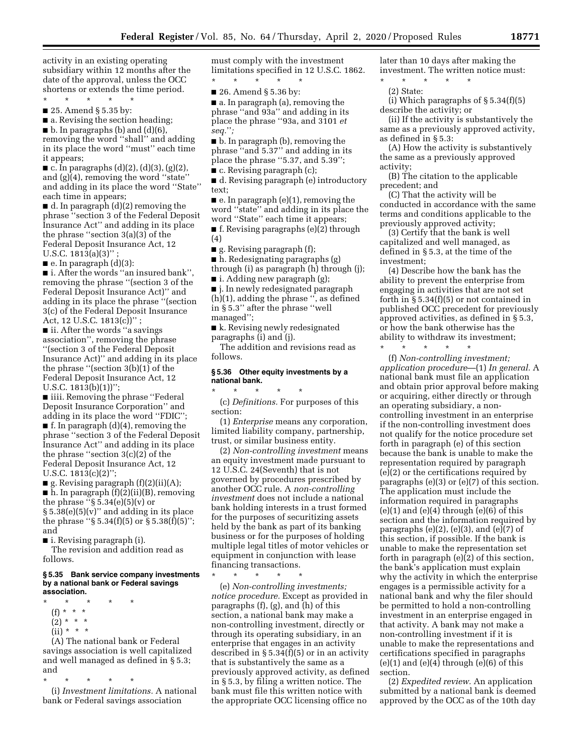activity in an existing operating subsidiary within 12 months after the date of the approval, unless the OCC shortens or extends the time period.

\* \* \* \* \* ■ 25. Amend § 5.35 by:

■ a. Revising the section heading;

 $\blacksquare$  b. In paragraphs (b) and (d)(6), removing the word ''shall'' and adding in its place the word ''must'' each time it appears;

 $\blacksquare$  c. In paragraphs (d)(2), (d)(3), (g)(2), and (g)(4), removing the word ''state'' and adding in its place the word ''State'' each time in appears;

■ d. In paragraph (d)(2) removing the phrase ''section 3 of the Federal Deposit Insurance Act'' and adding in its place the phrase ''section 3(a)(3) of the Federal Deposit Insurance Act, 12 U.S.C.  $1813(a)(3)$ " ;

 $\blacksquare$  e. In paragraph  $(d)(3)$ :

■ i. After the words "an insured bank", removing the phrase ''(section 3 of the Federal Deposit Insurance Act)'' and adding in its place the phrase ''(section 3(c) of the Federal Deposit Insurance Act, 12 U.S.C.  $1813(c)$ ";

■ ii. After the words "a savings association'', removing the phrase ''(section 3 of the Federal Deposit Insurance Act)'' and adding in its place the phrase ''(section 3(b)(1) of the Federal Deposit Insurance Act, 12 U.S.C. 1813(b)(1))'';

■ iiii. Removing the phrase "Federal Deposit Insurance Corporation'' and adding in its place the word ''FDIC''; ■ f. In paragraph (d)(4), removing the phrase ''section 3 of the Federal Deposit Insurance Act'' and adding in its place the phrase ''section 3(c)(2) of the Federal Deposit Insurance Act, 12 U.S.C.  $1813(c)(2)$ ";

 $\blacksquare$  g. Revising paragraph  $(f)(2)(ii)(A);$ ■ h. In paragraph (f)(2)(ii)(B), removing the phrase " $\S 5.34(e)(5)(v)$  or  $§ 5.38(e)(5)(v)$ " and adding in its place the phrase " $\S 5.34(f)(5)$  or  $\S 5.38(f)(5)$ "; and

■ i. Revising paragraph (i).

The revision and addition read as follows.

#### **§ 5.35 Bank service company investments by a national bank or Federal savings association.**

- \* \* \* \* \* (f) \* \* \*  $(2) * * * *$ 
	- $(ii) * * * *$

(A) The national bank or Federal savings association is well capitalized and well managed as defined in § 5.3; and

\* \* \* \* \*

(i) *Investment limitations.* A national bank or Federal savings association

must comply with the investment limitations specified in 12 U.S.C. 1862.

\* \* \* \* \* ■ 26. Amend § 5.36 by:

■ a. In paragraph (a), removing the phrase ''and 93a'' and adding in its place the phrase ''93a, and 3101 *et seq.*''*;* 

■ b. In paragraph (b), removing the phrase ''and 5.37'' and adding in its place the phrase ''5.37, and 5.39'';

■ c. Revising paragraph (c);

■ d. Revising paragraph (e) introductory text;

 $\blacksquare$  e. In paragraph (e)(1), removing the word ''state'' and adding in its place the word ''State'' each time it appears;

■ f. Revising paragraphs (e)(2) through (4)

■ g. Revising paragraph (f);

■ h. Redesignating paragraphs (g) through (i) as paragraph (h) through (j);

 $\blacksquare$  i. Adding new paragraph (g);

■ j. In newly redesignated paragraph (h)(1), adding the phrase '', as defined in § 5.3'' after the phrase ''well managed'';

■ k. Revising newly redesignated paragraphs (i) and (j).

The addition and revisions read as follows.

### **§ 5.36 Other equity investments by a national bank.**

\* \* \* \* \* (c) *Definitions.* For purposes of this section:

(1) *Enterprise* means any corporation, limited liability company, partnership, trust, or similar business entity.

(2) *Non-controlling investment* means an equity investment made pursuant to 12 U.S.C. 24(Seventh) that is not governed by procedures prescribed by another OCC rule. A *non-controlling investment* does not include a national bank holding interests in a trust formed for the purposes of securitizing assets held by the bank as part of its banking business or for the purposes of holding multiple legal titles of motor vehicles or equipment in conjunction with lease financing transactions.

(e) *Non-controlling investments; notice procedure.* Except as provided in paragraphs (f), (g), and (h) of this section, a national bank may make a non-controlling investment, directly or through its operating subsidiary, in an enterprise that engages in an activity described in  $\S 5.34(f)(5)$  or in an activity that is substantively the same as a previously approved activity, as defined in § 5.3, by filing a written notice. The bank must file this written notice with the appropriate OCC licensing office no

\* \* \* \* \*

later than 10 days after making the investment. The written notice must:

\* \* \* \* \* (2) State:

(i) Which paragraphs of  $\S 5.34(f)(5)$ describe the activity; or

(ii) If the activity is substantively the same as a previously approved activity, as defined in § 5.3:

(A) How the activity is substantively the same as a previously approved activity;

(B) The citation to the applicable precedent; and

(C) That the activity will be conducted in accordance with the same terms and conditions applicable to the previously approved activity;

(3) Certify that the bank is well capitalized and well managed, as defined in § 5.3, at the time of the investment;

(4) Describe how the bank has the ability to prevent the enterprise from engaging in activities that are not set forth in  $\S 5.34(f)(5)$  or not contained in published OCC precedent for previously approved activities, as defined in § 5.3, or how the bank otherwise has the ability to withdraw its investment;

\* \* \* \* \*

(f) *Non-controlling investment; application procedure*—(1) *In general.* A national bank must file an application and obtain prior approval before making or acquiring, either directly or through an operating subsidiary, a noncontrolling investment in an enterprise if the non-controlling investment does not qualify for the notice procedure set forth in paragraph (e) of this section because the bank is unable to make the representation required by paragraph (e)(2) or the certifications required by paragraphs (e)(3) or (e)(7) of this section. The application must include the information required in paragraphs  $(e)(1)$  and  $(e)(4)$  through  $(e)(6)$  of this section and the information required by paragraphs  $(e)(2)$ ,  $(e)(3)$ , and  $(e)(7)$  of this section, if possible. If the bank is unable to make the representation set forth in paragraph (e)(2) of this section, the bank's application must explain why the activity in which the enterprise engages is a permissible activity for a national bank and why the filer should be permitted to hold a non-controlling investment in an enterprise engaged in that activity. A bank may not make a non-controlling investment if it is unable to make the representations and certifications specified in paragraphs  $(e)(1)$  and  $(e)(4)$  through  $(e)(6)$  of this section.

(2) *Expedited review.* An application submitted by a national bank is deemed approved by the OCC as of the 10th day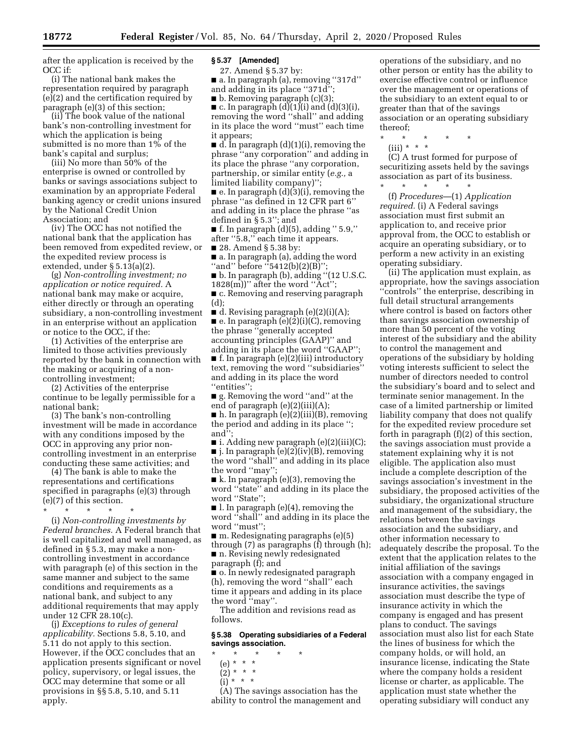after the application is received by the OCC if:

(i) The national bank makes the representation required by paragraph (e)(2) and the certification required by paragraph (e)(3) of this section;

(ii) The book value of the national bank's non-controlling investment for which the application is being submitted is no more than 1% of the bank's capital and surplus;

(iii) No more than 50% of the enterprise is owned or controlled by banks or savings associations subject to examination by an appropriate Federal banking agency or credit unions insured by the National Credit Union Association; and

(iv) The OCC has not notified the national bank that the application has been removed from expedited review, or the expedited review process is extended, under § 5.13(a)(2).

(g) *Non-controlling investment; no application or notice required.* A national bank may make or acquire, either directly or through an operating subsidiary, a non-controlling investment in an enterprise without an application or notice to the OCC, if the:

(1) Activities of the enterprise are limited to those activities previously reported by the bank in connection with the making or acquiring of a noncontrolling investment;

(2) Activities of the enterprise continue to be legally permissible for a national bank;

(3) The bank's non-controlling investment will be made in accordance with any conditions imposed by the OCC in approving any prior noncontrolling investment in an enterprise conducting these same activities; and

(4) The bank is able to make the representations and certifications specified in paragraphs (e)(3) through (e)(7) of this section.

\* \* \* \* \*

(i) *Non-controlling investments by Federal branches.* A Federal branch that is well capitalized and well managed, as defined in § 5.3, may make a noncontrolling investment in accordance with paragraph (e) of this section in the same manner and subject to the same conditions and requirements as a national bank, and subject to any additional requirements that may apply under 12 CFR 28.10(c).

(j) *Exceptions to rules of general applicability.* Sections 5.8, 5.10, and 5.11 do not apply to this section. However, if the OCC concludes that an application presents significant or novel policy, supervisory, or legal issues, the OCC may determine that some or all provisions in §§ 5.8, 5.10, and 5.11 apply.

#### **§ 5.37 [Amended]**

27. Amend § 5.37 by:

■ a. In paragraph (a), removing "317d" and adding in its place ''371d'';

■ b. Removing paragraph (c)(3);

 $\blacksquare$  c. In paragraph  $(d)(1)(i)$  and  $(d)(3)(i)$ , removing the word ''shall'' and adding in its place the word ''must'' each time it appears;

■ d. In paragraph (d)(1)(i), removing the phrase ''any corporation'' and adding in its place the phrase ''any corporation, partnership, or similar entity (*e.g.,* a limited liability company)'';

■ e. In paragraph (d)(3)(i), removing the phrase ''as defined in 12 CFR part 6'' and adding in its place the phrase ''as defined in § 5.3''; and

■ f. In paragraph (d)(5), adding '' 5.9,'' after ''5.8,'' each time it appears.

■ 28. Amend § 5.38 by:

■ a. In paragraph (a), adding the word "and" before "5412(b)(2)(B)"

■ b. In paragraph (b), adding ''(12 U.S.C.  $1828(m)$ " after the word "Act";

■ c. Removing and reserving paragraph (d);

■ d. Revising paragraph (e)(2)(i)(A); ■ e. In paragraph (e)(2)(i)(C), removing the phrase ''generally accepted accounting principles (GAAP)'' and adding in its place the word ''GAAP''; ■ f. In paragraph (e)(2)(iii) introductory text, removing the word ''subsidiaries'' and adding in its place the word ''entities'';

■ g. Removing the word ''and'' at the end of paragraph (e)(2)(iii)(A);

■ h. In paragraph (e)(2)(iii)(B), removing the period and adding in its place ''; and'';

■ i. Adding new paragraph (e)(2)(iii)(C);  $\blacksquare$  j. In paragraph (e)(2)(iv)(B), removing

the word ''shall'' and adding in its place the word "may"

 $\blacksquare$  k. In paragraph (e)(3), removing the word ''state'' and adding in its place the word ''State'';

■ l. In paragraph (e)(4), removing the word ''shall'' and adding in its place the word ''must'';

 $\blacksquare$  m. Redesignating paragraphs (e)(5) through (7) as paragraphs (f) through (h); ■ n. Revising newly redesignated

paragraph (f); and

■ o. In newly redesignated paragraph (h), removing the word ''shall'' each time it appears and adding in its place the word ''may''.

The addition and revisions read as follows.

#### **§ 5.38 Operating subsidiaries of a Federal savings association.**

- \* \* \* \* \*
	- (e) \* \* \*  $(2) * * * *$
	- $\int$ i) \* \* \*

(A) The savings association has the ability to control the management and

operations of the subsidiary, and no other person or entity has the ability to exercise effective control or influence over the management or operations of the subsidiary to an extent equal to or greater than that of the savings association or an operating subsidiary thereof;

\* \* \* \* \*

(iii) \* \* \*

(C) A trust formed for purpose of securitizing assets held by the savings association as part of its business. \* \* \* \* \*

(f) *Procedures*—(1) *Application required.* (i) A Federal savings association must first submit an application to, and receive prior approval from, the OCC to establish or acquire an operating subsidiary, or to perform a new activity in an existing operating subsidiary.

(ii) The application must explain, as appropriate, how the savings association ''controls'' the enterprise, describing in full detail structural arrangements where control is based on factors other than savings association ownership of more than 50 percent of the voting interest of the subsidiary and the ability to control the management and operations of the subsidiary by holding voting interests sufficient to select the number of directors needed to control the subsidiary's board and to select and terminate senior management. In the case of a limited partnership or limited liability company that does not qualify for the expedited review procedure set forth in paragraph (f)(2) of this section, the savings association must provide a statement explaining why it is not eligible. The application also must include a complete description of the savings association's investment in the subsidiary, the proposed activities of the subsidiary, the organizational structure and management of the subsidiary, the relations between the savings association and the subsidiary, and other information necessary to adequately describe the proposal. To the extent that the application relates to the initial affiliation of the savings association with a company engaged in insurance activities, the savings association must describe the type of insurance activity in which the company is engaged and has present plans to conduct. The savings association must also list for each State the lines of business for which the company holds, or will hold, an insurance license, indicating the State where the company holds a resident license or charter, as applicable. The application must state whether the operating subsidiary will conduct any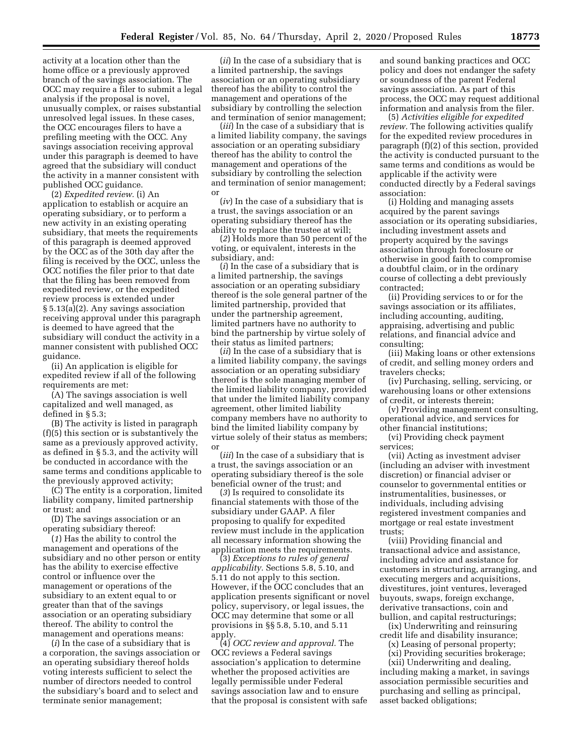activity at a location other than the home office or a previously approved branch of the savings association. The OCC may require a filer to submit a legal analysis if the proposal is novel, unusually complex, or raises substantial unresolved legal issues. In these cases, the OCC encourages filers to have a prefiling meeting with the OCC. Any savings association receiving approval under this paragraph is deemed to have agreed that the subsidiary will conduct the activity in a manner consistent with published OCC guidance.

(2) *Expedited review.* (i) An application to establish or acquire an operating subsidiary, or to perform a new activity in an existing operating subsidiary, that meets the requirements of this paragraph is deemed approved by the OCC as of the 30th day after the filing is received by the OCC, unless the OCC notifies the filer prior to that date that the filing has been removed from expedited review, or the expedited review process is extended under § 5.13(a)(2). Any savings association receiving approval under this paragraph is deemed to have agreed that the subsidiary will conduct the activity in a manner consistent with published OCC guidance.

(ii) An application is eligible for expedited review if all of the following requirements are met:

(A) The savings association is well capitalized and well managed, as defined in § 5.3;

(B) The activity is listed in paragraph (f)(5) this section or is substantively the same as a previously approved activity, as defined in § 5.3, and the activity will be conducted in accordance with the same terms and conditions applicable to the previously approved activity;

(C) The entity is a corporation, limited liability company, limited partnership or trust; and

(D) The savings association or an operating subsidiary thereof:

(*1*) Has the ability to control the management and operations of the subsidiary and no other person or entity has the ability to exercise effective control or influence over the management or operations of the subsidiary to an extent equal to or greater than that of the savings association or an operating subsidiary thereof. The ability to control the management and operations means:

(*i*) In the case of a subsidiary that is a corporation, the savings association or an operating subsidiary thereof holds voting interests sufficient to select the number of directors needed to control the subsidiary's board and to select and terminate senior management;

(*ii*) In the case of a subsidiary that is a limited partnership, the savings association or an operating subsidiary thereof has the ability to control the management and operations of the subsidiary by controlling the selection and termination of senior management;

(*iii*) In the case of a subsidiary that is a limited liability company, the savings association or an operating subsidiary thereof has the ability to control the management and operations of the subsidiary by controlling the selection and termination of senior management; or

(*iv*) In the case of a subsidiary that is a trust, the savings association or an operating subsidiary thereof has the ability to replace the trustee at will;

(*2*) Holds more than 50 percent of the voting, or equivalent, interests in the subsidiary, and:

(*i*) In the case of a subsidiary that is a limited partnership, the savings association or an operating subsidiary thereof is the sole general partner of the limited partnership, provided that under the partnership agreement, limited partners have no authority to bind the partnership by virtue solely of their status as limited partners;

(*ii*) In the case of a subsidiary that is a limited liability company, the savings association or an operating subsidiary thereof is the sole managing member of the limited liability company, provided that under the limited liability company agreement, other limited liability company members have no authority to bind the limited liability company by virtue solely of their status as members; or

(*iii*) In the case of a subsidiary that is a trust, the savings association or an operating subsidiary thereof is the sole beneficial owner of the trust; and

(*3*) Is required to consolidate its financial statements with those of the subsidiary under GAAP. A filer proposing to qualify for expedited review must include in the application all necessary information showing the application meets the requirements.

(3) *Exceptions to rules of general applicability.* Sections 5.8, 5.10, and 5.11 do not apply to this section. However, if the OCC concludes that an application presents significant or novel policy, supervisory, or legal issues, the OCC may determine that some or all provisions in §§ 5.8, 5.10, and 5.11 apply.

(4) *OCC review and approval.* The OCC reviews a Federal savings association's application to determine whether the proposed activities are legally permissible under Federal savings association law and to ensure that the proposal is consistent with safe and sound banking practices and OCC policy and does not endanger the safety or soundness of the parent Federal savings association. As part of this process, the OCC may request additional information and analysis from the filer.

(5) *Activities eligible for expedited review.* The following activities qualify for the expedited review procedures in paragraph (f)(2) of this section, provided the activity is conducted pursuant to the same terms and conditions as would be applicable if the activity were conducted directly by a Federal savings association:

(i) Holding and managing assets acquired by the parent savings association or its operating subsidiaries, including investment assets and property acquired by the savings association through foreclosure or otherwise in good faith to compromise a doubtful claim, or in the ordinary course of collecting a debt previously contracted;

(ii) Providing services to or for the savings association or its affiliates, including accounting, auditing, appraising, advertising and public relations, and financial advice and consulting;

(iii) Making loans or other extensions of credit, and selling money orders and travelers checks;

(iv) Purchasing, selling, servicing, or warehousing loans or other extensions of credit, or interests therein;

(v) Providing management consulting, operational advice, and services for other financial institutions;

(vi) Providing check payment services;

(vii) Acting as investment adviser (including an adviser with investment discretion) or financial adviser or counselor to governmental entities or instrumentalities, businesses, or individuals, including advising registered investment companies and mortgage or real estate investment trusts;

(viii) Providing financial and transactional advice and assistance, including advice and assistance for customers in structuring, arranging, and executing mergers and acquisitions, divestitures, joint ventures, leveraged buyouts, swaps, foreign exchange, derivative transactions, coin and bullion, and capital restructurings;

(ix) Underwriting and reinsuring credit life and disability insurance;

- (x) Leasing of personal property;
	- (xi) Providing securities brokerage;

(xii) Underwriting and dealing, including making a market, in savings association permissible securities and purchasing and selling as principal, asset backed obligations;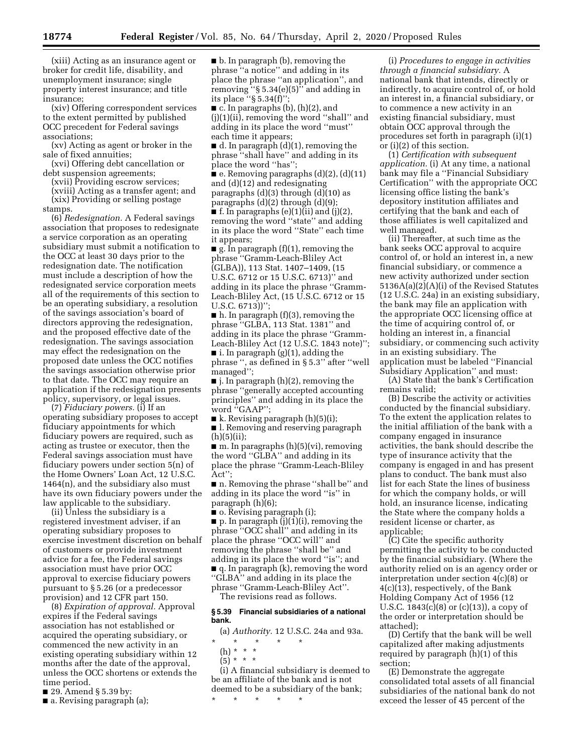(xiii) Acting as an insurance agent or broker for credit life, disability, and unemployment insurance; single property interest insurance; and title insurance;

(xiv) Offering correspondent services to the extent permitted by published OCC precedent for Federal savings associations;

(xv) Acting as agent or broker in the sale of fixed annuities;

(xvi) Offering debt cancellation or debt suspension agreements;

(xvii) Providing escrow services; (xviii) Acting as a transfer agent; and (xix) Providing or selling postage

stamps.

(6) *Redesignation.* A Federal savings association that proposes to redesignate a service corporation as an operating subsidiary must submit a notification to the OCC at least 30 days prior to the redesignation date. The notification must include a description of how the redesignated service corporation meets all of the requirements of this section to be an operating subsidiary, a resolution of the savings association's board of directors approving the redesignation, and the proposed effective date of the redesignation. The savings association may effect the redesignation on the proposed date unless the OCC notifies the savings association otherwise prior to that date. The OCC may require an application if the redesignation presents policy, supervisory, or legal issues.

(7) *Fiduciary powers.* (i) If an operating subsidiary proposes to accept fiduciary appointments for which fiduciary powers are required, such as acting as trustee or executor, then the Federal savings association must have fiduciary powers under section 5(n) of the Home Owners' Loan Act, 12 U.S.C. 1464(n), and the subsidiary also must have its own fiduciary powers under the law applicable to the subsidiary.

(ii) Unless the subsidiary is a registered investment adviser, if an operating subsidiary proposes to exercise investment discretion on behalf of customers or provide investment advice for a fee, the Federal savings association must have prior OCC approval to exercise fiduciary powers pursuant to § 5.26 (or a predecessor provision) and 12 CFR part 150.

(8) *Expiration of approval.* Approval expires if the Federal savings association has not established or acquired the operating subsidiary, or commenced the new activity in an existing operating subsidiary within 12 months after the date of the approval, unless the OCC shortens or extends the time period.

- 29. Amend § 5.39 by:
- a. Revising paragraph (a);

■ b. In paragraph (b), removing the phrase ''a notice'' and adding in its place the phrase ''an application'', and removing  $``\$  5.34(e)(5)" and adding in its place " $\S$  5.34(f)"

 $\blacksquare$  c. In paragraphs (b), (h)(2), and (j)(1)(ii), removing the word ''shall'' and adding in its place the word ''must'' each time it appears;

■ d. In paragraph (d)(1), removing the phrase ''shall have'' and adding in its place the word ''has'';

■ e. Removing paragraphs (d)(2), (d)(11) and (d)(12) and redesignating paragraphs  $(d)(3)$  through  $(d)(10)$  as

paragraphs (d)(2) through (d)(9);  $\blacksquare$  f. In paragraphs (e)(1)(ii) and (j)(2),

removing the word ''state'' and adding in its place the word ''State'' each time it appears;

■ g. In paragraph (f)(1), removing the phrase ''Gramm-Leach-Bliley Act (GLBA)), 113 Stat. 1407–1409, (15 U.S.C. 6712 or 15 U.S.C. 6713)'' and adding in its place the phrase ''Gramm-Leach-Bliley Act, (15 U.S.C. 6712 or 15 U.S.C. 6713))'';

 $\blacksquare$  h. In paragraph (f)(3), removing the phrase ''GLBA, 113 Stat. 1381'' and adding in its place the phrase ''Gramm-Leach-Bliley Act (12 U.S.C. 1843 note)'';  $\blacksquare$  i. In paragraph (g)(1), adding the phrase '', as defined in § 5.3'' after ''well

managed'';  $\blacksquare$  j. In paragraph (h)(2), removing the phrase ''generally accepted accounting principles'' and adding in its place the word ''GAAP'';

■ k. Revising paragraph (h)(5)(i);

■ l. Removing and reserving paragraph  $(h)(5)(ii);$ 

■ m. In paragraphs (h)(5)(vi), removing the word ''GLBA'' and adding in its place the phrase ''Gramm-Leach-Bliley Act'';

■ n. Removing the phrase "shall be" and adding in its place the word ''is'' in paragraph (h)(6);

■ o. Revising paragraph (i);

■ p. In paragraph (j)(1)(i), removing the phrase ''OCC shall'' and adding in its place the phrase ''OCC will'' and removing the phrase ''shall be'' and adding in its place the word ''is''; and ■ q. In paragraph (k), removing the word ''GLBA'' and adding in its place the phrase ''Gramm-Leach-Bliley Act''. The revisions read as follows.

#### **§ 5.39 Financial subsidiaries of a national bank.**

(a) *Authority.* 12 U.S.C. 24a and 93a.

- \* \* \* \* \*
- $(h) * * * *$  $(5) * * * *$

(i) A financial subsidiary is deemed to be an affiliate of the bank and is not deemed to be a subsidiary of the bank;

\* \* \* \* \*

(i) *Procedures to engage in activities through a financial subsidiary.* A national bank that intends, directly or indirectly, to acquire control of, or hold an interest in, a financial subsidiary, or to commence a new activity in an existing financial subsidiary, must obtain OCC approval through the procedures set forth in paragraph (i)(1) or (i)(2) of this section.

(1) *Certification with subsequent application.* (i) At any time, a national bank may file a ''Financial Subsidiary Certification'' with the appropriate OCC licensing office listing the bank's depository institution affiliates and certifying that the bank and each of those affiliates is well capitalized and well managed.

(ii) Thereafter, at such time as the bank seeks OCC approval to acquire control of, or hold an interest in, a new financial subsidiary, or commence a new activity authorized under section 5136A(a)(2)(A)(i) of the Revised Statutes (12 U.S.C. 24a) in an existing subsidiary, the bank may file an application with the appropriate OCC licensing office at the time of acquiring control of, or holding an interest in, a financial subsidiary, or commencing such activity in an existing subsidiary. The application must be labeled ''Financial Subsidiary Application'' and must:

(A) State that the bank's Certification remains valid;

(B) Describe the activity or activities conducted by the financial subsidiary. To the extent the application relates to the initial affiliation of the bank with a company engaged in insurance activities, the bank should describe the type of insurance activity that the company is engaged in and has present plans to conduct. The bank must also list for each State the lines of business for which the company holds, or will hold, an insurance license, indicating the State where the company holds a resident license or charter, as applicable;

(C) Cite the specific authority permitting the activity to be conducted by the financial subsidiary. (Where the authority relied on is an agency order or interpretation under section 4(c)(8) or 4(c)(13), respectively, of the Bank Holding Company Act of 1956 (12 U.S.C.  $1843(c)(8)$  or  $(c)(13)$ , a copy of the order or interpretation should be attached);

(D) Certify that the bank will be well capitalized after making adjustments required by paragraph (h)(1) of this section;

(E) Demonstrate the aggregate consolidated total assets of all financial subsidiaries of the national bank do not exceed the lesser of 45 percent of the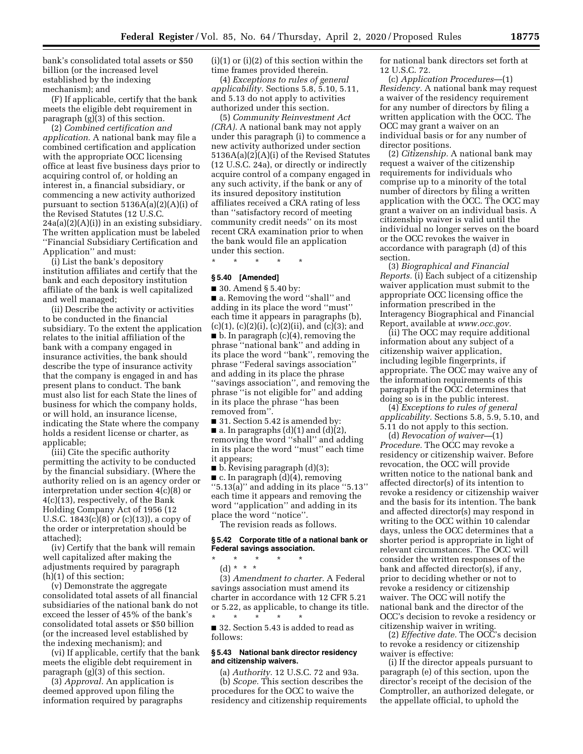bank's consolidated total assets or \$50 billion (or the increased level established by the indexing mechanism); and

(F) If applicable, certify that the bank meets the eligible debt requirement in paragraph (g)(3) of this section.

(2) *Combined certification and application.* A national bank may file a combined certification and application with the appropriate OCC licensing office at least five business days prior to acquiring control of, or holding an interest in, a financial subsidiary, or commencing a new activity authorized pursuant to section 5136A(a)(2)(A)(i) of the Revised Statutes (12 U.S.C.  $24a(a)(2)(A)(i)$  in an existing subsidiary. The written application must be labeled ''Financial Subsidiary Certification and Application'' and must:

(i) List the bank's depository institution affiliates and certify that the bank and each depository institution affiliate of the bank is well capitalized and well managed;

(ii) Describe the activity or activities to be conducted in the financial subsidiary. To the extent the application relates to the initial affiliation of the bank with a company engaged in insurance activities, the bank should describe the type of insurance activity that the company is engaged in and has present plans to conduct. The bank must also list for each State the lines of business for which the company holds, or will hold, an insurance license, indicating the State where the company holds a resident license or charter, as applicable;

(iii) Cite the specific authority permitting the activity to be conducted by the financial subsidiary. (Where the authority relied on is an agency order or interpretation under section 4(c)(8) or 4(c)(13), respectively, of the Bank Holding Company Act of 1956 (12 U.S.C. 1843(c)(8) or (c)(13)), a copy of the order or interpretation should be attached);

(iv) Certify that the bank will remain well capitalized after making the adjustments required by paragraph (h)(1) of this section;

(v) Demonstrate the aggregate consolidated total assets of all financial subsidiaries of the national bank do not exceed the lesser of 45% of the bank's consolidated total assets or \$50 billion (or the increased level established by the indexing mechanism); and

(vi) If applicable, certify that the bank meets the eligible debt requirement in paragraph (g)(3) of this section.

(3) *Approval.* An application is deemed approved upon filing the information required by paragraphs  $(i)(1)$  or  $(i)(2)$  of this section within the time frames provided therein.

(4) *Exceptions to rules of general applicability.* Sections 5.8, 5.10, 5.11, and 5.13 do not apply to activities authorized under this section.

(5) *Community Reinvestment Act (CRA).* A national bank may not apply under this paragraph (i) to commence a new activity authorized under section 5136A(a)(2)(A)(i) of the Revised Statutes (12 U.S.C. 24a), or directly or indirectly acquire control of a company engaged in any such activity, if the bank or any of its insured depository institution affiliates received a CRA rating of less than ''satisfactory record of meeting community credit needs'' on its most recent CRA examination prior to when the bank would file an application under this section.

\* \* \* \* \*

#### **§ 5.40 [Amended]**

■ 30. Amend § 5.40 by:

■ a. Removing the word "shall" and adding in its place the word ''must'' each time it appears in paragraphs (b),  $(c)(1), (c)(2)(i), (c)(2)(ii), and (c)(3); and$ ■ b. In paragraph (c)(4), removing the phrase ''national bank'' and adding in its place the word ''bank'', removing the phrase ''Federal savings association'' and adding in its place the phrase ''savings association'', and removing the phrase ''is not eligible for'' and adding in its place the phrase ''has been removed from''.

■ 31. Section 5.42 is amended by:

 $\blacksquare$  a. In paragraphs (d)(1) and (d)(2), removing the word ''shall'' and adding in its place the word ''must'' each time it appears;

■ b. Revising paragraph (d)(3);

 $\blacksquare$  c. In paragraph  $\ddot{\text{(d)}}$  (4), removing ''5.13(a)'' and adding in its place ''5.13'' each time it appears and removing the word ''application'' and adding in its place the word ''notice''.

The revision reads as follows.

### **§ 5.42 Corporate title of a national bank or Federal savings association.**

\* \* \* \* \* (d) \* \* \*

(3) *Amendment to charter.* A Federal savings association must amend its charter in accordance with 12 CFR 5.21 or 5.22, as applicable, to change its title. \* \* \* \* \*

■ 32. Section 5.43 is added to read as follows:

### **§ 5.43 National bank director residency and citizenship waivers.**

(a) *Authority.* 12 U.S.C. 72 and 93a. (b) *Scope.* This section describes the procedures for the OCC to waive the residency and citizenship requirements for national bank directors set forth at 12 U.S.C. 72.

(c) *Application Procedures*—(1) *Residency.* A national bank may request a waiver of the residency requirement for any number of directors by filing a written application with the OCC. The OCC may grant a waiver on an individual basis or for any number of director positions.

(2) *Citizenship.* A national bank may request a waiver of the citizenship requirements for individuals who comprise up to a minority of the total number of directors by filing a written application with the OCC. The OCC may grant a waiver on an individual basis. A citizenship waiver is valid until the individual no longer serves on the board or the OCC revokes the waiver in accordance with paragraph (d) of this section.

(3) *Biographical and Financial Reports.* (i) Each subject of a citizenship waiver application must submit to the appropriate OCC licensing office the information prescribed in the Interagency Biographical and Financial Report, available at *[www.occ.gov.](http://www.occ.gov)* 

(ii) The OCC may require additional information about any subject of a citizenship waiver application, including legible fingerprints, if appropriate. The OCC may waive any of the information requirements of this paragraph if the OCC determines that doing so is in the public interest.

(4) *Exceptions to rules of general applicability.* Sections 5.8, 5.9, 5.10, and 5.11 do not apply to this section.

(d) *Revocation of waiver—*(1) *Procedure.* The OCC may revoke a residency or citizenship waiver. Before revocation, the OCC will provide written notice to the national bank and affected director(s) of its intention to revoke a residency or citizenship waiver and the basis for its intention. The bank and affected director(s) may respond in writing to the OCC within 10 calendar days, unless the OCC determines that a shorter period is appropriate in light of relevant circumstances. The OCC will consider the written responses of the bank and affected director(s), if any, prior to deciding whether or not to revoke a residency or citizenship waiver. The OCC will notify the national bank and the director of the OCC's decision to revoke a residency or citizenship waiver in writing.

(2) *Effective date.* The OCC's decision to revoke a residency or citizenship waiver is effective:

(i) If the director appeals pursuant to paragraph (e) of this section, upon the director's receipt of the decision of the Comptroller, an authorized delegate, or the appellate official, to uphold the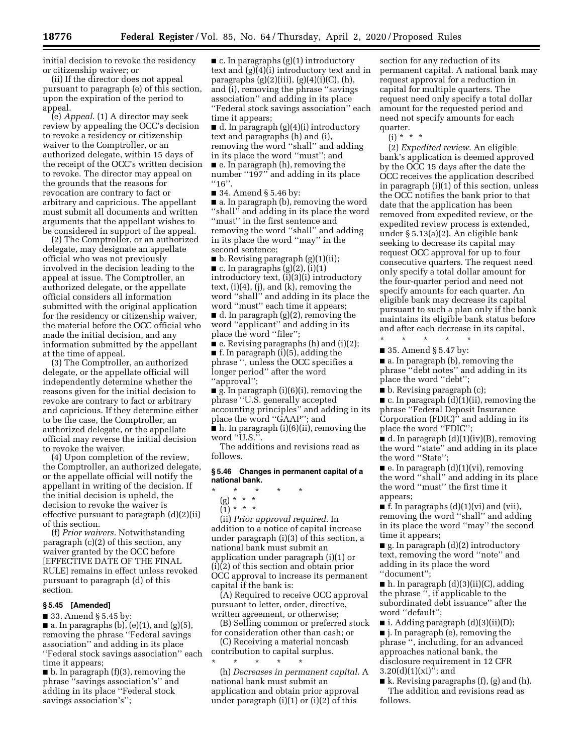initial decision to revoke the residency or citizenship waiver; or

(ii) If the director does not appeal pursuant to paragraph (e) of this section, upon the expiration of the period to appeal.

(e) *Appeal.* (1) A director may seek review by appealing the OCC's decision to revoke a residency or citizenship waiver to the Comptroller, or an authorized delegate, within 15 days of the receipt of the OCC's written decision to revoke. The director may appeal on the grounds that the reasons for revocation are contrary to fact or arbitrary and capricious. The appellant must submit all documents and written arguments that the appellant wishes to be considered in support of the appeal.

(2) The Comptroller, or an authorized delegate, may designate an appellate official who was not previously involved in the decision leading to the appeal at issue. The Comptroller, an authorized delegate, or the appellate official considers all information submitted with the original application for the residency or citizenship waiver, the material before the OCC official who made the initial decision, and any information submitted by the appellant at the time of appeal.

(3) The Comptroller, an authorized delegate, or the appellate official will independently determine whether the reasons given for the initial decision to revoke are contrary to fact or arbitrary and capricious. If they determine either to be the case, the Comptroller, an authorized delegate, or the appellate official may reverse the initial decision to revoke the waiver.

(4) Upon completion of the review, the Comptroller, an authorized delegate, or the appellate official will notify the appellant in writing of the decision. If the initial decision is upheld, the decision to revoke the waiver is effective pursuant to paragraph (d)(2)(ii) of this section.

(f) *Prior waivers.* Notwithstanding paragraph (c)(2) of this section, any waiver granted by the OCC before [EFFECTIVE DATE OF THE FINAL RULE] remains in effect unless revoked pursuant to paragraph (d) of this section.

### **§ 5.45 [Amended]**

■ 33. Amend § 5.45 by:

 $\blacksquare$  a. In paragraphs (b), (e)(1), and (g)(5), removing the phrase ''Federal savings association'' and adding in its place ''Federal stock savings association'' each time it appears;

 $\blacksquare$  b. In paragraph (f)(3), removing the phrase ''savings association's'' and adding in its place ''Federal stock savings association's'';

■ c. In paragraphs (g)(1) introductory text and (g)(4)(i) introductory text and in paragraphs  $(g)(2)(iii)$ ,  $(g)(4)(i)(C)$ ,  $(h)$ , and (i), removing the phrase ''savings association'' and adding in its place ''Federal stock savings association'' each time it appears;

■ d. In paragraph (g)(4)(i) introductory text and paragraphs (h) and (i), removing the word ''shall'' and adding in its place the word ''must''; and ■ e. In paragraph (h), removing the number "197" and adding in its place ''16''.

■ 34. Amend § 5.46 by:

■ a. In paragraph (b), removing the word ''shall'' and adding in its place the word ''must'' in the first sentence and removing the word ''shall'' and adding in its place the word ''may'' in the second sentence;

■ b. Revising paragraph (g)(1)(ii);  $\blacksquare$  c. In paragraphs (g)(2), (i)(1) introductory text, (i)(3)(i) introductory text, (i)(4), (j), and (k), removing the word ''shall'' and adding in its place the word ''must'' each time it appears; ■ d. In paragraph (g)(2), removing the word ''applicant'' and adding in its place the word ''filer'';

 $\bullet$  e. Revising paragraphs (h) and (i)(2); ■ f. In paragraph (i)(5), adding the phrase '', unless the OCC specifies a longer period'' after the word ''approval'';

■ g. In paragraph (i)(6)(i), removing the phrase ''U.S. generally accepted accounting principles'' and adding in its place the word ''GAAP''; and ■ h. In paragraph (i)(6)(ii), removing the

word "U.S.".

The additions and revisions read as follows.

#### **§ 5.46 Changes in permanent capital of a national bank.**

\* \* \* \* \* (g) \* \* \*  $\ddot{1}$  \* \* \*

(ii) *Prior approval required.* In addition to a notice of capital increase under paragraph (i)(3) of this section, a national bank must submit an application under paragraph (i)(1) or (i)(2) of this section and obtain prior OCC approval to increase its permanent capital if the bank is:

(A) Required to receive OCC approval pursuant to letter, order, directive, written agreement, or otherwise;

(B) Selling common or preferred stock for consideration other than cash; or

(C) Receiving a material noncash contribution to capital surplus. \* \* \* \* \*

(h) *Decreases in permanent capital.* A national bank must submit an application and obtain prior approval under paragraph  $(i)(1)$  or  $(i)(2)$  of this

section for any reduction of its permanent capital. A national bank may request approval for a reduction in capital for multiple quarters. The request need only specify a total dollar amount for the requested period and need not specify amounts for each quarter.

 $(i) * * * *$ 

(2) *Expedited review.* An eligible bank's application is deemed approved by the OCC 15 days after the date the OCC receives the application described in paragraph (i)(1) of this section, unless the OCC notifies the bank prior to that date that the application has been removed from expedited review, or the expedited review process is extended, under § 5.13(a)(2). An eligible bank seeking to decrease its capital may request OCC approval for up to four consecutive quarters. The request need only specify a total dollar amount for the four-quarter period and need not specify amounts for each quarter. An eligible bank may decrease its capital pursuant to such a plan only if the bank maintains its eligible bank status before and after each decrease in its capital.

\* \* \* \* \* ■ 35. Amend § 5.47 by:

■ a. In paragraph (b), removing the phrase ''debt notes'' and adding in its place the word ''debt'';

■ b. Revising paragraph (c);

 $\blacksquare$  c. In paragraph  $(d)(1)(ii)$ , removing the phrase ''Federal Deposit Insurance Corporation (FDIC)'' and adding in its place the word ''FDIC'';

 $\blacksquare$  d. In paragraph  $(d)(1)(iv)(B)$ , removing the word ''state'' and adding in its place the word ''State'';

 $\blacksquare$  e. In paragraph  $(d)(1)(vi)$ , removing the word ''shall'' and adding in its place the word ''must'' the first time it appears;

 $\blacksquare$  f. In paragraphs  $(d)(1)(vi)$  and  $(vii)$ , removing the word ''shall'' and adding in its place the word ''may'' the second time it appears;

 $\blacksquare$  g. In paragraph (d)(2) introductory text, removing the word ''note'' and adding in its place the word ''document'';

■ h. In paragraph (d)(3)(ii)(C), adding the phrase '', if applicable to the subordinated debt issuance'' after the word ''default'';

 $\blacksquare$  i. Adding paragraph (d)(3)(ii)(D); ■ j. In paragraph (e), removing the phrase '', including, for an advanced approaches national bank, the disclosure requirement in 12 CFR  $3.20(d)(1)(xi)$ "; and

 $\blacksquare$  k. Revising paragraphs (f), (g) and (h). The addition and revisions read as follows.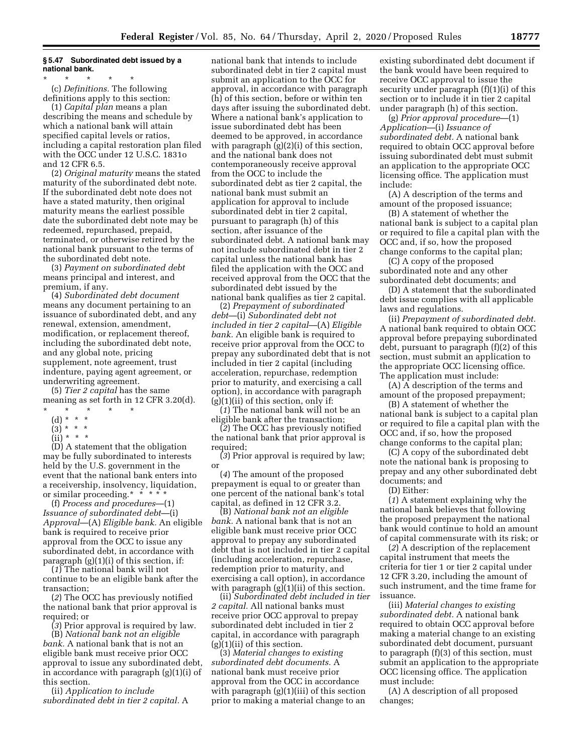### **§ 5.47 Subordinated debt issued by a national bank.**

\* \* \* \* \* (c) *Definitions.* The following definitions apply to this section:

(1) *Capital plan* means a plan describing the means and schedule by which a national bank will attain specified capital levels or ratios, including a capital restoration plan filed with the OCC under 12 U.S.C. 1831o and 12 CFR 6.5.

(2) *Original maturity* means the stated maturity of the subordinated debt note. If the subordinated debt note does not have a stated maturity, then original maturity means the earliest possible date the subordinated debt note may be redeemed, repurchased, prepaid, terminated, or otherwise retired by the national bank pursuant to the terms of the subordinated debt note.

(3) *Payment on subordinated debt*  means principal and interest, and premium, if any.

(4) *Subordinated debt document*  means any document pertaining to an issuance of subordinated debt, and any renewal, extension, amendment, modification, or replacement thereof, including the subordinated debt note, and any global note, pricing supplement, note agreement, trust indenture, paying agent agreement, or underwriting agreement.

(5) *Tier 2 capital* has the same meaning as set forth in 12 CFR 3.20(d). \* \* \* \* \*

- 
- (d) \* \* \*  $(3)^*$  \* \*
- $(ii) * * * *$

(D) A statement that the obligation may be fully subordinated to interests held by the U.S. government in the event that the national bank enters into a receivership, insolvency, liquidation, or similar proceeding.\* \* \* \* \*

(f) *Process and procedures*—(1) *Issuance of subordinated debt*—(i) *Approval*—(A) *Eligible bank.* An eligible bank is required to receive prior approval from the OCC to issue any subordinated debt, in accordance with paragraph (g)(1)(i) of this section, if:

(*1*) The national bank will not continue to be an eligible bank after the transaction;

(*2*) The OCC has previously notified the national bank that prior approval is required; or

(*3*) Prior approval is required by law.

(B) *National bank not an eligible bank.* A national bank that is not an eligible bank must receive prior OCC approval to issue any subordinated debt, in accordance with paragraph (g)(1)(i) of this section.

(ii) *Application to include subordinated debt in tier 2 capital.* A

national bank that intends to include subordinated debt in tier 2 capital must submit an application to the OCC for approval, in accordance with paragraph (h) of this section, before or within ten days after issuing the subordinated debt. Where a national bank's application to issue subordinated debt has been deemed to be approved, in accordance with paragraph  $(g)(2)(i)$  of this section, and the national bank does not contemporaneously receive approval from the OCC to include the subordinated debt as tier 2 capital, the national bank must submit an application for approval to include subordinated debt in tier 2 capital, pursuant to paragraph (h) of this section, after issuance of the subordinated debt. A national bank may not include subordinated debt in tier 2 capital unless the national bank has filed the application with the OCC and received approval from the OCC that the subordinated debt issued by the national bank qualifies as tier 2 capital.

(2) *Prepayment of subordinated debt*—(i) *Subordinated debt not included in tier 2 capital*—(A) *Eligible bank.* An eligible bank is required to receive prior approval from the OCC to prepay any subordinated debt that is not included in tier 2 capital (including acceleration, repurchase, redemption prior to maturity, and exercising a call option), in accordance with paragraph  $(g)(1)(ii)$  of this section, only if:

(*1*) The national bank will not be an eligible bank after the transaction;

(*2*) The OCC has previously notified the national bank that prior approval is required;

(*3*) Prior approval is required by law; or

(*4*) The amount of the proposed prepayment is equal to or greater than one percent of the national bank's total capital, as defined in 12 CFR 3.2.

(B) *National bank not an eligible bank.* A national bank that is not an eligible bank must receive prior OCC approval to prepay any subordinated debt that is not included in tier 2 capital (including acceleration, repurchase, redemption prior to maturity, and exercising a call option), in accordance with paragraph  $(g)(1)(ii)$  of this section.

(ii) *Subordinated debt included in tier 2 capital.* All national banks must receive prior OCC approval to prepay subordinated debt included in tier 2 capital, in accordance with paragraph (g)(1)(ii) of this section.

(3) *Material changes to existing subordinated debt documents.* A national bank must receive prior approval from the OCC in accordance with paragraph (g)(1)(iii) of this section prior to making a material change to an

existing subordinated debt document if the bank would have been required to receive OCC approval to issue the security under paragraph (f)(1)(i) of this section or to include it in tier 2 capital under paragraph (h) of this section.

(g) *Prior approval procedure*—(1) *Application*—(i) *Issuance of subordinated debt.* A national bank required to obtain OCC approval before issuing subordinated debt must submit an application to the appropriate OCC licensing office. The application must include:

(A) A description of the terms and amount of the proposed issuance;

(B) A statement of whether the national bank is subject to a capital plan or required to file a capital plan with the OCC and, if so, how the proposed change conforms to the capital plan;

(C) A copy of the proposed subordinated note and any other subordinated debt documents; and

(D) A statement that the subordinated debt issue complies with all applicable laws and regulations.

(ii) *Prepayment of subordinated debt.*  A national bank required to obtain OCC approval before prepaying subordinated debt, pursuant to paragraph (f)(2) of this section, must submit an application to the appropriate OCC licensing office. The application must include:

(A) A description of the terms and amount of the proposed prepayment;

(B) A statement of whether the national bank is subject to a capital plan or required to file a capital plan with the OCC and, if so, how the proposed change conforms to the capital plan;

(C) A copy of the subordinated debt note the national bank is proposing to prepay and any other subordinated debt documents; and

(D) Either:

(*1*) A statement explaining why the national bank believes that following the proposed prepayment the national bank would continue to hold an amount of capital commensurate with its risk; or

(*2*) A description of the replacement capital instrument that meets the criteria for tier 1 or tier 2 capital under 12 CFR 3.20, including the amount of such instrument, and the time frame for issuance.

(iii) *Material changes to existing subordinated debt.* A national bank required to obtain OCC approval before making a material change to an existing subordinated debt document, pursuant to paragraph (f)(3) of this section, must submit an application to the appropriate OCC licensing office. The application must include:

(A) A description of all proposed changes;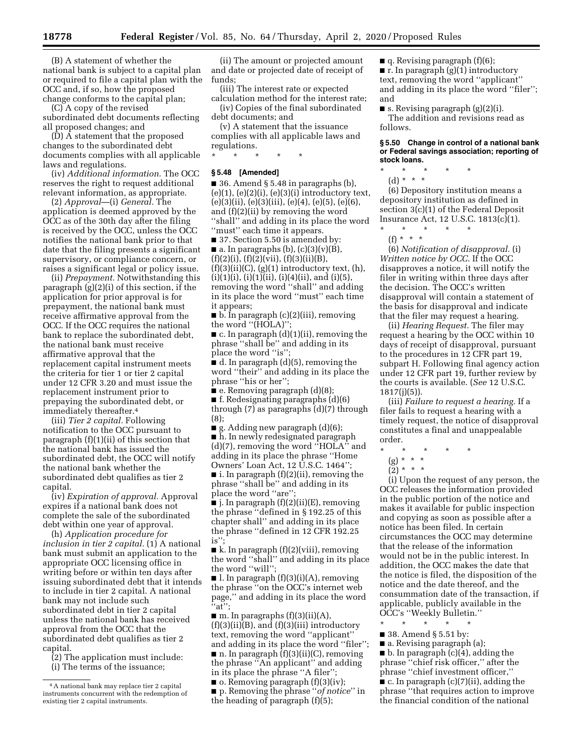(B) A statement of whether the national bank is subject to a capital plan or required to file a capital plan with the OCC and, if so, how the proposed change conforms to the capital plan;

(C) A copy of the revised

subordinated debt documents reflecting all proposed changes; and

 $(D)$   $\overline{A}$  statement that the proposed changes to the subordinated debt documents complies with all applicable laws and regulations.

(iv) *Additional information.* The OCC reserves the right to request additional relevant information, as appropriate.

(2) *Approval*—(i) *General.* The application is deemed approved by the OCC as of the 30th day after the filing is received by the OCC, unless the OCC notifies the national bank prior to that date that the filing presents a significant supervisory, or compliance concern, or raises a significant legal or policy issue.

(ii) *Prepayment.* Notwithstanding this paragraph (g)(2)(i) of this section, if the application for prior approval is for prepayment, the national bank must receive affirmative approval from the OCC. If the OCC requires the national bank to replace the subordinated debt, the national bank must receive affirmative approval that the replacement capital instrument meets the criteria for tier 1 or tier 2 capital under 12 CFR 3.20 and must issue the replacement instrument prior to prepaying the subordinated debt, or immediately thereafter.4

(iii) *Tier 2 capital.* Following notification to the OCC pursuant to paragraph (f)(1)(ii) of this section that the national bank has issued the subordinated debt, the OCC will notify the national bank whether the subordinated debt qualifies as tier 2 capital.

(iv) *Expiration of approval.* Approval expires if a national bank does not complete the sale of the subordinated debt within one year of approval.

(h) *Application procedure for inclusion in tier 2 capital.* (1) A national bank must submit an application to the appropriate OCC licensing office in writing before or within ten days after issuing subordinated debt that it intends to include in tier 2 capital. A national bank may not include such subordinated debt in tier 2 capital unless the national bank has received approval from the OCC that the subordinated debt qualifies as tier 2 capital.

(2) The application must include: (i) The terms of the issuance;

(ii) The amount or projected amount and date or projected date of receipt of funds;

(iii) The interest rate or expected calculation method for the interest rate;

(iv) Copies of the final subordinated debt documents; and

(v) A statement that the issuance complies with all applicable laws and regulations.

#### **§ 5.48 [Amended]**

\* \* \* \* \*

■ 36. Amend § 5.48 in paragraphs (b),  $(e)(1)$ ,  $(e)(2)(i)$ ,  $(e)(3)(i)$  introductory text,  $(e)(3)(ii), (e)(3)(iii), (e)(4), (e)(5), (e)(6),$ and (f)(2)(ii) by removing the word ''shall'' and adding in its place the word ''must'' each time it appears.

■ 37. Section 5.50 is amended by:  $\blacksquare$  a. In paragraphs (b), (c)(3)(v)(B),  $(f)(2)(i)$ ,  $(f)(2)(vii)$ ,  $(f)(3)(ii)(B)$ ,

 $(f)(3)(ii)(C)$ ,  $(g)(1)$  introductory text,  $(h)$ ,  $(i)(1)(i), (i)(1)(ii), (i)(4)(ii),$  and  $(i)(5),$ removing the word ''shall'' and adding in its place the word ''must'' each time it appears;

■ b. In paragraph (c)(2)(iii), removing the word "(HOLA)"

■ c. In paragraph (d)(1)(ii), removing the phrase ''shall be'' and adding in its place the word ''is'';

■ d. In paragraph (d)(5), removing the word ''their'' and adding in its place the phrase ''his or her'';

■ e. Removing paragraph (d)(8);

 $\blacksquare$  f. Redesignating paragraphs (d)(6) through (7) as paragraphs (d)(7) through (8);

■ g. Adding new paragraph (d)(6); ■ h. In newly redesignated paragraph (d)(7), removing the word ''HOLA'' and adding in its place the phrase ''Home Owners' Loan Act, 12 U.S.C. 1464'';

 $\blacksquare$  i. In paragraph  $(f)(2)(ii)$ , removing the phrase ''shall be'' and adding in its place the word ''are'';

 $\blacksquare$  j. In paragraph  $(f)(2)(ii)(E)$ , removing the phrase ''defined in § 192.25 of this chapter shall'' and adding in its place the phrase ''defined in 12 CFR 192.25 is'';

 $\blacksquare$  k. In paragraph  $(f)(2)(viii)$ , removing the word ''shall'' and adding in its place the word ''will'';

 $\blacksquare$  l. In paragraph  $(f)(3)(i)(A)$ , removing the phrase ''on the OCC's internet web page,'' and adding in its place the word  $i$ <sup>\*</sup>at<sup>"</sup>;

 $\blacksquare$  m. In paragraphs (f)(3)(ii)(A),  $(f)(3)(ii)(B)$ , and  $(f)(3)(iii)$  introductory text, removing the word ''applicant'' and adding in its place the word ''filer'';  $\blacksquare$  n. In paragraph  $\bar{f}$  (f)(3)(ii)(C), removing the phrase ''An applicant'' and adding in its place the phrase "A filer"

 $\blacksquare$  o. Removing paragraph  $(f)(3)(iv)$ ; ■ p. Removing the phrase ''*of notice*'' in the heading of paragraph (f)(5);

 $\blacksquare$  q. Revising paragraph (f)(6);

■ r. In paragraph (g)(1) introductory text, removing the word ''applicant'' and adding in its place the word ''filer''; and

■ s. Revising paragraph  $(g)(2)(i)$ . The addition and revisions read as follows.

#### **§ 5.50 Change in control of a national bank or Federal savings association; reporting of stock loans.**

\* \* \* \* \*

(d) \* \* \* (6) Depository institution means a depository institution as defined in section 3(c)(1) of the Federal Deposit Insurance Act, 12 U.S.C. 1813(c)(1).

\* \* \* \* \*  $(f) * * * *$ 

(6) *Notification of disapproval.* (i) *Written notice by OCC.* If the OCC disapproves a notice, it will notify the filer in writing within three days after the decision. The OCC's written disapproval will contain a statement of the basis for disapproval and indicate that the filer may request a hearing.

(ii) *Hearing Request.* The filer may request a hearing by the OCC within 10 days of receipt of disapproval, pursuant to the procedures in 12 CFR part 19, subpart H. Following final agency action under 12 CFR part 19, further review by the courts is available. (*See* 12 U.S.C. 1817(j)(5)).

(iii) *Failure to request a hearing.* If a filer fails to request a hearing with a timely request, the notice of disapproval constitutes a final and unappealable order.

# \* \* \* \* \*

- (g) \* \* \*
- $(2) * * * *$

(i) Upon the request of any person, the OCC releases the information provided in the public portion of the notice and makes it available for public inspection and copying as soon as possible after a notice has been filed. In certain circumstances the OCC may determine that the release of the information would not be in the public interest. In addition, the OCC makes the date that the notice is filed, the disposition of the notice and the date thereof, and the consummation date of the transaction, if applicable, publicly available in the OCC's ''Weekly Bulletin.''

\* \* \* \* \*

- 38. Amend § 5.51 by:
- a. Revising paragraph (a);

 $\blacksquare$  b. In paragraph (c)(4), adding the phrase ''chief risk officer,'' after the phrase ''chief investment officer,''

■ c. In paragraph (c)(7)(ii), adding the phrase ''that requires action to improve the financial condition of the national

<sup>4</sup>A national bank may replace tier 2 capital instruments concurrent with the redemption of existing tier 2 capital instruments.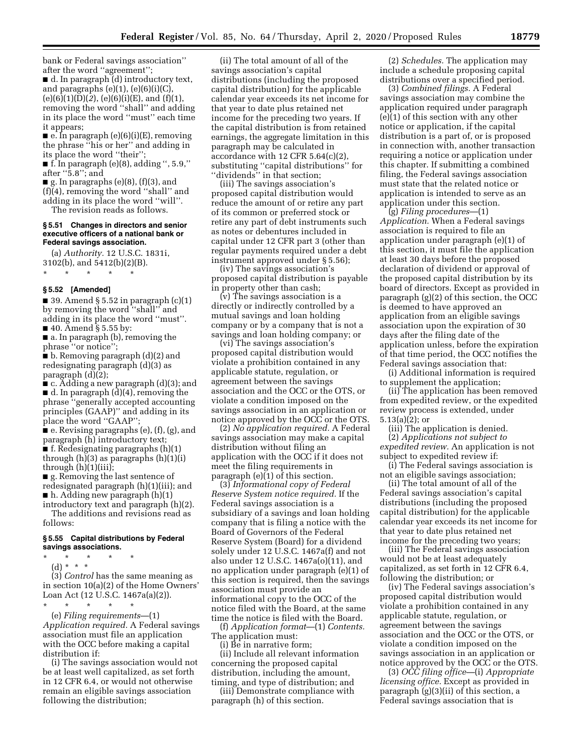bank or Federal savings association'' after the word ''agreement'';

■ d. In paragraph (d) introductory text, and paragraphs  $(e)(1)$ ,  $(e)(6)(i)(C)$ , (e)(6)(1)(D)(*2*), (e)(6)(i)(E), and (f)(1), removing the word ''shall'' and adding in its place the word ''must'' each time it appears;

■ e. In paragraph (e)(6)(i)(E), removing the phrase ''his or her'' and adding in its place the word ''their'';

 $\blacksquare$  f. In paragraph (e)(8), adding ", 5.9," after ''5.8''; and

 $\blacksquare$  g. In paragraphs (e)(8), (f)(3), and (f)(4), removing the word ''shall'' and adding in its place the word ''will''.

The revision reads as follows.

#### **§ 5.51 Changes in directors and senior executive officers of a national bank or Federal savings association.**

(a) *Authority.* 12 U.S.C. 1831i, 3102(b), and 5412(b)(2)(B).

\* \* \* \* \*

#### **§ 5.52 [Amended]**

■ 39. Amend § 5.52 in paragraph  $(c)(1)$ by removing the word ''shall'' and adding in its place the word ''must''. ■ 40. Amend § 5.55 by:

■ a. In paragraph (b), removing the phrase ''or notice'';

■ b. Removing paragraph (d)(2) and redesignating paragraph (d)(3) as paragraph (d)(2);

■ c. Adding a new paragraph (d)(3); and ■ d. In paragraph (d)(4), removing the phrase ''generally accepted accounting principles (GAAP)'' and adding in its place the word ''GAAP'';

 $\bullet$  e. Revising paragraphs (e), (f), (g), and paragraph (h) introductory text; ■ f. Redesignating paragraphs (h)(1) through (h)(3) as paragraphs (h)(1)(i) through  $(h)(1)(iii)$ ;

■ g. Removing the last sentence of redesignated paragraph (h)(1)(iii); and ■ h. Adding new paragraph (h)(1)

introductory text and paragraph (h)(2). The additions and revisions read as follows:

#### **§ 5.55 Capital distributions by Federal savings associations.**

\* \* \* \* \*

(d) \* \* \*

(3) *Control* has the same meaning as in section 10(a)(2) of the Home Owners' Loan Act (12 U.S.C. 1467a(a)(2)). \* \* \* \* \*

(e) *Filing requirements*—(1) *Application required.* A Federal savings association must file an application with the OCC before making a capital distribution if:

(i) The savings association would not be at least well capitalized, as set forth in 12 CFR 6.4, or would not otherwise remain an eligible savings association following the distribution;

(ii) The total amount of all of the savings association's capital distributions (including the proposed capital distribution) for the applicable calendar year exceeds its net income for that year to date plus retained net income for the preceding two years. If the capital distribution is from retained earnings, the aggregate limitation in this paragraph may be calculated in accordance with 12 CFR 5.64(c)(2), substituting ''capital distributions'' for ''dividends'' in that section;

(iii) The savings association's proposed capital distribution would reduce the amount of or retire any part of its common or preferred stock or retire any part of debt instruments such as notes or debentures included in capital under 12 CFR part 3 (other than regular payments required under a debt instrument approved under § 5.56);

(iv) The savings association's proposed capital distribution is payable in property other than cash;

(v) The savings association is a directly or indirectly controlled by a mutual savings and loan holding company or by a company that is not a savings and loan holding company; or

(vi) The savings association's proposed capital distribution would violate a prohibition contained in any applicable statute, regulation, or agreement between the savings association and the OCC or the OTS, or violate a condition imposed on the savings association in an application or notice approved by the OCC or the OTS.

(2) *No application required.* A Federal savings association may make a capital distribution without filing an application with the OCC if it does not meet the filing requirements in paragraph (e)(1) of this section.

(3) *Informational copy of Federal Reserve System notice required.* If the Federal savings association is a subsidiary of a savings and loan holding company that is filing a notice with the Board of Governors of the Federal Reserve System (Board) for a dividend solely under 12 U.S.C. 1467a(f) and not also under 12 U.S.C. 1467a(o)(11), and no application under paragraph (e)(1) of this section is required, then the savings association must provide an informational copy to the OCC of the notice filed with the Board, at the same time the notice is filed with the Board.

(f) *Application format*—(1) *Contents.*  The application must:

(i) Be in narrative form;

(ii) Include all relevant information concerning the proposed capital distribution, including the amount, timing, and type of distribution; and

(iii) Demonstrate compliance with paragraph (h) of this section.

(2) *Schedules.* The application may include a schedule proposing capital distributions over a specified period.

(3) *Combined filings.* A Federal savings association may combine the application required under paragraph (e)(1) of this section with any other notice or application, if the capital distribution is a part of, or is proposed in connection with, another transaction requiring a notice or application under this chapter. If submitting a combined filing, the Federal savings association must state that the related notice or application is intended to serve as an application under this section.

(g) *Filing procedures*—(1) *Application.* When a Federal savings association is required to file an application under paragraph (e)(1) of this section, it must file the application at least 30 days before the proposed declaration of dividend or approval of the proposed capital distribution by its board of directors. Except as provided in paragraph (g)(2) of this section, the OCC is deemed to have approved an application from an eligible savings association upon the expiration of 30 days after the filing date of the application unless, before the expiration of that time period, the OCC notifies the Federal savings association that:

(i) Additional information is required to supplement the application;

(ii) The application has been removed from expedited review, or the expedited review process is extended, under 5.13(a)(2); or

(iii) The application is denied.

(2) *Applications not subject to expedited review.* An application is not subject to expedited review if:

(i) The Federal savings association is not an eligible savings association;

(ii) The total amount of all of the Federal savings association's capital distributions (including the proposed capital distribution) for the applicable calendar year exceeds its net income for that year to date plus retained net income for the preceding two years;

(iii) The Federal savings association would not be at least adequately capitalized, as set forth in 12 CFR 6.4, following the distribution; or

(iv) The Federal savings association's proposed capital distribution would violate a prohibition contained in any applicable statute, regulation, or agreement between the savings association and the OCC or the OTS, or violate a condition imposed on the savings association in an application or notice approved by the OCC or the OTS.

(3) *OCC filing office—*(i) *Appropriate licensing office.* Except as provided in paragraph (g)(3)(ii) of this section, a Federal savings association that is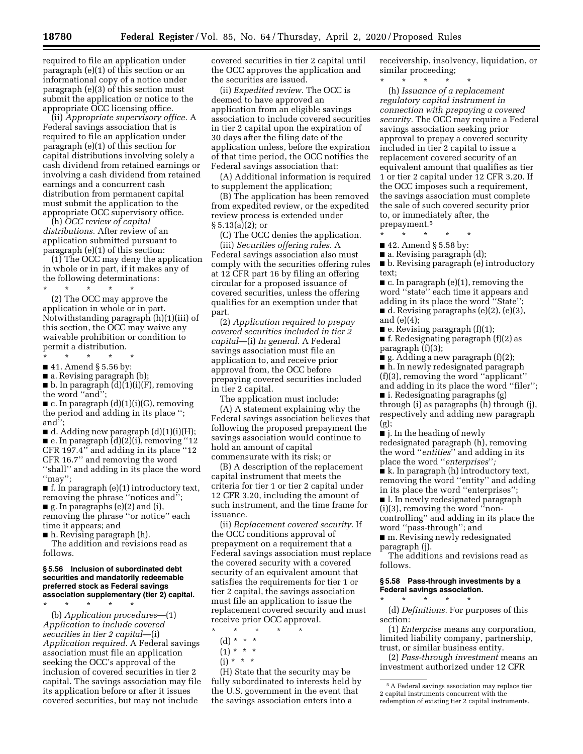required to file an application under paragraph (e)(1) of this section or an informational copy of a notice under paragraph (e)(3) of this section must submit the application or notice to the appropriate OCC licensing office.

(ii) *Appropriate supervisory office.* A Federal savings association that is required to file an application under paragraph (e)(1) of this section for capital distributions involving solely a cash dividend from retained earnings or involving a cash dividend from retained earnings and a concurrent cash distribution from permanent capital must submit the application to the appropriate OCC supervisory office.

(h) *OCC review of capital distributions.* After review of an application submitted pursuant to paragraph (e)(1) of this section:

(1) The OCC may deny the application in whole or in part, if it makes any of the following determinations:

\* \* \* \* \* (2) The OCC may approve the application in whole or in part. Notwithstanding paragraph (h)(1)(iii) of this section, the OCC may waive any waivable prohibition or condition to permit a distribution.

\* \* \* \* \*

■ 41. Amend § 5.56 by:

■ a. Revising paragraph (b);

 $\blacksquare$  b. In paragraph  $(d)(1)(i)(F)$ , removing the word ''and'';

 $\blacksquare$  c. In paragraph  $(d)(1)(i)(G)$ , removing the period and adding in its place ''; and'';

 $\blacksquare$  d. Adding new paragraph  $(d)(1)(i)(H);$  $\blacksquare$  e. In paragraph  $(d)(2)(i)$ , removing "12 CFR 197.4'' and adding in its place ''12 CFR 16.7'' and removing the word ''shall'' and adding in its place the word  $\lq$ "may";

 $\blacksquare$  f. In paragraph (e)(1) introductory text, removing the phrase ''notices and''; ■ g. In paragraphs (e)(2) and (i),

removing the phrase ''or notice'' each time it appears; and

■ h. Revising paragraph (h).

The addition and revisions read as follows.

#### **§ 5.56 Inclusion of subordinated debt securities and mandatorily redeemable preferred stock as Federal savings association supplementary (tier 2) capital.**

\* \* \* \* \* (b) *Application procedures*—(1) *Application to include covered securities in tier 2 capital*—(i) *Application required.* A Federal savings association must file an application seeking the OCC's approval of the inclusion of covered securities in tier 2 capital. The savings association may file its application before or after it issues covered securities, but may not include

covered securities in tier 2 capital until the OCC approves the application and the securities are issued.

(ii) *Expedited review.* The OCC is deemed to have approved an application from an eligible savings association to include covered securities in tier 2 capital upon the expiration of 30 days after the filing date of the application unless, before the expiration of that time period, the OCC notifies the Federal savings association that:

(A) Additional information is required to supplement the application;

(B) The application has been removed from expedited review, or the expedited review process is extended under  $\S 5.13(a)(2);$  or

(C) The OCC denies the application. (iii) *Securities offering rules.* A Federal savings association also must comply with the securities offering rules at 12 CFR part 16 by filing an offering circular for a proposed issuance of covered securities, unless the offering qualifies for an exemption under that part.

(2) *Application required to prepay covered securities included in tier 2 capital*—(i) *In general.* A Federal savings association must file an application to, and receive prior approval from, the OCC before prepaying covered securities included in tier 2 capital.

The application must include: (A) A statement explaining why the Federal savings association believes that following the proposed prepayment the savings association would continue to hold an amount of capital commensurate with its risk; or

(B) A description of the replacement capital instrument that meets the criteria for tier 1 or tier 2 capital under 12 CFR 3.20, including the amount of such instrument, and the time frame for issuance.

(ii) *Replacement covered security.* If the OCC conditions approval of prepayment on a requirement that a Federal savings association must replace the covered security with a covered security of an equivalent amount that satisfies the requirements for tier 1 or tier 2 capital, the savings association must file an application to issue the replacement covered security and must receive prior OCC approval.

- \* \* \* \* \*
	- (d) \* \* \*  $(1) * * * *$
	- $(i) * * * *$
	-

(H) State that the security may be fully subordinated to interests held by the U.S. government in the event that the savings association enters into a

receivership, insolvency, liquidation, or similar proceeding;

\* \* \* \* \*

(h) *Issuance of a replacement regulatory capital instrument in connection with prepaying a covered security.* The OCC may require a Federal savings association seeking prior approval to prepay a covered security included in tier 2 capital to issue a replacement covered security of an equivalent amount that qualifies as tier 1 or tier 2 capital under 12 CFR 3.20. If the OCC imposes such a requirement, the savings association must complete the sale of such covered security prior to, or immediately after, the prepayment.5

- \* \* \* \* \*
- 42. Amend § 5.58 by:
- a. Revising paragraph (d);

■ b. Revising paragraph (e) introductory text;

■ c. In paragraph (e)(1), removing the word ''state'' each time it appears and adding in its place the word ''State'';

 $\blacksquare$  d. Revising paragraphs (e)(2), (e)(3), and (e)(4);

 $\blacksquare$  e. Revising paragraph  $(f)(1)$ ;

 $\blacksquare$  f. Redesignating paragraph (f)(2) as paragraph (f)(3);

 $\blacksquare$  g. Adding a new paragraph (f)(2); ■ h. In newly redesignated paragraph (f)(3), removing the word ''applicant'' and adding in its place the word ''filer'';

■ i. Redesignating paragraphs (g) through (i) as paragraphs (h) through (j), respectively and adding new paragraph (g);

■ j. In the heading of newly redesignated paragraph (h), removing the word ''*entities*'' and adding in its place the word ''*enterprises*''*;* 

■ k. In paragraph (h) introductory text, removing the word ''entity'' and adding in its place the word ''enterprises'';

■ l. In newly redesignated paragraph (i)(3), removing the word ''noncontrolling'' and adding in its place the word ''pass-through''; and

■ m. Revising newly redesignated paragraph (j).

The additions and revisions read as follows.

### **§ 5.58 Pass-through investments by a Federal savings association.**

\* \* \* \* \* (d) *Definitions.* For purposes of this section:

(1) *Enterprise* means any corporation, limited liability company, partnership, trust, or similar business entity.

(2) *Pass-through investment* means an investment authorized under 12 CFR

<sup>5</sup>A Federal savings association may replace tier 2 capital instruments concurrent with the redemption of existing tier 2 capital instruments.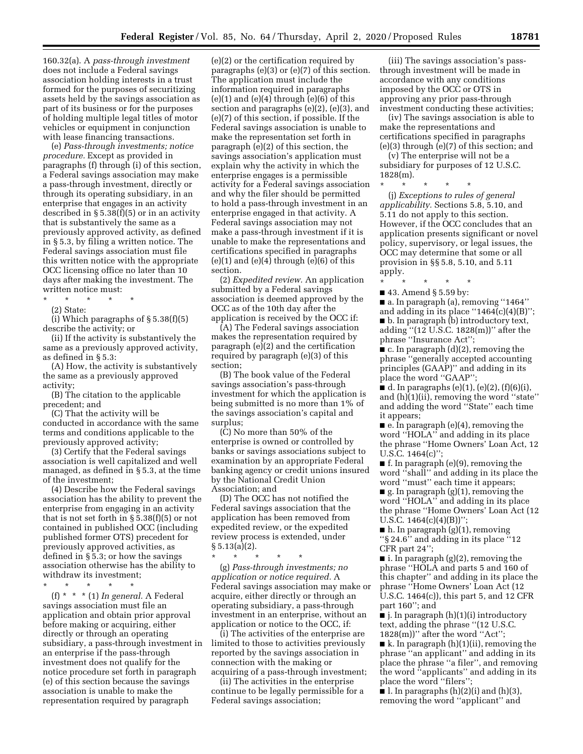160.32(a). A *pass-through investment*  does not include a Federal savings association holding interests in a trust formed for the purposes of securitizing assets held by the savings association as part of its business or for the purposes of holding multiple legal titles of motor vehicles or equipment in conjunction with lease financing transactions.

(e) *Pass-through investments; notice procedure.* Except as provided in paragraphs (f) through (i) of this section, a Federal savings association may make a pass-through investment, directly or through its operating subsidiary, in an enterprise that engages in an activity described in  $\S 5.38(f)(5)$  or in an activity that is substantively the same as a previously approved activity, as defined in § 5.3, by filing a written notice. The Federal savings association must file this written notice with the appropriate OCC licensing office no later than 10 days after making the investment. The written notice must:

\* \* \* \* \*

(2) State:

(i) Which paragraphs of  $\S 5.38(f)(5)$ describe the activity; or

(ii) If the activity is substantively the same as a previously approved activity, as defined in § 5.3:

(A) How, the activity is substantively the same as a previously approved activity;

(B) The citation to the applicable precedent; and

(C) That the activity will be conducted in accordance with the same terms and conditions applicable to the previously approved activity;

(3) Certify that the Federal savings association is well capitalized and well managed, as defined in § 5.3, at the time of the investment;

(4) Describe how the Federal savings association has the ability to prevent the enterprise from engaging in an activity that is not set forth in  $\S 5.38(f)(5)$  or not contained in published OCC (including published former OTS) precedent for previously approved activities, as defined in § 5.3; or how the savings association otherwise has the ability to withdraw its investment;

\* \* \* \* \*

(f) \* \* \* (1) *In general.* A Federal savings association must file an application and obtain prior approval before making or acquiring, either directly or through an operating subsidiary, a pass-through investment in an enterprise if the pass-through investment does not qualify for the notice procedure set forth in paragraph (e) of this section because the savings association is unable to make the representation required by paragraph

(e)(2) or the certification required by paragraphs (e)(3) or (e)(7) of this section. The application must include the information required in paragraphs  $(e)(1)$  and  $(e)(4)$  through  $(e)(6)$  of this section and paragraphs (e)(2), (e)(3), and (e)(7) of this section, if possible. If the Federal savings association is unable to make the representation set forth in paragraph (e)(2) of this section, the savings association's application must explain why the activity in which the enterprise engages is a permissible activity for a Federal savings association and why the filer should be permitted to hold a pass-through investment in an enterprise engaged in that activity. A Federal savings association may not make a pass-through investment if it is unable to make the representations and certifications specified in paragraphs  $(e)(1)$  and  $(e)(4)$  through  $(e)(6)$  of this section.

(2) *Expedited review.* An application submitted by a Federal savings association is deemed approved by the OCC as of the 10th day after the application is received by the OCC if:

(A) The Federal savings association makes the representation required by paragraph (e)(2) and the certification required by paragraph (e)(3) of this section;

(B) The book value of the Federal savings association's pass-through investment for which the application is being submitted is no more than 1% of the savings association's capital and surplus;

(C) No more than 50% of the enterprise is owned or controlled by banks or savings associations subject to examination by an appropriate Federal banking agency or credit unions insured by the National Credit Union Association; and

(D) The OCC has not notified the Federal savings association that the application has been removed from expedited review, or the expedited review process is extended, under § 5.13(a)(2).

\* \* \* \* \*

(g) *Pass-through investments; no application or notice required.* A Federal savings association may make or acquire, either directly or through an operating subsidiary, a pass-through investment in an enterprise, without an application or notice to the OCC, if:

(i) The activities of the enterprise are limited to those to activities previously reported by the savings association in connection with the making or acquiring of a pass-through investment;

(ii) The activities in the enterprise continue to be legally permissible for a Federal savings association;

(iii) The savings association's passthrough investment will be made in accordance with any conditions imposed by the OCC or OTS in approving any prior pass-through investment conducting these activities;

(iv) The savings association is able to make the representations and certifications specified in paragraphs (e)(3) through (e)(7) of this section; and

(v) The enterprise will not be a subsidiary for purposes of 12 U.S.C. 1828(m).

\* \* \* \* \* (j) *Exceptions to rules of general applicability.* Sections 5.8, 5.10, and 5.11 do not apply to this section. However, if the OCC concludes that an application presents significant or novel policy, supervisory, or legal issues, the OCC may determine that some or all provision in §§ 5.8, 5.10, and 5.11 apply.

\* \* \* \* \*

■ 43. Amend § 5.59 by:

■ a. In paragraph (a), removing "1464" and adding in its place " $1464(c)(4)(B)$ ";

■ b. In paragraph (b) introductory text, adding ''(12 U.S.C. 1828(m))'' after the phrase ''Insurance Act'';

 $\blacksquare$  c. In paragraph (d)(2), removing the phrase ''generally accepted accounting principles (GAAP)'' and adding in its place the word ''GAAP'';

■ d. In paragraphs  $(e)(1)$ ,  $(e)(2)$ ,  $(f)(6)(i)$ , and  $(h)(i)(ii)$ , removing the word "state" and adding the word ''State'' each time it appears;

■ e. In paragraph (e)(4), removing the word ''HOLA'' and adding in its place the phrase ''Home Owners' Loan Act, 12 U.S.C. 1464(c)'';

■ f. In paragraph (e)(9), removing the word ''shall'' and adding in its place the word ''must'' each time it appears;

■ g. In paragraph (g)(1), removing the word ''HOLA'' and adding in its place the phrase ''Home Owners' Loan Act (12 U.S.C.  $1464(c)(4)(B)$ ";

 $\blacksquare$  h. In paragraph (g)(1), removing ''§ 24.6'' and adding in its place ''12 CFR part 24'';

■ i. In paragraph (g)(2), removing the phrase ''HOLA and parts 5 and 160 of this chapter'' and adding in its place the phrase ''Home Owners' Loan Act (12 U.S.C. 1464(c)), this part 5, and 12 CFR part 160''; and

 $\blacksquare$  j. In paragraph (h)(1)(i) introductory text, adding the phrase ''(12 U.S.C.  $1828(m)$ " after the word "Act";

 $\blacksquare$  k. In paragraph (h)(1)(ii), removing the phrase ''an applicant'' and adding in its place the phrase ''a filer'', and removing the word ''applicants'' and adding in its place the word ''filers'';

■ l. In paragraphs  $(h)(2)(i)$  and  $(h)(3)$ , removing the word ''applicant'' and